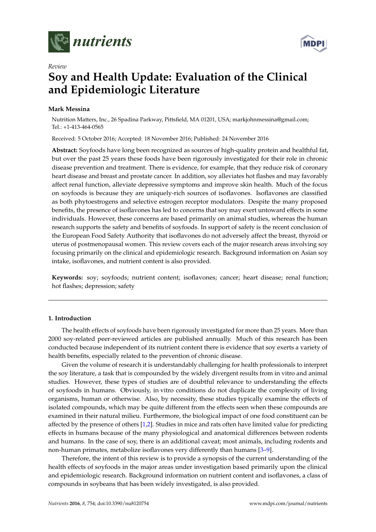



# **Soy and Health Update: Evaluation of the Clinical and Epidemiologic Literature**

# **Mark Messina**

*Review*

Nutrition Matters, Inc., 26 Spadina Parkway, Pittsfield, MA 01201, USA; markjohnmessina@gmail.com; Tel.: +1-413-464-0565

Received: 5 October 2016; Accepted: 18 November 2016; Published: 24 November 2016

**Abstract:** Soyfoods have long been recognized as sources of high-quality protein and healthful fat, but over the past 25 years these foods have been rigorously investigated for their role in chronic disease prevention and treatment. There is evidence, for example, that they reduce risk of coronary heart disease and breast and prostate cancer. In addition, soy alleviates hot flashes and may favorably affect renal function, alleviate depressive symptoms and improve skin health. Much of the focus on soyfoods is because they are uniquely-rich sources of isoflavones. Isoflavones are classified as both phytoestrogens and selective estrogen receptor modulators. Despite the many proposed benefits, the presence of isoflavones has led to concerns that soy may exert untoward effects in some individuals. However, these concerns are based primarily on animal studies, whereas the human research supports the safety and benefits of soyfoods. In support of safety is the recent conclusion of the European Food Safety Authority that isoflavones do not adversely affect the breast, thyroid or uterus of postmenopausal women. This review covers each of the major research areas involving soy focusing primarily on the clinical and epidemiologic research. Background information on Asian soy intake, isoflavones, and nutrient content is also provided.

**Keywords:** soy; soyfoods; nutrient content; isoflavones; cancer; heart disease; renal function; hot flashes; depression; safety

## **1. Introduction**

The health effects of soyfoods have been rigorously investigated for more than 25 years. More than 2000 soy-related peer-reviewed articles are published annually. Much of this research has been conducted because independent of its nutrient content there is evidence that soy exerts a variety of health benefits, especially related to the prevention of chronic disease.

Given the volume of research it is understandably challenging for health professionals to interpret the soy literature, a task that is compounded by the widely divergent results from in vitro and animal studies. However, these types of studies are of doubtful relevance to understanding the effects of soyfoods in humans. Obviously, in vitro conditions do not duplicate the complexity of living organisms, human or otherwise. Also, by necessity, these studies typically examine the effects of isolated compounds, which may be quite different from the effects seen when these compounds are examined in their natural milieu. Furthermore, the biological impact of one food constituent can be affected by the presence of others [\[1,](#page-19-0)[2\]](#page-19-1). Studies in mice and rats often have limited value for predicting effects in humans because of the many physiological and anatomical differences between rodents and humans. In the case of soy, there is an additional caveat; most animals, including rodents and non-human primates, metabolize isoflavones very differently than humans [\[3](#page-19-2)[–9\]](#page-19-3).

Therefore, the intent of this review is to provide a synopsis of the current understanding of the health effects of soyfoods in the major areas under investigation based primarily upon the clinical and epidemiologic research. Background information on nutrient content and isoflavones, a class of compounds in soybeans that has been widely investigated, is also provided.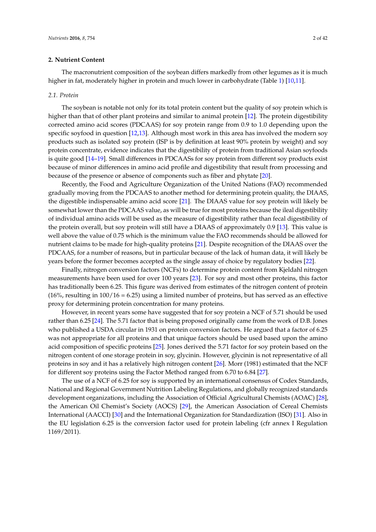## **2. Nutrient Content**

The macronutrient composition of the soybean differs markedly from other legumes as it is much higher in fat, moderately higher in protein and much lower in carbohydrate (Table [1\)](#page-2-0) [\[10,](#page-20-0)[11\]](#page-20-1).

## *2.1. Protein*

The soybean is notable not only for its total protein content but the quality of soy protein which is higher than that of other plant proteins and similar to animal protein [\[12\]](#page-20-2). The protein digestibility corrected amino acid scores (PDCAAS) for soy protein range from 0.9 to 1.0 depending upon the specific soyfood in question [\[12](#page-20-2)[,13\]](#page-20-3). Although most work in this area has involved the modern soy products such as isolated soy protein (ISP is by definition at least 90% protein by weight) and soy protein concentrate, evidence indicates that the digestibility of protein from traditional Asian soyfoods is quite good [\[14](#page-20-4)[–19\]](#page-20-5). Small differences in PDCAASs for soy protein from different soy products exist because of minor differences in amino acid profile and digestibility that result from processing and because of the presence or absence of components such as fiber and phytate [\[20\]](#page-20-6).

Recently, the Food and Agriculture Organization of the United Nations (FAO) recommended gradually moving from the PDCAAS to another method for determining protein quality, the DIAAS, the digestible indispensable amino acid score [\[21\]](#page-20-7). The DIAAS value for soy protein will likely be somewhat lower than the PDCAAS value, as will be true for most proteins because the ileal digestibility of individual amino acids will be used as the measure of digestibility rather than fecal digestibility of the protein overall, but soy protein will still have a DIAAS of approximately 0.9 [\[13\]](#page-20-3). This value is well above the value of 0.75 which is the minimum value the FAO recommends should be allowed for nutrient claims to be made for high-quality proteins [\[21\]](#page-20-7). Despite recognition of the DIAAS over the PDCAAS, for a number of reasons, but in particular because of the lack of human data, it will likely be years before the former becomes accepted as the single assay of choice by regulatory bodies [\[22\]](#page-20-8).

Finally, nitrogen conversion factors (NCFs) to determine protein content from Kjeldahl nitrogen measurements have been used for over 100 years [\[23\]](#page-20-9). For soy and most other proteins, this factor has traditionally been 6.25. This figure was derived from estimates of the nitrogen content of protein  $(16\%$ , resulting in  $100/16 = 6.25$ ) using a limited number of proteins, but has served as an effective proxy for determining protein concentration for many proteins.

However, in recent years some have suggested that for soy protein a NCF of 5.71 should be used rather than 6.25 [\[24\]](#page-20-10). The 5.71 factor that is being proposed originally came from the work of D.B. Jones who published a USDA circular in 1931 on protein conversion factors. He argued that a factor of 6.25 was not appropriate for all proteins and that unique factors should be used based upon the amino acid composition of specific proteins [\[25\]](#page-20-11). Jones derived the 5.71 factor for soy protein based on the nitrogen content of one storage protein in soy, glycinin. However, glycinin is not representative of all proteins in soy and it has a relatively high nitrogen content [\[26\]](#page-20-12). Morr (1981) estimated that the NCF for different soy proteins using the Factor Method ranged from 6.70 to 6.84 [\[27\]](#page-20-13).

The use of a NCF of 6.25 for soy is supported by an international consensus of Codex Standards, National and Regional Government Nutrition Labeling Regulations, and globally recognized standards development organizations, including the Association of Official Agricultural Chemists (AOAC) [\[28\]](#page-20-14), the American Oil Chemist's Society (AOCS) [\[29\]](#page-20-15), the American Association of Cereal Chemists International (AACCI) [\[30\]](#page-20-16) and the International Organization for Standardization (ISO) [\[31\]](#page-20-17). Also in the EU legislation 6.25 is the conversion factor used for protein labeling (cfr annex I Regulation 1169/2011).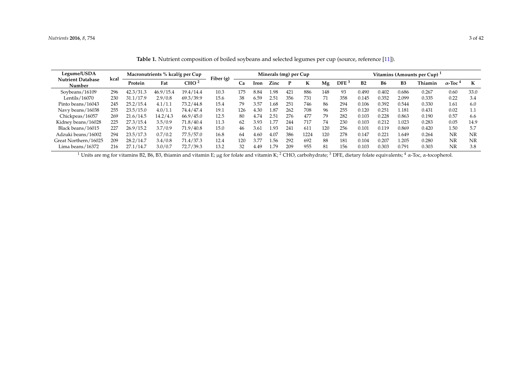| Legume/USDA                        | kcal    | Macronutrients % kcal/g per Cup |                  | Fiber (g) | Minerals (mg) per Cup |      |      |      |     |      | Vitamins (Amounts per Cup) <sup>1</sup> |                |       |                |         |                            |      |      |
|------------------------------------|---------|---------------------------------|------------------|-----------|-----------------------|------|------|------|-----|------|-----------------------------------------|----------------|-------|----------------|---------|----------------------------|------|------|
| <b>Nutrient Database</b><br>Number | Protein | Fat                             | CHO <sup>2</sup> |           | Ca                    | Iron | Zinc |      | K   | Mg   | DFE <sup>3</sup>                        | B <sub>2</sub> | В6    | B <sub>3</sub> | Thiamin | $\alpha$ -Toc <sup>4</sup> | К    |      |
| Soybeans/16109                     | 296     | 42.3/31.3                       | 46.9/15.4        | 19.4/14.4 | 10.3                  | 175  | 8.84 | .98  | 421 | 886  | 148                                     | 93             | 0.490 | 0.402          | 0.686   | 0.267                      | 0.60 | 33.0 |
| Lentils/16070                      | 230     | 31.1/17.9                       | 2.9/0.8          | 69.3/39.9 | 15.6                  | 38   | 6.59 | 2.51 | 356 | 731  |                                         | 358            | 0.145 | 0.352          | 2.099   | 0.335                      | 0.22 | 3.4  |
| Pinto beans/16043                  | 245     | 25.2/15.4                       | 4.1/1.1          | 73.2/44.8 | 15.4                  | 79   | 3.57 | .68  | 251 | 746  | 86                                      | 294            | 0.106 | 0.392          | 0.544   | 0.330                      | 1.61 | 6.0  |
| Navy beans/16038                   | 255     | 23.5/15.0                       | 4.0/1.1          | 74.4/47.4 | 19.1                  | 126  | 4.30 | 1.87 | 262 | 708  | 96                                      | 255            | 0.120 | 0.251          | 1.181   | 0.431                      | 0.02 | 1.1  |
| Chickpeas/16057                    | 269     | 21.6/14.5                       | 14.2/4.3         | 66.9/45.0 | 12.5                  | 80   | 4.74 | 2.51 | 276 | 477  | 79                                      | 282            | 0.103 | 0.228          | 0.863   | 0.190                      | 0.57 | 6.6  |
| Kidney beans/16028                 | 225     | 27.3/15.4                       | 3.5/0.9          | 71.8/40.4 | 11.3                  | 62   | 3.93 | .77  | 244 | 717  | 74                                      | 230            | 0.103 | 0.212          | .023    | 0.283                      | 0.05 | 14.9 |
| Black beans/16015                  | 227     | 26.9/15.2                       | 3.7/0.9          | 71.9/40.8 | 15.0                  | 46   | 3.61 | 1.93 | 241 | 611  | 120                                     | 256            | 0.101 | 0.119          | 0.869   | 0.420                      | 1.50 | 5.7  |
| Adzuki beans/16002                 | 294     | 23.5/17.3                       | 0.7/0.2          | 77.5/57.0 | 16.8                  | 64   | 4.60 | 4.07 | 386 | 1224 | 120                                     | 278            | 0.147 | 0.221          | 1.649   | 0.264                      | NR   | NR   |
| Great Northern/16025               | 209     | 28.2/14.7                       | 3.4/0.8          | 71.4/37.3 | 12.4                  | 120  |      | .56  | 292 | 692  | 88                                      | 181            | 0.104 | 0.207          | .205    | 0.280                      | NR   | NR   |
| Lima beans/16372                   | 216     | 27.1/14.7                       | 3.0/0.7          | 72.7/39.3 | 13.2                  | 32   | 4.49 | .79  | 209 | 955  | 81                                      | 156            | 0.103 | 0.303          | 0.791   | 0.303                      | NR   | 3.8  |

Table 1. Nutrient composition of boiled soybeans and selected legumes per cup (source, reference [\[11\]](#page-20-18)).

<span id="page-2-0"></span><sup>1</sup> Units are mg for vitamins B2, B6, B3, thiamin and vitamin E; µg for folate and vitamin K; <sup>2</sup> CHO, carbohydrate; <sup>3</sup> DFE, dietary folate equivalents; <sup>4</sup> α-Toc, α-tocopherol.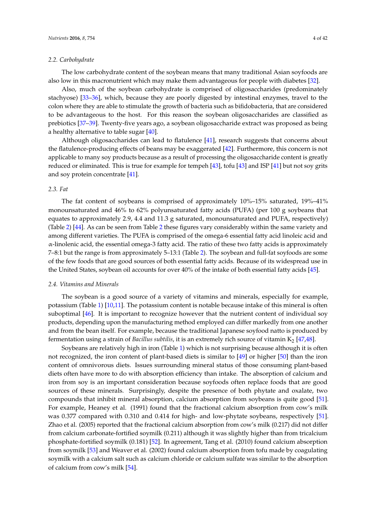#### *2.2. Carbohydrate*

The low carbohydrate content of the soybean means that many traditional Asian soyfoods are also low in this macronutrient which may make them advantageous for people with diabetes [\[32\]](#page-20-19).

Also, much of the soybean carbohydrate is comprised of oligosaccharides (predominately stachyose) [\[33–](#page-21-0)[36\]](#page-21-1), which, because they are poorly digested by intestinal enzymes, travel to the colon where they are able to stimulate the growth of bacteria such as bifidobacteria, that are considered to be advantageous to the host. For this reason the soybean oligosaccharides are classified as prebiotics [\[37](#page-21-2)[–39\]](#page-21-3). Twenty-five years ago, a soybean oligosaccharide extract was proposed as being a healthy alternative to table sugar [\[40\]](#page-21-4).

Although oligosaccharides can lead to flatulence [\[41\]](#page-21-5), research suggests that concerns about the flatulence-producing effects of beans may be exaggerated [\[42\]](#page-21-6). Furthermore, this concern is not applicable to many soy products because as a result of processing the oligosaccharide content is greatly reduced or eliminated. This is true for example for tempeh [\[43\]](#page-21-7), tofu [\[43\]](#page-21-7) and ISP [\[41\]](#page-21-5) but not soy grits and soy protein concentrate [\[41\]](#page-21-5).

## *2.3. Fat*

The fat content of soybeans is comprised of approximately 10%–15% saturated, 19%–41% monounsaturated and 46% to 62% polyunsaturated fatty acids (PUFA) (per 100 g soybeans that equates to approximately 2.9, 4.4 and 11.3 g saturated, monounsaturated and PUFA, respectively) (Table [2\)](#page-4-0) [\[44\]](#page-21-8). As can be seen from Table [2](#page-4-0) these figures vary considerably within the same variety and among different varieties. The PUFA is comprised of the omega-6 essential fatty acid linoleic acid and α-linolenic acid, the essential omega-3 fatty acid. The ratio of these two fatty acids is approximately 7–8:1 but the range is from approximately 5–13:1 (Table [2\)](#page-4-0). The soybean and full-fat soyfoods are some of the few foods that are good sources of both essential fatty acids. Because of its widespread use in the United States, soybean oil accounts for over 40% of the intake of both essential fatty acids [\[45\]](#page-21-9).

#### *2.4. Vitamins and Minerals*

The soybean is a good source of a variety of vitamins and minerals, especially for example, potassium (Table [1\)](#page-2-0) [\[10](#page-20-0)[,11\]](#page-20-1). The potassium content is notable because intake of this mineral is often suboptimal [\[46\]](#page-21-10). It is important to recognize however that the nutrient content of individual soy products, depending upon the manufacturing method employed can differ markedly from one another and from the bean itself. For example, because the traditional Japanese soyfood natto is produced by fermentation using a strain of *Bacillus subtilis*, it is an extremely rich source of vitamin K<sup>2</sup> [\[47,](#page-21-11)[48\]](#page-21-12).

Soybeans are relatively high in iron (Table [1\)](#page-2-0) which is not surprising because although it is often not recognized, the iron content of plant-based diets is similar to [\[49\]](#page-21-13) or higher [\[50\]](#page-21-14) than the iron content of omnivorous diets. Issues surrounding mineral status of those consuming plant-based diets often have more to do with absorption efficiency than intake. The absorption of calcium and iron from soy is an important consideration because soyfoods often replace foods that are good sources of these minerals. Surprisingly, despite the presence of both phytate and oxalate, two compounds that inhibit mineral absorption, calcium absorption from soybeans is quite good [\[51\]](#page-21-15). For example, Heaney et al. (1991) found that the fractional calcium absorption from cow's milk was 0.377 compared with 0.310 and 0.414 for high- and low-phytate soybeans, respectively [\[51\]](#page-21-15). Zhao et al. (2005) reported that the fractional calcium absorption from cow's milk (0.217) did not differ from calcium carbonate-fortified soymilk (0.211) although it was slightly higher than from tricalcium phosphate-fortified soymilk (0.181) [\[52\]](#page-21-16). In agreement, Tang et al. (2010) found calcium absorption from soymilk [\[53\]](#page-22-0) and Weaver et al. (2002) found calcium absorption from tofu made by coagulating soymilk with a calcium salt such as calcium chloride or calcium sulfate was similar to the absorption of calcium from cow's milk [\[54\]](#page-22-1).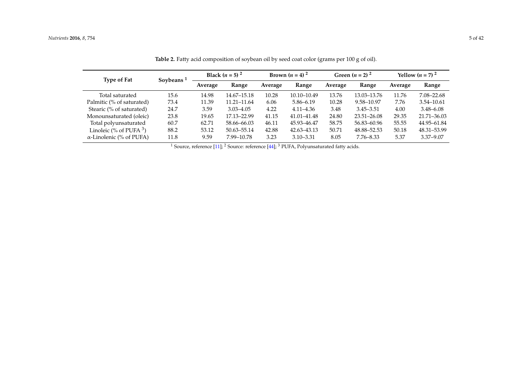| Type of Fat                     | <b>Soybeans</b> | <b>Black</b> $(n = 5)^2$ |               |         | Brown $(n = 4)^2$ |         | Green $(n = 2)^2$ | Yellow $(n = 7)^2$ |                |  |
|---------------------------------|-----------------|--------------------------|---------------|---------|-------------------|---------|-------------------|--------------------|----------------|--|
|                                 |                 | Average                  | Range         | Average | Range             | Average | Range             | Average            | Range          |  |
| Total saturated                 | 15.6            | 14.98                    | 14.67–15.18   | 10.28   | 10.10-10.49       | 13.76   | 13.03–13.76       | 11.76              | 7.08-22.68     |  |
| Palmitic (% of saturated)       | 73.4            | 11.39                    | 11.21-11.64   | 6.06    | $5.86 - 6.19$     | 10.28   | 9.58-10.97        | 7.76               | $3.54 - 10.61$ |  |
| Stearic (% of saturated)        | 24.7            | 3.59                     | $3.03 - 4.05$ | 4.22    | $4.11 - 4.36$     | 3.48    | $3.45 - 3.51$     | 4.00               | $3.48 - 6.08$  |  |
| Monounsaturated (oleic)         | 23.8            | 19.65                    | 17.13-22.99   | 41.15   | 41.01-41.48       | 24.80   | $23.51 - 26.08$   | 29.35              | 21.71-36.03    |  |
| Total polyunsaturated           | 60.7            | 62.71                    | 58.66–66.03   | 46.11   | 45.93-46.47       | 58.75   | 56.83 - 60.96     | 55.55              | 44.95-61.84    |  |
| Linoleic (% of PUFA $3$ )       | 88.2            | 53.12                    | 50.63–55.14   | 42.88   | 42.63–43.13       | 50.71   | 48.88–52.53       | 50.18              | 48.31-53.99    |  |
| $\alpha$ -Linolenic (% of PUFA) | 11.8            | 9.59                     | 7.99–10.78    | 3.23    | $3.10 - 3.31$     | 8.05    | $7.76 - 8.33$     | 5.37               | $3.37 - 9.07$  |  |

Table 2. Fatty acid composition of soybean oil by seed coat color (grams per 100 g of oil).

<span id="page-4-0"></span><sup>1</sup> Source, reference  $[11]$ ; <sup>2</sup> Source: reference  $[44]$ ; <sup>3</sup> PUFA, Polyunsaturated fatty acids.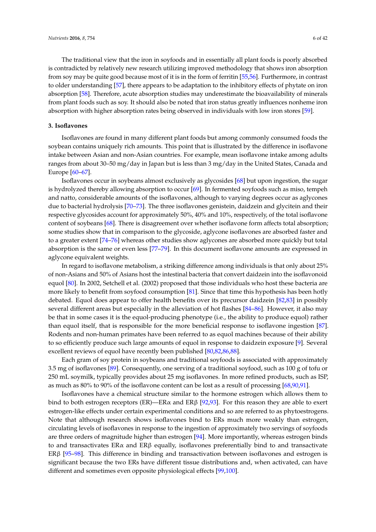The traditional view that the iron in soyfoods and in essentially all plant foods is poorly absorbed is contradicted by relatively new research utilizing improved methodology that shows iron absorption from soy may be quite good because most of it is in the form of ferritin [\[55,](#page-22-2)[56\]](#page-22-3). Furthermore, in contrast to older understanding [\[57\]](#page-22-4), there appears to be adaptation to the inhibitory effects of phytate on iron absorption [\[58\]](#page-22-5). Therefore, acute absorption studies may underestimate the bioavailability of minerals from plant foods such as soy. It should also be noted that iron status greatly influences nonheme iron absorption with higher absorption rates being observed in individuals with low iron stores [\[59\]](#page-22-6).

#### **3. Isoflavones**

Isoflavones are found in many different plant foods but among commonly consumed foods the soybean contains uniquely rich amounts. This point that is illustrated by the difference in isoflavone intake between Asian and non-Asian countries. For example, mean isoflavone intake among adults ranges from about 30–50 mg/day in Japan but is less than 3 mg/day in the United States, Canada and Europe [\[60](#page-22-7)[–67\]](#page-22-8).

Isoflavones occur in soybeans almost exclusively as glycosides [\[68\]](#page-22-9) but upon ingestion, the sugar is hydrolyzed thereby allowing absorption to occur [\[69\]](#page-22-10). In fermented soyfoods such as miso, tempeh and natto, considerable amounts of the isoflavones, although to varying degrees occur as aglycones due to bacterial hydrolysis [\[70–](#page-22-11)[73\]](#page-22-12). The three isoflavones genistein, daidzein and glycitein and their respective glycosides account for approximately 50%, 40% and 10%, respectively, of the total isoflavone content of soybeans [\[68\]](#page-22-9). There is disagreement over whether isoflavone form affects total absorption; some studies show that in comparison to the glycoside, aglycone isoflavones are absorbed faster and to a greater extent [\[74](#page-22-13)[–76\]](#page-23-0) whereas other studies show aglycones are absorbed more quickly but total absorption is the same or even less [\[77](#page-23-1)[–79\]](#page-23-2). In this document isoflavone amounts are expressed in aglycone equivalent weights.

In regard to isoflavone metabolism, a striking difference among individuals is that only about 25% of non-Asians and 50% of Asians host the intestinal bacteria that convert daidzein into the isoflavonoid equol [\[80\]](#page-23-3). In 2002, Setchell et al. (2002) proposed that those individuals who host these bacteria are more likely to benefit from soyfood consumption [\[81\]](#page-23-4). Since that time this hypothesis has been hotly debated. Equol does appear to offer health benefits over its precursor daidzein [\[82](#page-23-5)[,83\]](#page-23-6) in possibly several different areas but especially in the alleviation of hot flashes [\[84](#page-23-7)[–86\]](#page-23-8). However, it also may be that in some cases it is the equol-producing phenotype (i.e., the ability to produce equol) rather than equol itself, that is responsible for the more beneficial response to isoflavone ingestion [\[87\]](#page-23-9). Rodents and non-human primates have been referred to as equol machines because of their ability to so efficiently produce such large amounts of equol in response to daidzein exposure [\[9\]](#page-19-3). Several excellent reviews of equol have recently been published [\[80,](#page-23-3)[82,](#page-23-5)[86,](#page-23-8)[88\]](#page-23-10).

Each gram of soy protein in soybeans and traditional soyfoods is associated with approximately 3.5 mg of isoflavones [\[89\]](#page-23-11). Consequently, one serving of a traditional soyfood, such as 100 g of tofu or 250 mL soymilk, typically provides about 25 mg isoflavones. In more refined products, such as ISP, as much as 80% to 90% of the isoflavone content can be lost as a result of processing [\[68,](#page-22-9)[90,](#page-23-12)[91\]](#page-23-13).

Isoflavones have a chemical structure similar to the hormone estrogen which allows them to bind to both estrogen receptors (ER)—ER $\alpha$  and ER $\beta$  [\[92,](#page-23-14)[93\]](#page-23-15). For this reason they are able to exert estrogen-like effects under certain experimental conditions and so are referred to as phytoestrogens. Note that although research shows isoflavones bind to ERs much more weakly than estrogen, circulating levels of isoflavones in response to the ingestion of approximately two servings of soyfoods are three orders of magnitude higher than estrogen [\[94\]](#page-23-16). More importantly, whereas estrogen binds to and transactivates ERα and ERβ equally, isoflavones preferentially bind to and transactivate ERβ [\[95](#page-24-0)[–98\]](#page-24-1). This difference in binding and transactivation between isoflavones and estrogen is significant because the two ERs have different tissue distributions and, when activated, can have different and sometimes even opposite physiological effects [\[99](#page-24-2)[,100\]](#page-24-3).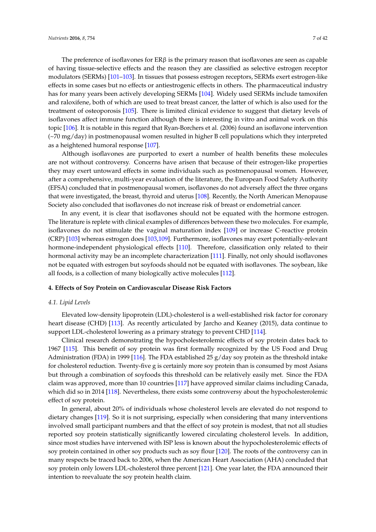The preference of isoflavones for  $ER\beta$  is the primary reason that isoflavones are seen as capable of having tissue-selective effects and the reason they are classified as selective estrogen receptor modulators (SERMs) [\[101](#page-24-4)[–103\]](#page-24-5). In tissues that possess estrogen receptors, SERMs exert estrogen-like effects in some cases but no effects or antiestrogenic effects in others. The pharmaceutical industry has for many years been actively developing SERMs [\[104\]](#page-24-6). Widely used SERMs include tamoxifen and raloxifene, both of which are used to treat breast cancer, the latter of which is also used for the treatment of osteoporosis [\[105\]](#page-24-7). There is limited clinical evidence to suggest that dietary levels of isoflavones affect immune function although there is interesting in vitro and animal work on this topic [\[106\]](#page-24-8). It is notable in this regard that Ryan-Borchers et al. (2006) found an isoflavone intervention (~70 mg/day) in postmenopausal women resulted in higher B cell populations which they interpreted as a heightened humoral response [\[107\]](#page-24-9).

Although isoflavones are purported to exert a number of health benefits these molecules are not without controversy. Concerns have arisen that because of their estrogen-like properties they may exert untoward effects in some individuals such as postmenopausal women. However, after a comprehensive, multi-year evaluation of the literature, the European Food Safety Authority (EFSA) concluded that in postmenopausal women, isoflavones do not adversely affect the three organs that were investigated, the breast, thyroid and uterus [\[108\]](#page-24-10). Recently, the North American Menopause Society also concluded that isoflavones do not increase risk of breast or endometrial cancer.

In any event, it is clear that isoflavones should not be equated with the hormone estrogen. The literature is replete with clinical examples of differences between these two molecules. For example, isoflavones do not stimulate the vaginal maturation index [\[109\]](#page-24-11) or increase C-reactive protein (CRP) [\[103\]](#page-24-5) whereas estrogen does [\[103](#page-24-5)[,109\]](#page-24-11). Furthermore, isoflavones may exert potentially-relevant hormone-independent physiological effects [\[110\]](#page-24-12). Therefore, classification only related to their hormonal activity may be an incomplete characterization [\[111\]](#page-24-13). Finally, not only should isoflavones not be equated with estrogen but soyfoods should not be equated with isoflavones. The soybean, like all foods, is a collection of many biologically active molecules [\[112\]](#page-24-14).

#### **4. Effects of Soy Protein on Cardiovascular Disease Risk Factors**

#### *4.1. Lipid Levels*

Elevated low-density lipoprotein (LDL)-cholesterol is a well-established risk factor for coronary heart disease (CHD) [\[113\]](#page-24-15). As recently articulated by Jarcho and Keaney (2015), data continue to support LDL-cholesterol lowering as a primary strategy to prevent CHD [\[114\]](#page-24-16).

Clinical research demonstrating the hypocholesterolemic effects of soy protein dates back to 1967 [\[115\]](#page-24-17). This benefit of soy protein was first formally recognized by the US Food and Drug Administration (FDA) in 1999 [\[116\]](#page-25-0). The FDA established 25 g/day soy protein as the threshold intake for cholesterol reduction. Twenty-five g is certainly more soy protein than is consumed by most Asians but through a combination of soyfoods this threshold can be relatively easily met. Since the FDA claim was approved, more than 10 countries [\[117\]](#page-25-1) have approved similar claims including Canada, which did so in 2014 [\[118\]](#page-25-2). Nevertheless, there exists some controversy about the hypocholesterolemic effect of soy protein.

In general, about 20% of individuals whose cholesterol levels are elevated do not respond to dietary changes [\[119\]](#page-25-3). So it is not surprising, especially when considering that many interventions involved small participant numbers and that the effect of soy protein is modest, that not all studies reported soy protein statistically significantly lowered circulating cholesterol levels. In addition, since most studies have intervened with ISP less is known about the hypocholesterolemic effects of soy protein contained in other soy products such as soy flour [\[120\]](#page-25-4). The roots of the controversy can in many respects be traced back to 2006, when the American Heart Association (AHA) concluded that soy protein only lowers LDL-cholesterol three percent [\[121\]](#page-25-5). One year later, the FDA announced their intention to reevaluate the soy protein health claim.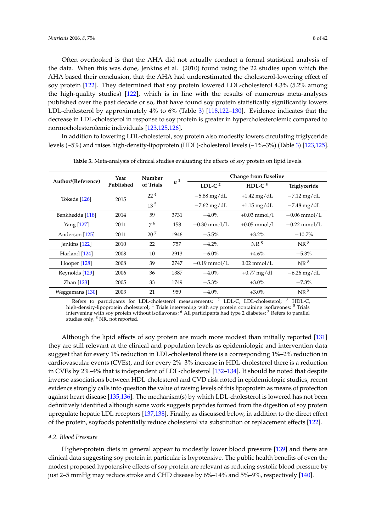Often overlooked is that the AHA did not actually conduct a formal statistical analysis of the data. When this was done, Jenkins et al. (2010) found using the 22 studies upon which the AHA based their conclusion, that the AHA had underestimated the cholesterol-lowering effect of soy protein [\[122\]](#page-25-6). They determined that soy protein lowered LDL-cholesterol 4.3% (5.2% among the high-quality studies) [\[122\]](#page-25-6), which is in line with the results of numerous meta-analyses published over the past decade or so, that have found soy protein statistically significantly lowers LDL-cholesterol by approximately 4% to 6% (Table [3\)](#page-7-0) [\[118](#page-25-2)[,122](#page-25-6)[–130\]](#page-25-7). Evidence indicates that the decrease in LDL-cholesterol in response to soy protein is greater in hypercholesterolemic compared to normocholesterolemic individuals [\[123,](#page-25-8)[125,](#page-25-9)[126\]](#page-25-10).

In addition to lowering LDL-cholesterol, soy protein also modestly lowers circulating triglyceride levels (~5%) and raises high-density-lipoprotein (HDL)-cholesterol levels (~1%–3%) (Table [3\)](#page-7-0) [\[123](#page-25-8)[,125\]](#page-25-9).

<span id="page-7-0"></span>

| Author/(Reference) | Year      | Number          |                |                | <b>Change from Baseline</b> |                     |  |  |  |
|--------------------|-----------|-----------------|----------------|----------------|-----------------------------|---------------------|--|--|--|
|                    | Published | of Trials       | n <sup>1</sup> | LDL- $C2$      | HDL- $C^3$                  | <b>Triglyceride</b> |  |  |  |
| Tokede [126]       | 2015      | $22^4$          |                | $-5.88$ mg/dL  | $+1.42$ mg/dL               | $-7.12$ mg/dL       |  |  |  |
|                    |           | 13 <sup>5</sup> |                | $-7.62$ mg/dL  | $+1.15$ mg/dL               | $-7.48$ mg/dL       |  |  |  |
| Benkhedda [118]    | 2014      | 59              | 3731           | $-4.0%$        | $+0.03$ mmol/l              | $-0.06$ mmol/L      |  |  |  |
| Yang [127]         | 2011      | 76              | 158            | $-0.30$ mmol/L | $+0.05$ mmol/1              | $-0.22$ mmol/L      |  |  |  |
| Anderson [125]     | 2011      | 20 <sup>7</sup> | 1946           | $-5.5%$        | $+3.2\%$                    | $-10.7\%$           |  |  |  |
| Jenkins $[122]$    | 2010      | 22              | 757            | $-4.2\%$       | NR <sup>8</sup>             | NR <sup>8</sup>     |  |  |  |
| Harland [124]      | 2008      | 10              | 2913           | $-6.0\%$       | $+4.6%$                     | $-5.3%$             |  |  |  |
| Hooper [128]       | 2008      | 39              | 2747           | $-0.19$ mmol/L | $0.02$ mmol/L               | NR <sup>8</sup>     |  |  |  |
| Reynolds [129]     | 2006      | 36              | 1387           | $-4.0\%$       | $+0.77$ mg/dl               | $-6.26$ mg/dL       |  |  |  |
| Zhan $[123]$       | 2005      | 33              | 1749           | $-5.3\%$       | $+3.0\%$                    | $-7.3%$             |  |  |  |
| Weggemans [130]    | 2003      | 21              | 959            | $-4.0%$        | $+3.0\%$                    | NR <sup>8</sup>     |  |  |  |

**Table 3.** Meta-analysis of clinical studies evaluating the effects of soy protein on lipid levels.

<sup>1</sup> Refers to participants for LDL-cholesterol measurements;  $2$  LDL-C, LDL-cholesterol;  $3$  HDL-C, high-density-lipoprotein cholesterol; <sup>4</sup> Trials intervening with soy protein containing isoflavones; <sup>5</sup> Trials intervening with soy protein without isoflavones; <sup>6</sup> All participants had type 2 diabetes; <sup>7</sup> Refers to parallel studies only; <sup>8</sup> NR, not reported.

Although the lipid effects of soy protein are much more modest than initially reported [\[131\]](#page-25-15) they are still relevant at the clinical and population levels as epidemiologic and intervention data suggest that for every 1% reduction in LDL-cholesterol there is a corresponding 1%–2% reduction in cardiovascular events (CVEs), and for every 2%–3% increase in HDL-cholesterol there is a reduction in CVEs by 2%–4% that is independent of LDL-cholesterol [\[132–](#page-25-16)[134\]](#page-25-17). It should be noted that despite inverse associations between HDL-cholesterol and CVD risk noted in epidemiologic studies, recent evidence strongly calls into question the value of raising levels of this lipoprotein as means of protection against heart disease [\[135](#page-25-18)[,136\]](#page-26-0). The mechanism(s) by which LDL-cholesterol is lowered has not been definitively identified although some work suggests peptides formed from the digestion of soy protein upregulate hepatic LDL receptors [\[137,](#page-26-1)[138\]](#page-26-2). Finally, as discussed below, in addition to the direct effect of the protein, soyfoods potentially reduce cholesterol via substitution or replacement effects [\[122\]](#page-25-6).

#### *4.2. Blood Pressure*

Higher-protein diets in general appear to modestly lower blood pressure [\[139\]](#page-26-3) and there are clinical data suggesting soy protein in particular is hypotensive. The public health benefits of even the modest proposed hypotensive effects of soy protein are relevant as reducing systolic blood pressure by just 2–5 mmHg may reduce stroke and CHD disease by 6%–14% and 5%–9%, respectively [\[140\]](#page-26-4).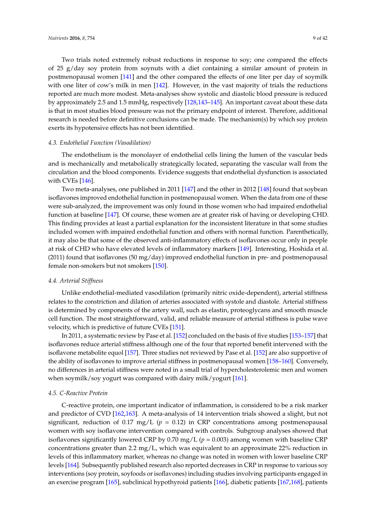Two trials noted extremely robust reductions in response to soy; one compared the effects of 25 g/day soy protein from soynuts with a diet containing a similar amount of protein in postmenopausal women [\[141\]](#page-26-5) and the other compared the effects of one liter per day of soymilk with one liter of cow's milk in men [\[142\]](#page-26-6). However, in the vast majority of trials the reductions reported are much more modest. Meta-analyses show systolic and diastolic blood pressure is reduced by approximately 2.5 and 1.5 mmHg, respectively [\[128](#page-25-13)[,143](#page-26-7)[–145\]](#page-26-8). An important caveat about these data is that in most studies blood pressure was not the primary endpoint of interest. Therefore, additional research is needed before definitive conclusions can be made. The mechanism(s) by which soy protein exerts its hypotensive effects has not been identified.

#### *4.3. Endothelial Function (Vasodilation)*

The endothelium is the monolayer of endothelial cells lining the lumen of the vascular beds and is mechanically and metabolically strategically located, separating the vascular wall from the circulation and the blood components. Evidence suggests that endothelial dysfunction is associated with CVEs [\[146\]](#page-26-9).

Two meta-analyses, one published in 2011 [\[147\]](#page-26-10) and the other in 2012 [\[148\]](#page-26-11) found that soybean isoflavones improved endothelial function in postmenopausal women. When the data from one of these were sub-analyzed, the improvement was only found in those women who had impaired endothelial function at baseline [\[147\]](#page-26-10). Of course, these women are at greater risk of having or developing CHD. This finding provides at least a partial explanation for the inconsistent literature in that some studies included women with impaired endothelial function and others with normal function. Parenthetically, it may also be that some of the observed anti-inflammatory effects of isoflavones occur only in people at risk of CHD who have elevated levels of inflammatory markers [\[149\]](#page-26-12). Interesting, Hoshida et al. (2011) found that isoflavones (50 mg/day) improved endothelial function in pre- and postmenopausal female non-smokers but not smokers [\[150\]](#page-26-13).

## *4.4. Arterial Stiffness*

Unlike endothelial-mediated vasodilation (primarily nitric oxide-dependent), arterial stiffness relates to the constriction and dilation of arteries associated with systole and diastole. Arterial stiffness is determined by components of the artery wall, such as elastin, proteoglycans and smooth muscle cell function. The most straightforward, valid, and reliable measure of arterial stiffness is pulse wave velocity, which is predictive of future CVEs [\[151\]](#page-26-14).

In 2011, a systematic review by Pase et al. [\[152\]](#page-26-15) concluded on the basis of five studies [\[153–](#page-26-16)[157\]](#page-27-0) that isoflavones reduce arterial stiffness although one of the four that reported benefit intervened with the isoflavone metabolite equol [\[157\]](#page-27-0). Three studies not reviewed by Pase et al. [\[152\]](#page-26-15) are also supportive of the ability of isoflavones to improve arterial stiffness in postmenopausal women [\[158–](#page-27-1)[160\]](#page-27-2). Conversely, no differences in arterial stiffness were noted in a small trial of hypercholesterolemic men and women when soymilk/soy yogurt was compared with dairy milk/yogurt [\[161\]](#page-27-3).

#### *4.5. C-Reactive Protein*

C-reactive protein, one important indicator of inflammation, is considered to be a risk marker and predictor of CVD [\[162,](#page-27-4)[163\]](#page-27-5). A meta-analysis of 14 intervention trials showed a slight, but not significant, reduction of 0.17 mg/L ( $p = 0.12$ ) in CRP concentrations among postmenopausal women with soy isoflavone intervention compared with controls. Subgroup analyses showed that isoflavones significantly lowered CRP by 0.70 mg/L (*p* = 0.003) among women with baseline CRP concentrations greater than 2.2 mg/L, which was equivalent to an approximate 22% reduction in levels of this inflammatory marker, whereas no change was noted in women with lower baseline CRP levels [\[164\]](#page-27-6). Subsequently published research also reported decreases in CRP in response to various soy interventions (soy protein, soyfoods or isoflavones) including studies involving participants engaged in an exercise program [\[165\]](#page-27-7), subclinical hypothyroid patients [\[166\]](#page-27-8), diabetic patients [\[167,](#page-27-9)[168\]](#page-27-10), patients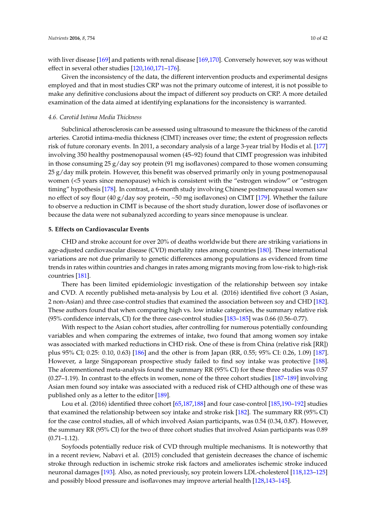with liver disease [\[169\]](#page-27-11) and patients with renal disease [\[169](#page-27-11)[,170\]](#page-27-12). Conversely however, soy was without effect in several other studies [\[120](#page-25-4)[,160](#page-27-2)[,171](#page-27-13)[–176\]](#page-28-0).

Given the inconsistency of the data, the different intervention products and experimental designs employed and that in most studies CRP was not the primary outcome of interest, it is not possible to make any definitive conclusions about the impact of different soy products on CRP. A more detailed examination of the data aimed at identifying explanations for the inconsistency is warranted.

#### *4.6. Carotid Intima Media Thickness*

Subclinical atherosclerosis can be assessed using ultrasound to measure the thickness of the carotid arteries. Carotid intima-media thickness (CIMT) increases over time; the extent of progression reflects risk of future coronary events. In 2011, a secondary analysis of a large 3-year trial by Hodis et al. [\[177\]](#page-28-1) involving 350 healthy postmenopausal women (45–92) found that CIMT progression was inhibited in those consuming  $25 g/day$  soy protein (91 mg isoflavones) compared to those women consuming 25 g/day milk protein. However, this benefit was observed primarily only in young postmenopausal women (<5 years since menopause) which is consistent with the "estrogen window" or "estrogen timing" hypothesis [\[178\]](#page-28-2). In contrast, a 6-month study involving Chinese postmenopausal women saw no effect of soy flour (40 g/day soy protein, ~50 mg isoflavones) on CIMT [\[179\]](#page-28-3). Whether the failure to observe a reduction in CIMT is because of the short study duration, lower dose of isoflavones or because the data were not subanalyzed according to years since menopause is unclear.

#### **5. Effects on Cardiovascular Events**

CHD and stroke account for over 20% of deaths worldwide but there are striking variations in age-adjusted cardiovascular disease (CVD) mortality rates among countries [\[180\]](#page-28-4). These international variations are not due primarily to genetic differences among populations as evidenced from time trends in rates within countries and changes in rates among migrants moving from low-risk to high-risk countries [\[181\]](#page-28-5).

There has been limited epidemiologic investigation of the relationship between soy intake and CVD. A recently published meta-analysis by Lou et al. (2016) identified five cohort (3 Asian, 2 non-Asian) and three case-control studies that examined the association between soy and CHD [\[182\]](#page-28-6). These authors found that when comparing high vs. low intake categories, the summary relative risk (95% confidence intervals, CI) for the three case-control studies [\[183–](#page-28-7)[185\]](#page-28-8) was 0.66 (0.56–0.77).

With respect to the Asian cohort studies, after controlling for numerous potentially confounding variables and when comparing the extremes of intake, two found that among women soy intake was associated with marked reductions in CHD risk. One of these is from China (relative risk [RR]) plus 95% CI; 0.25: 0.10, 0.63) [\[186\]](#page-28-9) and the other is from Japan (RR, 0.55; 95% CI: 0.26, 1.09) [\[187\]](#page-28-10). However, a large Singaporean prospective study failed to find soy intake was protective [\[188\]](#page-28-11). The aforementioned meta-analysis found the summary RR (95% CI) for these three studies was 0.57 (0.27–1.19). In contrast to the effects in women, none of the three cohort studies [\[187–](#page-28-10)[189\]](#page-28-12) involving Asian men found soy intake was associated with a reduced risk of CHD although one of these was published only as a letter to the editor [\[189\]](#page-28-12).

Lou et al. (2016) identified three cohort [\[65](#page-22-14)[,187,](#page-28-10)[188\]](#page-28-11) and four case-control [\[185](#page-28-8)[,190–](#page-28-13)[192\]](#page-28-14) studies that examined the relationship between soy intake and stroke risk [\[182\]](#page-28-6). The summary RR (95% CI) for the case control studies, all of which involved Asian participants, was 0.54 (0.34, 0.87). However, the summary RR (95% CI) for the two of three cohort studies that involved Asian participants was 0.89 (0.71–1.12).

Soyfoods potentially reduce risk of CVD through multiple mechanisms. It is noteworthy that in a recent review, Nabavi et al. (2015) concluded that genistein decreases the chance of ischemic stroke through reduction in ischemic stroke risk factors and ameliorates ischemic stroke induced neuronal damages [\[193\]](#page-29-0). Also, as noted previously, soy protein lowers LDL-cholesterol [\[118,](#page-25-2)[123](#page-25-8)[–125\]](#page-25-9) and possibly blood pressure and isoflavones may improve arterial health [\[128,](#page-25-13)[143–](#page-26-7)[145\]](#page-26-8).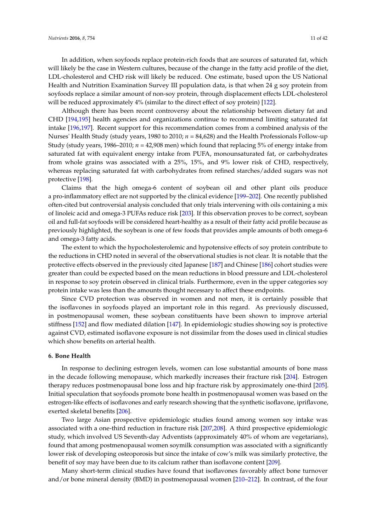In addition, when soyfoods replace protein-rich foods that are sources of saturated fat, which will likely be the case in Western cultures, because of the change in the fatty acid profile of the diet, LDL-cholesterol and CHD risk will likely be reduced. One estimate, based upon the US National Health and Nutrition Examination Survey III population data, is that when 24 g soy protein from soyfoods replace a similar amount of non-soy protein, through displacement effects LDL-cholesterol will be reduced approximately 4% (similar to the direct effect of soy protein) [\[122\]](#page-25-6).

Although there has been recent controversy about the relationship between dietary fat and CHD [\[194](#page-29-1)[,195\]](#page-29-2) health agencies and organizations continue to recommend limiting saturated fat intake [\[196](#page-29-3)[,197\]](#page-29-4). Recent support for this recommendation comes from a combined analysis of the Nurses' Health Study (study years, 1980 to 2010; *n* = 84,628) and the Health Professionals Follow-up Study (study years, 1986–2010; *n* = 42,908 men) which found that replacing 5% of energy intake from saturated fat with equivalent energy intake from PUFA, monounsaturated fat, or carbohydrates from whole grains was associated with a 25%, 15%, and 9% lower risk of CHD, respectively, whereas replacing saturated fat with carbohydrates from refined starches/added sugars was not protective [\[198\]](#page-29-5).

Claims that the high omega-6 content of soybean oil and other plant oils produce a pro-inflammatory effect are not supported by the clinical evidence [\[199](#page-29-6)[–202\]](#page-29-7). One recently published often-cited but controversial analysis concluded that only trials intervening with oils containing a mix of linoleic acid and omega-3 PUFAs reduce risk [\[203\]](#page-29-8). If this observation proves to be correct, soybean oil and full-fat soyfoods will be considered heart-healthy as a result of their fatty acid profile because as previously highlighted, the soybean is one of few foods that provides ample amounts of both omega-6 and omega-3 fatty acids.

The extent to which the hypocholesterolemic and hypotensive effects of soy protein contribute to the reductions in CHD noted in several of the observational studies is not clear. It is notable that the protective effects observed in the previously cited Japanese [\[187\]](#page-28-10) and Chinese [\[186\]](#page-28-9) cohort studies were greater than could be expected based on the mean reductions in blood pressure and LDL-cholesterol in response to soy protein observed in clinical trials. Furthermore, even in the upper categories soy protein intake was less than the amounts thought necessary to affect these endpoints.

Since CVD protection was observed in women and not men, it is certainly possible that the isoflavones in soyfoods played an important role in this regard. As previously discussed, in postmenopausal women, these soybean constituents have been shown to improve arterial stiffness [\[152\]](#page-26-15) and flow mediated dilation [\[147\]](#page-26-10). In epidemiologic studies showing soy is protective against CVD, estimated isoflavone exposure is not dissimilar from the doses used in clinical studies which show benefits on arterial health.

## **6. Bone Health**

In response to declining estrogen levels, women can lose substantial amounts of bone mass in the decade following menopause, which markedly increases their fracture risk [\[204\]](#page-29-9). Estrogen therapy reduces postmenopausal bone loss and hip fracture risk by approximately one-third [\[205\]](#page-29-10). Initial speculation that soyfoods promote bone health in postmenopausal women was based on the estrogen-like effects of isoflavones and early research showing that the synthetic isoflavone, ipriflavone, exerted skeletal benefits [\[206\]](#page-29-11).

Two large Asian prospective epidemiologic studies found among women soy intake was associated with a one-third reduction in fracture risk [\[207,](#page-29-12)[208\]](#page-29-13). A third prospective epidemiologic study, which involved US Seventh-day Adventists (approximately 40% of whom are vegetarians), found that among postmenopausal women soymilk consumption was associated with a significantly lower risk of developing osteoporosis but since the intake of cow's milk was similarly protective, the benefit of soy may have been due to its calcium rather than isoflavone content [\[209\]](#page-29-14).

Many short-term clinical studies have found that isoflavones favorably affect bone turnover and/or bone mineral density (BMD) in postmenopausal women [\[210–](#page-30-0)[212\]](#page-30-1). In contrast, of the four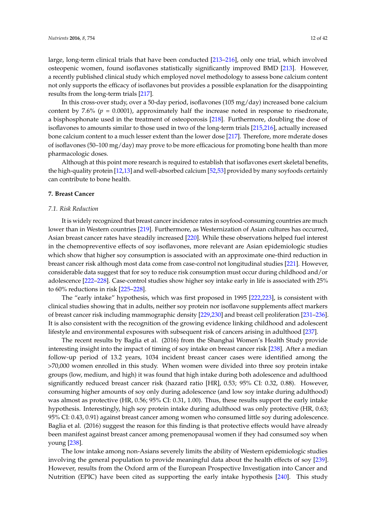large, long-term clinical trials that have been conducted [\[213–](#page-30-2)[216\]](#page-30-3), only one trial, which involved osteopenic women, found isoflavones statistically significantly improved BMD [\[213\]](#page-30-2). However, a recently published clinical study which employed novel methodology to assess bone calcium content not only supports the efficacy of isoflavones but provides a possible explanation for the disappointing results from the long-term trials [\[217\]](#page-30-4).

In this cross-over study, over a 50-day period, isoflavones (105 mg/day) increased bone calcium content by 7.6% ( $p = 0.0001$ ), approximately half the increase noted in response to risedronate, a bisphosphonate used in the treatment of osteoporosis [\[218\]](#page-30-5). Furthermore, doubling the dose of isoflavones to amounts similar to those used in two of the long-term trials [\[215,](#page-30-6)[216\]](#page-30-3), actually increased bone calcium content to a much lesser extent than the lower dose [\[217\]](#page-30-4). Therefore, more mderate doses of isoflavones (50–100 mg/day) may prove to be more efficacious for promoting bone health than more pharmacologic doses.

Although at this point more research is required to establish that isoflavones exert skeletal benefits, the high-quality protein [\[12,](#page-20-2)[13\]](#page-20-3) and well-absorbed calcium [\[52](#page-21-16)[,53\]](#page-22-0) provided by many soyfoods certainly can contribute to bone health.

## **7. Breast Cancer**

#### *7.1. Risk Reduction*

It is widely recognized that breast cancer incidence rates in soyfood-consuming countries are much lower than in Western countries [\[219\]](#page-30-7). Furthermore, as Westernization of Asian cultures has occurred, Asian breast cancer rates have steadily increased [\[220\]](#page-30-8). While these observations helped fuel interest in the chemopreventive effects of soy isoflavones, more relevant are Asian epidemiologic studies which show that higher soy consumption is associated with an approximate one-third reduction in breast cancer risk although most data come from case-control not longitudinal studies [\[221\]](#page-30-9). However, considerable data suggest that for soy to reduce risk consumption must occur during childhood and/or adolescence [\[222–](#page-30-10)[228\]](#page-31-0). Case-control studies show higher soy intake early in life is associated with 25% to 60% reductions in risk [\[225](#page-30-11)[–228\]](#page-31-0).

The "early intake" hypothesis, which was first proposed in 1995 [\[222,](#page-30-10)[223\]](#page-30-12), is consistent with clinical studies showing that in adults, neither soy protein nor isoflavone supplements affect markers of breast cancer risk including mammographic density [\[229,](#page-31-1)[230\]](#page-31-2) and breast cell proliferation [\[231–](#page-31-3)[236\]](#page-31-4). It is also consistent with the recognition of the growing evidence linking childhood and adolescent lifestyle and environmental exposures with subsequent risk of cancers arising in adulthood [\[237\]](#page-31-5).

The recent results by Baglia et al. (2016) from the Shanghai Women's Health Study provide interesting insight into the impact of timing of soy intake on breast cancer risk [\[238\]](#page-31-6). After a median follow-up period of 13.2 years, 1034 incident breast cancer cases were identified among the >70,000 women enrolled in this study. When women were divided into three soy protein intake groups (low, medium, and high) it was found that high intake during both adolescence and adulthood significantly reduced breast cancer risk (hazard ratio [HR], 0.53; 95% CI: 0.32, 0.88). However, consuming higher amounts of soy only during adolescence (and low soy intake during adulthood) was almost as protective (HR, 0.56; 95% CI: 0.31, 1.00). Thus, these results support the early intake hypothesis. Interestingly, high soy protein intake during adulthood was only protective (HR, 0.63; 95% CI: 0.43, 0.91) against breast cancer among women who consumed little soy during adolescence. Baglia et al. (2016) suggest the reason for this finding is that protective effects would have already been manifest against breast cancer among premenopausal women if they had consumed soy when young [\[238\]](#page-31-6).

The low intake among non-Asians severely limits the ability of Western epidemiologic studies involving the general population to provide meaningful data about the health effects of soy [\[239\]](#page-31-7). However, results from the Oxford arm of the European Prospective Investigation into Cancer and Nutrition (EPIC) have been cited as supporting the early intake hypothesis [\[240\]](#page-31-8). This study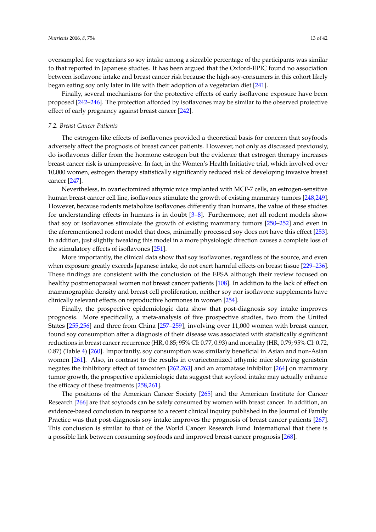oversampled for vegetarians so soy intake among a sizeable percentage of the participants was similar to that reported in Japanese studies. It has been argued that the Oxford-EPIC found no association between isoflavone intake and breast cancer risk because the high-soy-consumers in this cohort likely began eating soy only later in life with their adoption of a vegetarian diet [\[241\]](#page-31-9).

Finally, several mechanisms for the protective effects of early isoflavone exposure have been proposed [\[242](#page-31-10)[–246\]](#page-31-11). The protection afforded by isoflavones may be similar to the observed protective effect of early pregnancy against breast cancer [\[242\]](#page-31-10).

## *7.2. Breast Cancer Patients*

The estrogen-like effects of isoflavones provided a theoretical basis for concern that soyfoods adversely affect the prognosis of breast cancer patients. However, not only as discussed previously, do isoflavones differ from the hormone estrogen but the evidence that estrogen therapy increases breast cancer risk is unimpressive. In fact, in the Women's Health Initiative trial, which involved over 10,000 women, estrogen therapy statistically significantly reduced risk of developing invasive breast cancer [\[247\]](#page-32-0).

Nevertheless, in ovariectomized athymic mice implanted with MCF-7 cells, an estrogen-sensitive human breast cancer cell line, isoflavones stimulate the growth of existing mammary tumors [\[248](#page-32-1)[,249\]](#page-32-2). However, because rodents metabolize isoflavones differently than humans, the value of these studies for understanding effects in humans is in doubt [\[3](#page-19-2)[–8\]](#page-19-4). Furthermore, not all rodent models show that soy or isoflavones stimulate the growth of existing mammary tumors [\[250–](#page-32-3)[252\]](#page-32-4) and even in the aforementioned rodent model that does, minimally processed soy does not have this effect [\[253\]](#page-32-5). In addition, just slightly tweaking this model in a more physiologic direction causes a complete loss of the stimulatory effects of isoflavones [\[251\]](#page-32-6).

More importantly, the clinical data show that soy isoflavones, regardless of the source, and even when exposure greatly exceeds Japanese intake, do not exert harmful effects on breast tissue [\[229–](#page-31-1)[236\]](#page-31-4). These findings are consistent with the conclusion of the EFSA although their review focused on healthy postmenopausal women not breast cancer patients [\[108\]](#page-24-10). In addition to the lack of effect on mammographic density and breast cell proliferation, neither soy nor isoflavone supplements have clinically relevant effects on reproductive hormones in women [\[254\]](#page-32-7).

Finally, the prospective epidemiologic data show that post-diagnosis soy intake improves prognosis. More specifically, a meta-analysis of five prospective studies, two from the United States [\[255](#page-32-8)[,256\]](#page-32-9) and three from China [\[257](#page-32-10)[–259\]](#page-32-11), involving over 11,000 women with breast cancer, found soy consumption after a diagnosis of their disease was associated with statistically significant reductions in breast cancer recurrence (HR, 0.85; 95% CI: 0.77, 0.93) and mortality (HR, 0.79; 95% CI: 0.72, 0.87) (Table [4\)](#page-13-0) [\[260\]](#page-32-12). Importantly, soy consumption was similarly beneficial in Asian and non-Asian women [\[261\]](#page-32-13). Also, in contrast to the results in ovariectomized athymic mice showing genistein negates the inhibitory effect of tamoxifen [\[262,](#page-32-14)[263\]](#page-32-15) and an aromatase inhibitor [\[264\]](#page-32-16) on mammary tumor growth, the prospective epidemiologic data suggest that soyfood intake may actually enhance the efficacy of these treatments [\[258](#page-32-17)[,261\]](#page-32-13).

The positions of the American Cancer Society [\[265\]](#page-33-0) and the American Institute for Cancer Research [\[266\]](#page-33-1) are that soyfoods can be safely consumed by women with breast cancer. In addition, an evidence-based conclusion in response to a recent clinical inquiry published in the Journal of Family Practice was that post-diagnosis soy intake improves the prognosis of breast cancer patients [\[267\]](#page-33-2). This conclusion is similar to that of the World Cancer Research Fund International that there is a possible link between consuming soyfoods and improved breast cancer prognosis [\[268\]](#page-33-3).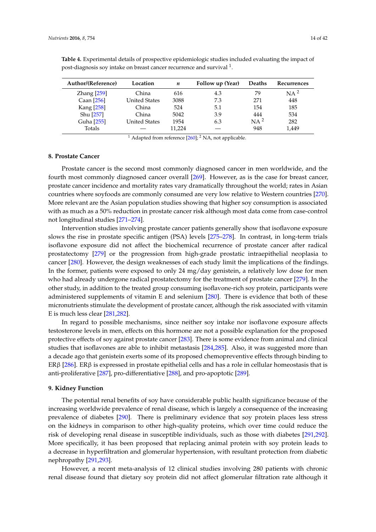| Author/(Reference)     | Location             | n      | Follow up (Year) | <b>Deaths</b> | Recurrences     |
|------------------------|----------------------|--------|------------------|---------------|-----------------|
| $\text{Zhang}$ $[259]$ | China                | 616    | 4.3              | 79            | NA <sup>2</sup> |
| Caan [256]             | <b>United States</b> | 3088   | 7.3              | 271           | 448             |
| Kang [258]             | China                | 524    | 5.1              | 154           | 185             |
| Shu [257]              | China                | 5042   | 3.9              | 444           | 534             |
| Guha [255]             | <b>United States</b> | 1954   | 6.3              | $NA^2$        | 282             |
| Totals                 |                      | 11.224 |                  | 948           | 1.449           |

<span id="page-13-0"></span>**Table 4.** Experimental details of prospective epidemiologic studies included evaluating the impact of post-diagnosis soy intake on breast cancer recurrence and survival  $^1$ .

<sup>1</sup> Adapted from reference  $[260]$ ; <sup>2</sup> NA, not applicable.

## **8. Prostate Cancer**

Prostate cancer is the second most commonly diagnosed cancer in men worldwide, and the fourth most commonly diagnosed cancer overall [\[269\]](#page-33-4). However, as is the case for breast cancer, prostate cancer incidence and mortality rates vary dramatically throughout the world; rates in Asian countries where soyfoods are commonly consumed are very low relative to Western countries [\[270\]](#page-33-5). More relevant are the Asian population studies showing that higher soy consumption is associated with as much as a 50% reduction in prostate cancer risk although most data come from case-control not longitudinal studies [\[271–](#page-33-6)[274\]](#page-33-7).

Intervention studies involving prostate cancer patients generally show that isoflavone exposure slows the rise in prostate specific antigen (PSA) levels [\[275–](#page-33-8)[278\]](#page-33-9). In contrast, in long-term trials isoflavone exposure did not affect the biochemical recurrence of prostate cancer after radical prostatectomy [\[279\]](#page-33-10) or the progression from high-grade prostatic intraepithelial neoplasia to cancer [\[280\]](#page-33-11). However, the design weaknesses of each study limit the implications of the findings. In the former, patients were exposed to only 24 mg/day genistein, a relatively low dose for men who had already undergone radical prostatectomy for the treatment of prostate cancer [\[279\]](#page-33-10). In the other study, in addition to the treated group consuming isoflavone-rich soy protein, participants were administered supplements of vitamin E and selenium [\[280\]](#page-33-11). There is evidence that both of these micronutrients stimulate the development of prostate cancer, although the risk associated with vitamin E is much less clear [\[281,](#page-33-12)[282\]](#page-33-13).

In regard to possible mechanisms, since neither soy intake nor isoflavone exposure affects testosterone levels in men, effects on this hormone are not a possible explanation for the proposed protective effects of soy against prostate cancer [\[283\]](#page-33-14). There is some evidence from animal and clinical studies that isoflavones are able to inhibit metastasis [\[284](#page-34-0)[,285\]](#page-34-1). Also, it was suggested more than a decade ago that genistein exerts some of its proposed chemopreventive effects through binding to ERβ [\[286\]](#page-34-2). ERβ is expressed in prostate epithelial cells and has a role in cellular homeostasis that is anti-proliferative [\[287\]](#page-34-3), pro-differentiative [\[288\]](#page-34-4), and pro-apoptotic [\[289\]](#page-34-5).

## **9. Kidney Function**

The potential renal benefits of soy have considerable public health significance because of the increasing worldwide prevalence of renal disease, which is largely a consequence of the increasing prevalence of diabetes [\[290\]](#page-34-6). There is preliminary evidence that soy protein places less stress on the kidneys in comparison to other high-quality proteins, which over time could reduce the risk of developing renal disease in susceptible individuals, such as those with diabetes [\[291,](#page-34-7)[292\]](#page-34-8). More specifically, it has been proposed that replacing animal protein with soy protein leads to a decrease in hyperfiltration and glomerular hypertension, with resultant protection from diabetic nephropathy [\[291](#page-34-7)[,293\]](#page-34-9).

However, a recent meta-analysis of 12 clinical studies involving 280 patients with chronic renal disease found that dietary soy protein did not affect glomerular filtration rate although it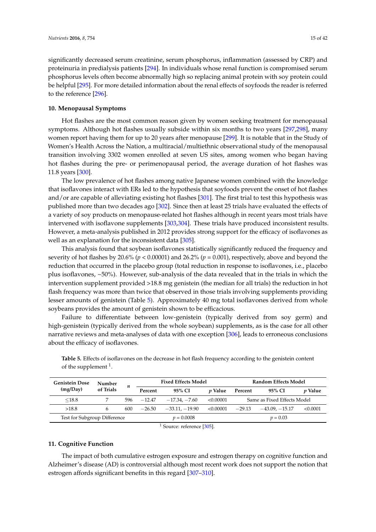significantly decreased serum creatinine, serum phosphorus, inflammation (assessed by CRP) and proteinuria in predialysis patients [\[294\]](#page-34-10). In individuals whose renal function is compromised serum phosphorus levels often become abnormally high so replacing animal protein with soy protein could be helpful [\[295\]](#page-34-11). For more detailed information about the renal effects of soyfoods the reader is referred to the reference [\[296\]](#page-34-12).

## **10. Menopausal Symptoms**

Hot flashes are the most common reason given by women seeking treatment for menopausal symptoms. Although hot flashes usually subside within six months to two years [\[297](#page-34-13)[,298\]](#page-34-14), many women report having them for up to 20 years after menopause [\[299\]](#page-34-15). It is notable that in the Study of Women's Health Across the Nation, a multiracial/multiethnic observational study of the menopausal transition involving 3302 women enrolled at seven US sites, among women who began having hot flashes during the pre- or perimenopausal period, the average duration of hot flashes was 11.8 years [\[300\]](#page-34-16).

The low prevalence of hot flashes among native Japanese women combined with the knowledge that isoflavones interact with ERs led to the hypothesis that soyfoods prevent the onset of hot flashes and/or are capable of alleviating existing hot flashes [\[301\]](#page-34-17). The first trial to test this hypothesis was published more than two decades ago [\[302\]](#page-34-18). Since then at least 25 trials have evaluated the effects of a variety of soy products on menopause-related hot flashes although in recent years most trials have intervened with isoflavone supplements [\[303](#page-34-19)[,304\]](#page-34-20). These trials have produced inconsistent results. However, a meta-analysis published in 2012 provides strong support for the efficacy of isoflavones as well as an explanation for the inconsistent data [\[305\]](#page-35-0).

This analysis found that soybean isoflavones statistically significantly reduced the frequency and severity of hot flashes by 20.6% (*p* < 0.00001) and 26.2% (*p* = 0.001), respectively, above and beyond the reduction that occurred in the placebo group (total reduction in response to isoflavones, i.e., placebo plus isoflavones, ~50%). However, sub-analysis of the data revealed that in the trials in which the intervention supplement provided >18.8 mg genistein (the median for all trials) the reduction in hot flash frequency was more than twice that observed in those trials involving supplements providing lesser amounts of genistein (Table [5\)](#page-14-0). Approximately 40 mg total isoflavones derived from whole soybeans provides the amount of genistein shown to be efficacious.

Failure to differentiate between low-genistein (typically derived from soy germ) and high-genistein (typically derived from the whole soybean) supplements, as is the case for all other narrative reviews and meta-analyses of data with one exception [\[306\]](#page-35-1), leads to erroneous conclusions about the efficacy of isoflavones.

| <b>Genistein Dose</b><br>(mg/Day) | Number    | п   |          | <b>Fixed Effects Model</b> |                | <b>Random Effects Model</b> |                  |                |  |
|-----------------------------------|-----------|-----|----------|----------------------------|----------------|-----------------------------|------------------|----------------|--|
|                                   | of Trials |     | Percent  | 95% CI                     | <i>v</i> Value | Percent                     | 95% CI           | <i>v</i> Value |  |
| $\leq$ 18.8                       |           | 596 | $-12.47$ | $-17.34, -7.60$            | < 0.00001      | Same as Fixed Effects Model |                  |                |  |
| >18.8                             | h         | 600 | $-26.50$ | $-33.11$ , $-19.90$        | < 0.00001      | $-29.13$                    | $-43.09. -15.17$ | < 0.0001       |  |
| Test for Subgroup Difference      |           |     |          | $p = 0.0008$               |                | $v = 0.03$                  |                  |                |  |

<span id="page-14-0"></span>**Table 5.** Effects of isoflavones on the decrease in hot flash frequency according to the genistein content of the supplement <sup>1</sup>.

<sup>1</sup> Source: reference [\[305\]](#page-35-0).

## **11. Cognitive Function**

The impact of both cumulative estrogen exposure and estrogen therapy on cognitive function and Alzheimer's disease (AD) is controversial although most recent work does not support the notion that estrogen affords significant benefits in this regard [\[307–](#page-35-2)[310\]](#page-35-3).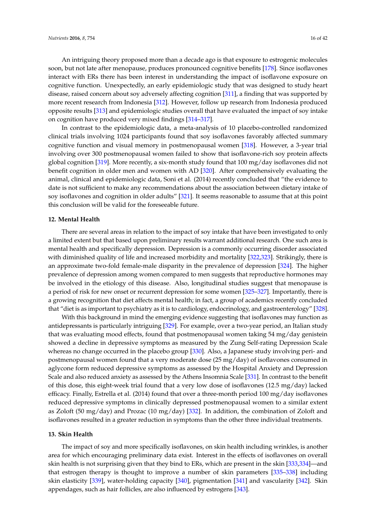An intriguing theory proposed more than a decade ago is that exposure to estrogenic molecules soon, but not late after menopause, produces pronounced cognitive benefits [\[178\]](#page-28-2). Since isoflavones interact with ERs there has been interest in understanding the impact of isoflavone exposure on cognitive function. Unexpectedly, an early epidemiologic study that was designed to study heart disease, raised concern about soy adversely affecting cognition [\[311\]](#page-35-4), a finding that was supported by more recent research from Indonesia [\[312\]](#page-35-5). However, follow up research from Indonesia produced opposite results [\[313\]](#page-35-6) and epidemiologic studies overall that have evaluated the impact of soy intake on cognition have produced very mixed findings [\[314–](#page-35-7)[317\]](#page-35-8).

In contrast to the epidemiologic data, a meta-analysis of 10 placebo-controlled randomized clinical trials involving 1024 participants found that soy isoflavones favorably affected summary cognitive function and visual memory in postmenopausal women [\[318\]](#page-35-9). However, a 3-year trial involving over 300 postmenopausal women failed to show that isoflavone-rich soy protein affects global cognition [\[319\]](#page-35-10). More recently, a six-month study found that 100 mg/day isoflavones did not benefit cognition in older men and women with AD [\[320\]](#page-35-11). After comprehensively evaluating the animal, clinical and epidemiologic data, Soni et al. (2014) recently concluded that "the evidence to date is not sufficient to make any recommendations about the association between dietary intake of soy isoflavones and cognition in older adults" [\[321\]](#page-35-12). It seems reasonable to assume that at this point this conclusion will be valid for the foreseeable future.

#### **12. Mental Health**

There are several areas in relation to the impact of soy intake that have been investigated to only a limited extent but that based upon preliminary results warrant additional research. One such area is mental health and specifically depression. Depression is a commonly occurring disorder associated with diminished quality of life and increased morbidity and mortality [\[322](#page-35-13)[,323\]](#page-35-14). Strikingly, there is an approximate two-fold female-male disparity in the prevalence of depression [\[324\]](#page-36-0). The higher prevalence of depression among women compared to men suggests that reproductive hormones may be involved in the etiology of this disease. Also, longitudinal studies suggest that menopause is a period of risk for new onset or recurrent depression for some women [\[325–](#page-36-1)[327\]](#page-36-2). Importantly, there is a growing recognition that diet affects mental health; in fact, a group of academics recently concluded that "diet is as important to psychiatry as it is to cardiology, endocrinology, and gastroenterology" [\[328\]](#page-36-3).

With this background in mind the emerging evidence suggesting that isoflavones may function as antidepressants is particularly intriguing [\[329\]](#page-36-4). For example, over a two-year period, an Italian study that was evaluating mood effects, found that postmenopausal women taking 54 mg/day genistein showed a decline in depressive symptoms as measured by the Zung Self-rating Depression Scale whereas no change occurred in the placebo group [\[330\]](#page-36-5). Also, a Japanese study involving peri- and postmenopausal women found that a very moderate dose (25 mg/day) of isoflavones consumed in aglycone form reduced depressive symptoms as assessed by the Hospital Anxiety and Depression Scale and also reduced anxiety as assessed by the Athens Insomnia Scale [\[331\]](#page-36-6). In contrast to the benefit of this dose, this eight-week trial found that a very low dose of isoflavones (12.5 mg/day) lacked efficacy. Finally, Estrella et al. (2014) found that over a three-month period 100 mg/day isoflavones reduced depressive symptoms in clinically depressed postmenopausal women to a similar extent as Zoloft (50 mg/day) and Prozac (10 mg/day) [\[332\]](#page-36-7). In addition, the combination of Zoloft and isoflavones resulted in a greater reduction in symptoms than the other three individual treatments.

## **13. Skin Health**

The impact of soy and more specifically isoflavones, on skin health including wrinkles, is another area for which encouraging preliminary data exist. Interest in the effects of isoflavones on overall skin health is not surprising given that they bind to ERs, which are present in the skin [\[333](#page-36-8)[,334\]](#page-36-9)—and that estrogen therapy is thought to improve a number of skin parameters [\[335–](#page-36-10)[338\]](#page-36-11) including skin elasticity [\[339\]](#page-36-12), water-holding capacity [\[340\]](#page-36-13), pigmentation [\[341\]](#page-36-14) and vascularity [\[342\]](#page-36-15). Skin appendages, such as hair follicles, are also influenced by estrogens [\[343\]](#page-36-16).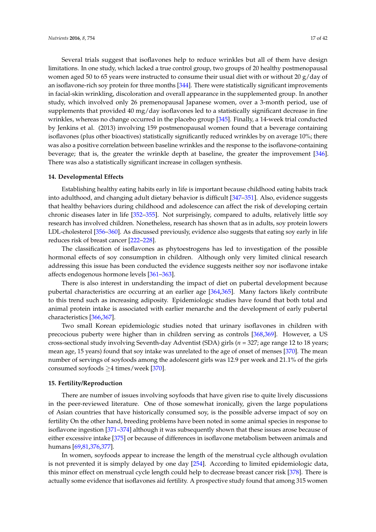Several trials suggest that isoflavones help to reduce wrinkles but all of them have design limitations. In one study, which lacked a true control group, two groups of 20 healthy postmenopausal women aged 50 to 65 years were instructed to consume their usual diet with or without 20  $\frac{g}{day}$  of an isoflavone-rich soy protein for three months [\[344\]](#page-37-0). There were statistically significant improvements in facial-skin wrinkling, discoloration and overall appearance in the supplemented group. In another study, which involved only 26 premenopausal Japanese women, over a 3-month period, use of supplements that provided 40 mg/day isoflavones led to a statistically significant decrease in fine wrinkles, whereas no change occurred in the placebo group [\[345\]](#page-37-1). Finally, a 14-week trial conducted by Jenkins et al. (2013) involving 159 postmenopausal women found that a beverage containing isoflavones (plus other bioactives) statistically significantly reduced wrinkles by on average 10%; there was also a positive correlation between baseline wrinkles and the response to the isoflavone-containing beverage; that is, the greater the wrinkle depth at baseline, the greater the improvement [\[346\]](#page-37-2). There was also a statistically significant increase in collagen synthesis.

## **14. Developmental Effects**

Establishing healthy eating habits early in life is important because childhood eating habits track into adulthood, and changing adult dietary behavior is difficult [\[347–](#page-37-3)[351\]](#page-37-4). Also, evidence suggests that healthy behaviors during childhood and adolescence can affect the risk of developing certain chronic diseases later in life [\[352–](#page-37-5)[355\]](#page-37-6). Not surprisingly, compared to adults, relatively little soy research has involved children. Nonetheless, research has shown that as in adults, soy protein lowers LDL-cholesterol [\[356–](#page-37-7)[360\]](#page-37-8). As discussed previously, evidence also suggests that eating soy early in life reduces risk of breast cancer [\[222](#page-30-10)[–228\]](#page-31-0).

The classification of isoflavones as phytoestrogens has led to investigation of the possible hormonal effects of soy consumption in children. Although only very limited clinical research addressing this issue has been conducted the evidence suggests neither soy nor isoflavone intake affects endogenous hormone levels [\[361–](#page-37-9)[363\]](#page-37-10).

There is also interest in understanding the impact of diet on pubertal development because pubertal characteristics are occurring at an earlier age [\[364,](#page-37-11)[365\]](#page-38-0). Many factors likely contribute to this trend such as increasing adiposity. Epidemiologic studies have found that both total and animal protein intake is associated with earlier menarche and the development of early pubertal characteristics [\[366,](#page-38-1)[367\]](#page-38-2).

Two small Korean epidemiologic studies noted that urinary isoflavones in children with precocious puberty were higher than in children serving as controls [\[368](#page-38-3)[,369\]](#page-38-4). However, a US cross-sectional study involving Seventh-day Adventist (SDA) girls (*n* = 327; age range 12 to 18 years; mean age, 15 years) found that soy intake was unrelated to the age of onset of menses [\[370\]](#page-38-5). The mean number of servings of soyfoods among the adolescent girls was 12.9 per week and 21.1% of the girls consumed soyfoods  $\geq$ 4 times/week [\[370\]](#page-38-5).

## **15. Fertility/Reproduction**

There are number of issues involving soyfoods that have given rise to quite lively discussions in the peer-reviewed literature. One of those somewhat ironically, given the large populations of Asian countries that have historically consumed soy, is the possible adverse impact of soy on fertility On the other hand, breeding problems have been noted in some animal species in response to isoflavone ingestion [\[371](#page-38-6)[–374\]](#page-38-7) although it was subsequently shown that these issues arose because of either excessive intake [\[375\]](#page-38-8) or because of differences in isoflavone metabolism between animals and humans [\[69](#page-22-10)[,81](#page-23-4)[,376](#page-38-9)[,377\]](#page-38-10).

In women, soyfoods appear to increase the length of the menstrual cycle although ovulation is not prevented it is simply delayed by one day [\[254\]](#page-32-7). According to limited epidemiologic data, this minor effect on menstrual cycle length could help to decrease breast cancer risk [\[378\]](#page-38-11). There is actually some evidence that isoflavones aid fertility. A prospective study found that among 315 women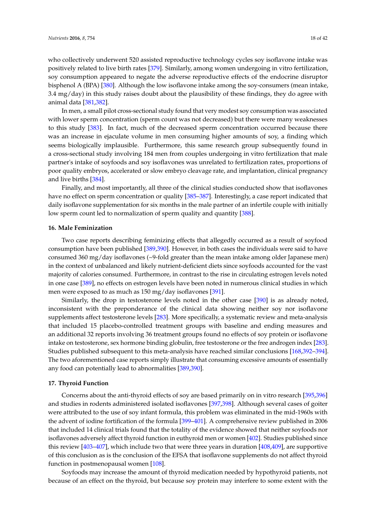who collectively underwent 520 assisted reproductive technology cycles soy isoflavone intake was positively related to live birth rates [\[379\]](#page-38-12). Similarly, among women undergoing in vitro fertilization, soy consumption appeared to negate the adverse reproductive effects of the endocrine disruptor bisphenol A (BPA) [\[380\]](#page-38-13). Although the low isoflavone intake among the soy-consumers (mean intake, 3.4 mg/day) in this study raises doubt about the plausibility of these findings, they do agree with animal data [\[381](#page-38-14)[,382\]](#page-38-15).

In men, a small pilot cross-sectional study found that very modest soy consumption was associated with lower sperm concentration (sperm count was not decreased) but there were many weaknesses to this study [\[383\]](#page-38-16). In fact, much of the decreased sperm concentration occurred because there was an increase in ejaculate volume in men consuming higher amounts of soy, a finding which seems biologically implausible. Furthermore, this same research group subsequently found in a cross-sectional study involving 184 men from couples undergoing in vitro fertilization that male partner's intake of soyfoods and soy isoflavones was unrelated to fertilization rates, proportions of poor quality embryos, accelerated or slow embryo cleavage rate, and implantation, clinical pregnancy and live births [\[384\]](#page-38-17).

Finally, and most importantly, all three of the clinical studies conducted show that isoflavones have no effect on sperm concentration or quality [\[385–](#page-39-0)[387\]](#page-39-1). Interestingly, a case report indicated that daily isoflavone supplementation for six months in the male partner of an infertile couple with initially low sperm count led to normalization of sperm quality and quantity [\[388\]](#page-39-2).

#### **16. Male Feminization**

Two case reports describing feminizing effects that allegedly occurred as a result of soyfood consumption have been published [\[389,](#page-39-3)[390\]](#page-39-4). However, in both cases the individuals were said to have consumed 360 mg/day isoflavones (~9-fold greater than the mean intake among older Japanese men) in the context of unbalanced and likely nutrient-deficient diets since soyfoods accounted for the vast majority of calories consumed. Furthermore, in contrast to the rise in circulating estrogen levels noted in one case [\[389\]](#page-39-3), no effects on estrogen levels have been noted in numerous clinical studies in which men were exposed to as much as 150 mg/day isoflavones [\[391\]](#page-39-5).

Similarly, the drop in testosterone levels noted in the other case [\[390\]](#page-39-4) is as already noted, inconsistent with the preponderance of the clinical data showing neither soy nor isoflavone supplements affect testosterone levels [\[283\]](#page-33-14). More specifically, a systematic review and meta-analysis that included 15 placebo-controlled treatment groups with baseline and ending measures and an additional 32 reports involving 36 treatment groups found no effects of soy protein or isoflavone intake on testosterone, sex hormone binding globulin, free testosterone or the free androgen index [\[283\]](#page-33-14). Studies published subsequent to this meta-analysis have reached similar conclusions [\[168,](#page-27-10)[392–](#page-39-6)[394\]](#page-39-7). The two aforementioned case reports simply illustrate that consuming excessive amounts of essentially any food can potentially lead to abnormalities [\[389,](#page-39-3)[390\]](#page-39-4).

## **17. Thyroid Function**

Concerns about the anti-thyroid effects of soy are based primarily on in vitro research [\[395](#page-39-8)[,396\]](#page-39-9) and studies in rodents administered isolated isoflavones [\[397,](#page-39-10)[398\]](#page-39-11). Although several cases of goiter were attributed to the use of soy infant formula, this problem was eliminated in the mid-1960s with the advent of iodine fortification of the formula [\[399](#page-39-12)[–401\]](#page-39-13). A comprehensive review published in 2006 that included 14 clinical trials found that the totality of the evidence showed that neither soyfoods nor isoflavones adversely affect thyroid function in euthyroid men or women [\[402\]](#page-39-14). Studies published since this review [\[403–](#page-39-15)[407\]](#page-40-0), which include two that were three years in duration [\[408](#page-40-1)[,409\]](#page-40-2), are supportive of this conclusion as is the conclusion of the EFSA that isoflavone supplements do not affect thyroid function in postmenopausal women [\[108\]](#page-24-10).

Soyfoods may increase the amount of thyroid medication needed by hypothyroid patients, not because of an effect on the thyroid, but because soy protein may interfere to some extent with the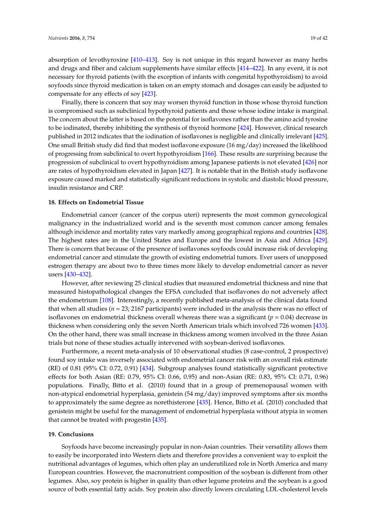absorption of levothyroxine [\[410](#page-40-3)[–413\]](#page-40-4). Soy is not unique in this regard however as many herbs and drugs and fiber and calcium supplements have similar effects [\[414](#page-40-5)[–422\]](#page-40-6). In any event, it is not necessary for thyroid patients (with the exception of infants with congenital hypothyroidism) to avoid soyfoods since thyroid medication is taken on an empty stomach and dosages can easily be adjusted to compensate for any effects of soy [\[423\]](#page-40-7).

Finally, there is concern that soy may worsen thyroid function in those whose thyroid function is compromised such as subclinical hypothyroid patients and those whose iodine intake is marginal. The concern about the latter is based on the potential for isoflavones rather than the amino acid tyrosine to be iodinated, thereby inhibiting the synthesis of thyroid hormone [\[424\]](#page-40-8). However, clinical research published in 2012 indicates that the iodination of isoflavones is negligible and clinically irrelevant [\[425\]](#page-40-9). One small British study did find that modest isoflavone exposure (16 mg/day) increased the likelihood of progressing from subclinical to overt hypothyroidism [\[166\]](#page-27-8). These results are surprising because the progression of subclinical to overt hypothyroidism among Japanese patients is not elevated [\[426\]](#page-40-10) nor are rates of hypothyroidism elevated in Japan [\[427\]](#page-41-0). It is notable that in the British study isoflavone exposure caused marked and statistically significant reductions in systolic and diastolic blood pressure, insulin resistance and CRP.

## **18. Effects on Endometrial Tissue**

Endometrial cancer (cancer of the corpus uteri) represents the most common gynecological malignancy in the industrialized world and is the seventh most common cancer among females although incidence and mortality rates vary markedly among geographical regions and countries [\[428\]](#page-41-1). The highest rates are in the United States and Europe and the lowest in Asia and Africa [\[429\]](#page-41-2). There is concern that because of the presence of isoflavones soyfoods could increase risk of developing endometrial cancer and stimulate the growth of existing endometrial tumors. Ever users of unopposed estrogen therapy are about two to three times more likely to develop endometrial cancer as never users [\[430](#page-41-3)[–432\]](#page-41-4).

However, after reviewing 25 clinical studies that measured endometrial thickness and nine that measured histopathological changes the EFSA concluded that isoflavones do not adversely affect the endometrium [\[108\]](#page-24-10). Interestingly, a recently published meta-analysis of the clinical data found that when all studies (*n* = 23; 2167 participants) were included in the analysis there was no effect of isoflavones on endometrial thickness overall whereas there was a significant ( $p = 0.04$ ) decrease in thickness when considering only the seven North American trials which involved 726 women [\[433\]](#page-41-5). On the other hand, there was small increase in thickness among women involved in the three Asian trials but none of these studies actually intervened with soybean-derived isoflavones.

Furthermore, a recent meta-analysis of 10 observational studies (8 case-control, 2 prospective) found soy intake was inversely associated with endometrial cancer risk with an overall risk estimate (RE) of 0.81 (95% CI: 0.72, 0.91) [\[434\]](#page-41-6). Subgroup analyses found statistically significant protective effects for both Asian (RE: 0.79, 95% CI: 0.66, 0.95) and non-Asian (RE: 0.83, 95% CI: 0.71, 0.96) populations. Finally, Bitto et al. (2010) found that in a group of premenopausal women with non-atypical endometrial hyperplasia, genistein (54 mg/day) improved symptoms after six months to approximately the same degree as norethisterone [\[435\]](#page-41-7). Hence, Bitto et al. (2010) concluded that genistein might be useful for the management of endometrial hyperplasia without atypia in women that cannot be treated with progestin [\[435\]](#page-41-7).

## **19. Conclusions**

Soyfoods have become increasingly popular in non-Asian countries. Their versatility allows them to easily be incorporated into Western diets and therefore provides a convenient way to exploit the nutritional advantages of legumes, which often play an underutilized role in North America and many European countries. However, the macronutrient composition of the soybean is different from other legumes. Also, soy protein is higher in quality than other legume proteins and the soybean is a good source of both essential fatty acids. Soy protein also directly lowers circulating LDL-cholesterol levels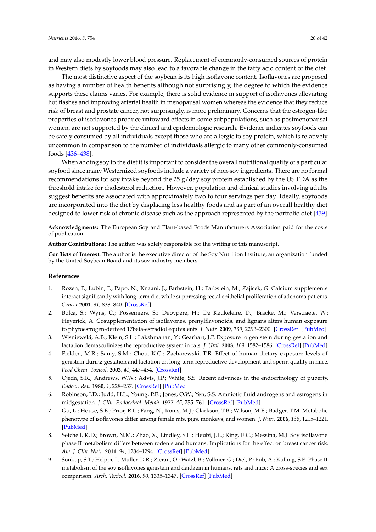and may also modestly lower blood pressure. Replacement of commonly-consumed sources of protein in Western diets by soyfoods may also lead to a favorable change in the fatty acid content of the diet.

The most distinctive aspect of the soybean is its high isoflavone content. Isoflavones are proposed as having a number of health benefits although not surprisingly, the degree to which the evidence supports these claims varies. For example, there is solid evidence in support of isoflavones alleviating hot flashes and improving arterial health in menopausal women whereas the evidence that they reduce risk of breast and prostate cancer, not surprisingly, is more preliminary. Concerns that the estrogen-like properties of isoflavones produce untoward effects in some subpopulations, such as postmenopausal women, are not supported by the clinical and epidemiologic research. Evidence indicates soyfoods can be safely consumed by all individuals except those who are allergic to soy protein, which is relatively uncommon in comparison to the number of individuals allergic to many other commonly-consumed foods [\[436–](#page-41-8)[438\]](#page-41-9).

When adding soy to the diet it is important to consider the overall nutritional quality of a particular soyfood since many Westernized soyfoods include a variety of non-soy ingredients. There are no formal recommendations for soy intake beyond the 25 g/day soy protein established by the US FDA as the threshold intake for cholesterol reduction. However, population and clinical studies involving adults suggest benefits are associated with approximately two to four servings per day. Ideally, soyfoods are incorporated into the diet by displacing less healthy foods and as part of an overall healthy diet designed to lower risk of chronic disease such as the approach represented by the portfolio diet [\[439\]](#page-41-10).

**Acknowledgments:** The European Soy and Plant-based Foods Manufacturers Association paid for the costs of publication.

**Author Contributions:** The author was solely responsible for the writing of this manuscript.

**Conflicts of Interest:** The author is the executive director of the Soy Nutrition Institute, an organization funded by the United Soybean Board and its soy industry members.

#### **References**

- <span id="page-19-0"></span>1. Rozen, P.; Lubin, F.; Papo, N.; Knaani, J.; Farbstein, H.; Farbstein, M.; Zajicek, G. Calcium supplements interact significantly with long-term diet while suppressing rectal epithelial proliferation of adenoma patients. *Cancer* **2001**, *91*, 833–840. [\[CrossRef\]](http://dx.doi.org/10.1002/1097-0142(20010215)91:4<833::AID-CNCR1071>3.0.CO;2-9)
- <span id="page-19-1"></span>2. Bolca, S.; Wyns, C.; Possemiers, S.; Depypere, H.; De Keukeleire, D.; Bracke, M.; Verstraete, W.; Heyerick, A. Cosupplementation of isoflavones, prenylflavonoids, and lignans alters human exposure to phytoestrogen-derived 17beta-estradiol equivalents. *J. Nutr.* **2009**, *139*, 2293–2300. [\[CrossRef\]](http://dx.doi.org/10.3945/jn.109.113639) [\[PubMed\]](http://www.ncbi.nlm.nih.gov/pubmed/19864398)
- <span id="page-19-2"></span>3. Wisniewski, A.B.; Klein, S.L.; Lakshmanan, Y.; Gearhart, J.P. Exposure to genistein during gestation and lactation demasculinizes the reproductive system in rats. *J. Urol.* **2003**, *169*, 1582–1586. [\[CrossRef\]](http://dx.doi.org/10.1097/01.ju.0000046780.23389.e0) [\[PubMed\]](http://www.ncbi.nlm.nih.gov/pubmed/12629420)
- 4. Fielden, M.R.; Samy, S.M.; Chou, K.C.; Zacharewski, T.R. Effect of human dietary exposure levels of genistein during gestation and lactation on long-term reproductive development and sperm quality in mice. *Food Chem. Toxicol.* **2003**, *41*, 447–454. [\[CrossRef\]](http://dx.doi.org/10.1016/S0278-6915(02)00284-3)
- 5. Ojeda, S.R.; Andrews, W.W.; Advis, J.P.; White, S.S. Recent advances in the endocrinology of puberty. *Endocr. Rev.* **1980**, *1*, 228–257. [\[CrossRef\]](http://dx.doi.org/10.1210/edrv-1-3-228) [\[PubMed\]](http://www.ncbi.nlm.nih.gov/pubmed/6112144)
- 6. Robinson, J.D.; Judd, H.L.; Young, P.E.; Jones, O.W.; Yen, S.S. Amniotic fluid androgens and estrogens in midgestation. *J. Clin. Endocrinol. Metab.* **1977**, *45*, 755–761. [\[CrossRef\]](http://dx.doi.org/10.1210/jcem-45-4-755) [\[PubMed\]](http://www.ncbi.nlm.nih.gov/pubmed/144143)
- 7. Gu, L.; House, S.E.; Prior, R.L.; Fang, N.; Ronis, M.J.; Clarkson, T.B.; Wilson, M.E.; Badger, T.M. Metabolic phenotype of isoflavones differ among female rats, pigs, monkeys, and women. *J. Nutr.* **2006**, *136*, 1215–1221. [\[PubMed\]](http://www.ncbi.nlm.nih.gov/pubmed/16614407)
- <span id="page-19-4"></span>8. Setchell, K.D.; Brown, N.M.; Zhao, X.; Lindley, S.L.; Heubi, J.E.; King, E.C.; Messina, M.J. Soy isoflavone phase II metabolism differs between rodents and humans: Implications for the effect on breast cancer risk. *Am. J. Clin. Nutr.* **2011**, *94*, 1284–1294. [\[CrossRef\]](http://dx.doi.org/10.3945/ajcn.111.019638) [\[PubMed\]](http://www.ncbi.nlm.nih.gov/pubmed/21955647)
- <span id="page-19-3"></span>9. Soukup, S.T.; Helppi, J.; Muller, D.R.; Zierau, O.; Watzl, B.; Vollmer, G.; Diel, P.; Bub, A.; Kulling, S.E. Phase II metabolism of the soy isoflavones genistein and daidzein in humans, rats and mice: A cross-species and sex comparison. *Arch. Toxicol.* **2016**, *90*, 1335–1347. [\[CrossRef\]](http://dx.doi.org/10.1007/s00204-016-1663-5) [\[PubMed\]](http://www.ncbi.nlm.nih.gov/pubmed/26838042)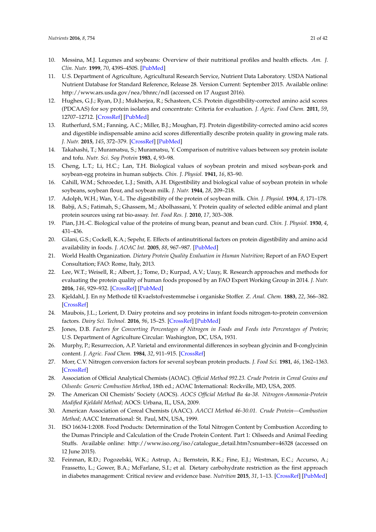- <span id="page-20-18"></span><span id="page-20-0"></span>10. Messina, M.J. Legumes and soybeans: Overview of their nutritional profiles and health effects. *Am. J. Clin. Nutr.* **1999**, *70*, 439S–450S. [\[PubMed\]](http://www.ncbi.nlm.nih.gov/pubmed/10479216)
- <span id="page-20-1"></span>11. U.S. Department of Agriculture, Agricultural Research Service, Nutrient Data Laboratory. USDA National Nutrient Database for Standard Reference, Release 28. Version Current: September 2015. Available online: <http://www.ars.usda.gov/nea/bhnrc/ndl> (accessed on 17 August 2016).
- <span id="page-20-2"></span>12. Hughes, G.J.; Ryan, D.J.; Mukherjea, R.; Schasteen, C.S. Protein digestibility-corrected amino acid scores (PDCAAS) for soy protein isolates and concentrate: Criteria for evaluation. *J. Agric. Food Chem.* **2011**, *59*, 12707–12712. [\[CrossRef\]](http://dx.doi.org/10.1021/jf203220v) [\[PubMed\]](http://www.ncbi.nlm.nih.gov/pubmed/22017752)
- <span id="page-20-3"></span>13. Rutherfurd, S.M.; Fanning, A.C.; Miller, B.J.; Moughan, P.J. Protein digestibility-corrected amino acid scores and digestible indispensable amino acid scores differentially describe protein quality in growing male rats. *J. Nutr.* **2015**, *145*, 372–379. [\[CrossRef\]](http://dx.doi.org/10.3945/jn.114.195438) [\[PubMed\]](http://www.ncbi.nlm.nih.gov/pubmed/25644361)
- <span id="page-20-4"></span>14. Takahashi, T.; Muramatsu, S.; Muramatsu, Y. Comparison of nutritive values between soy protein isolate and tofu. *Nutr. Sci. Soy Protein* **1983**, *4*, 93–98.
- 15. Cheng, L.T.; Li, H.C.; Lan, T.H. Biological values of soybean protein and mixed soybean-pork and soybean-egg proteins in human subjects. *Chin. J. Physiol.* **1941**, *16*, 83–90.
- 16. Cahill, W.M.; Schroeder, L.J.; Smith, A.H. Digestibility and biological value of soybean protein in whole soybeans, soybean flour, and soybean milk. *J. Nutr.* **1944**, *28*, 209–218.
- 17. Adolph, W.H.; Wan, Y.-L. The digestibility of the protein of soybean milk. *Chin. J. Physiol.* **1934**, *8*, 171–178.
- 18. Babji, A.S.; Fatimah, S.; Ghassem, M.; Abolhassani, Y. Protein quality of selected edible animal and plant protein sources using rat bio-assay. *Int. Food Res. J.* **2010**, *17*, 303–308.
- <span id="page-20-5"></span>19. Pian, J.H.-C. Biological value of the proteins of mung bean, peanut and bean curd. *Chin. J. Physiol.* **1930**, *4*, 431–436.
- <span id="page-20-6"></span>20. Gilani, G.S.; Cockell, K.A.; Sepehr, E. Effects of antinutritional factors on protein digestibility and amino acid availability in foods. *J. AOAC Int.* **2005**, *88*, 967–987. [\[PubMed\]](http://www.ncbi.nlm.nih.gov/pubmed/16001874)
- <span id="page-20-7"></span>21. World Health Organization. *Dietary Protein Quality Evaluation in Human Nutrition*; Report of an FAO Expert Consultation; FAO: Rome, Italy, 2013.
- <span id="page-20-8"></span>22. Lee, W.T.; Weisell, R.; Albert, J.; Tome, D.; Kurpad, A.V.; Uauy, R. Research approaches and methods for evaluating the protein quality of human foods proposed by an FAO Expert Working Group in 2014. *J. Nutr.* **2016**, *146*, 929–932. [\[CrossRef\]](http://dx.doi.org/10.3945/jn.115.222109) [\[PubMed\]](http://www.ncbi.nlm.nih.gov/pubmed/27052532)
- <span id="page-20-9"></span>23. Kjeldahl, J. En ny Methode til Kvaelstofvestemmelse i organiske Stoffer. *Z. Anal. Chem.* **1883**, *22*, 366–382. [\[CrossRef\]](http://dx.doi.org/10.1007/BF01338151)
- <span id="page-20-10"></span>24. Maubois, J.L.; Lorient, D. Dairy proteins and soy proteins in infant foods nitrogen-to-protein conversion factors. *Dairy Sci. Technol.* **2016**, *96*, 15–25. [\[CrossRef\]](http://dx.doi.org/10.1007/s13594-015-0271-0) [\[PubMed\]](http://www.ncbi.nlm.nih.gov/pubmed/26767093)
- <span id="page-20-11"></span>25. Jones, D.B. *Factors for Converting Percentages of Nitrogen in Foods and Feeds into Percentages of Protein*; U.S. Department of Agriculture Circular: Washington, DC, USA, 1931.
- <span id="page-20-12"></span>26. Murphy, P.; Resurreccion, A.P. Varietal and environmental differences in soybean glycinin and B-conglycinin content. *J. Agric. Food Chem.* **1984**, *32*, 911–915. [\[CrossRef\]](http://dx.doi.org/10.1021/jf00124a052)
- <span id="page-20-13"></span>27. Morr, C.V. Nitrogen conversion factors for several soybean protein products. *J. Food Sci.* **1981**, *46*, 1362–1363. [\[CrossRef\]](http://dx.doi.org/10.1111/j.1365-2621.1981.tb04175.x)
- <span id="page-20-14"></span>28. Association of Official Analytical Chemists (AOAC). *Official Method 992.23. Crude Protein in Cereal Grains and Oilseeds: Generic Combustion Method*, 18th ed.; AOAC International: Rockville, MD, USA, 2005.
- <span id="page-20-15"></span>29. The American Oil Chemists' Society (AOCS). *AOCS Official Method Ba 4a-38. Nitrogen-Ammonia-Protein Modified Kjeldahl Method*; AOCS: Urbana, IL, USA, 2009.
- <span id="page-20-16"></span>30. American Association of Cereal Chemists (AACC). *AACCI Method 46-30.01. Crude Protein—Combustion Method*; AACC International: St. Paul, MN, USA, 1999.
- <span id="page-20-17"></span>31. ISO 16634-1:2008. Food Products: Determination of the Total Nitrogen Content by Combustion According to the Dumas Principle and Calculation of the Crude Protein Content. Part 1: Oilseeds and Animal Feeding Stuffs. Available online: [http://www.iso.org/iso/catalogue\\_detail.htm?csnumber=46328](http://www.iso.org/iso/catalogue_detail.htm?csnumber=46328) (accessed on 12 June 2015).
- <span id="page-20-19"></span>32. Feinman, R.D.; Pogozelski, W.K.; Astrup, A.; Bernstein, R.K.; Fine, E.J.; Westman, E.C.; Accurso, A.; Frassetto, L.; Gower, B.A.; McFarlane, S.I.; et al. Dietary carbohydrate restriction as the first approach in diabetes management: Critical review and evidence base. *Nutrition* **2015**, *31*, 1–13. [\[CrossRef\]](http://dx.doi.org/10.1016/j.nut.2014.06.011) [\[PubMed\]](http://www.ncbi.nlm.nih.gov/pubmed/25287761)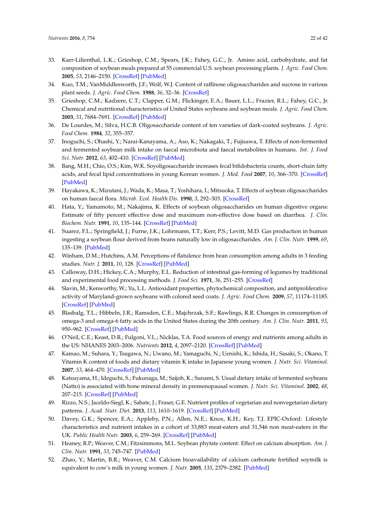- <span id="page-21-0"></span>33. Karr-Lilienthal, L.K.; Grieshop, C.M.; Spears, J.K.; Fahey, G.C., Jr. Amino acid, carbohydrate, and fat composition of soybean meals prepared at 55 commercial U.S. soybean processing plants. *J. Agric. Food Chem.* **2005**, *53*, 2146–2150. [\[CrossRef\]](http://dx.doi.org/10.1021/jf048385i) [\[PubMed\]](http://www.ncbi.nlm.nih.gov/pubmed/15769148)
- 34. Kuo, T.M.; VanMiddlesworth, J.F.; Wolf, W.J. Content of raffinose oligosaccharides and sucrose in various plant seeds. *J. Agric. Food Chem.* **1988**, *36*, 32–36. [\[CrossRef\]](http://dx.doi.org/10.1021/jf00079a008)
- 35. Grieshop, C.M.; Kadzere, C.T.; Clapper, G.M.; Flickinger, E.A.; Bauer, L.L.; Frazier, R.L.; Fahey, G.C., Jr. Chemical and nutritional characteristics of United States soybeans and soybean meals. *J. Agric. Food Chem.* **2003**, *51*, 7684–7691. [\[CrossRef\]](http://dx.doi.org/10.1021/jf034690c) [\[PubMed\]](http://www.ncbi.nlm.nih.gov/pubmed/14664529)
- <span id="page-21-17"></span><span id="page-21-1"></span>36. De Lourdes, M.; Silva, H.C.B. Oligosaccharide content of ten varieties of dark-coated soybeans. *J. Agric. Food Chem.* **1984**, *32*, 355–357.
- <span id="page-21-2"></span>37. Inoguchi, S.; Ohashi, Y.; Narai-Kanayama, A.; Aso, K.; Nakagaki, T.; Fujisawa, T. Effects of non-fermented and fermented soybean milk intake on faecal microbiota and faecal metabolites in humans. *Int. J. Food Sci. Nutr.* **2012**, *63*, 402–410. [\[CrossRef\]](http://dx.doi.org/10.3109/09637486.2011.630992) [\[PubMed\]](http://www.ncbi.nlm.nih.gov/pubmed/22040525)
- 38. Bang, M.H.; Chio, O.S.; Kim, W.K. Soyoligosaccharide increases fecal bifidobacteria counts, short-chain fatty acids, and fecal lipid concentrations in young Korean women. *J. Med. Food* **2007**, *10*, 366–370. [\[CrossRef\]](http://dx.doi.org/10.1089/jmf.2005.096) [\[PubMed\]](http://www.ncbi.nlm.nih.gov/pubmed/17651076)
- <span id="page-21-3"></span>39. Hayakawa, K.; Mizutani, J.; Wada, K.; Masa, T.; Yoshihara, I.; Mitsuoka, T. Effects of soybean oligosaccharides on human faecal flora. *Microb. Ecol. Health Dis.* **1990**, *3*, 292–303. [\[CrossRef\]](http://dx.doi.org/10.3109/08910609009140252)
- <span id="page-21-4"></span>40. Hata, Y.; Yamamoto, M.; Nakajima, K. Effects of soybean oligosaccharides on human digestive organs: Estimate of fifty percent effective dose and maximum non-effective dose based on diarrhea. *J. Clin. Biochem. Nutr.* **1991**, *10*, 135–144. [\[CrossRef\]](http://dx.doi.org/10.3164/jcbn.10.135) [\[PubMed\]](http://www.ncbi.nlm.nih.gov/pubmed/21980225)
- <span id="page-21-5"></span>41. Suarez, F.L.; Springfield, J.; Furne, J.K.; Lohrmann, T.T.; Kerr, P.S.; Levitt, M.D. Gas production in human ingesting a soybean flour derived from beans naturally low in oligosaccharides. *Am. J. Clin. Nutr.* **1999**, *69*, 135–139. [\[PubMed\]](http://www.ncbi.nlm.nih.gov/pubmed/9925135)
- <span id="page-21-6"></span>42. Winham, D.M.; Hutchins, A.M. Perceptions of flatulence from bean consumption among adults in 3 feeding studies. *Nutr. J.* **2011**, *10*, 128. [\[CrossRef\]](http://dx.doi.org/10.1186/1475-2891-10-128) [\[PubMed\]](http://www.ncbi.nlm.nih.gov/pubmed/22104320)
- <span id="page-21-7"></span>43. Calloway, D.H.; Hickey, C.A.; Murphy, E.L. Reduction of intestinal gas-forming of legumes by traditional and experimental food processing methods. *J. Food Sci.* **1971**, *36*, 251–255. [\[CrossRef\]](http://dx.doi.org/10.1111/j.1365-2621.1971.tb04036.x)
- <span id="page-21-8"></span>44. Slavin, M.; Kenworthy, W.; Yu, L.L. Antioxidant properties, phytochemical composition, and antiproliferative activity of Maryland-grown soybeans with colored seed coats. *J. Agric. Food Chem.* **2009**, *57*, 11174–11185. [\[CrossRef\]](http://dx.doi.org/10.1021/jf902609n) [\[PubMed\]](http://www.ncbi.nlm.nih.gov/pubmed/19950996)
- <span id="page-21-9"></span>45. Blasbalg, T.L.; Hibbeln, J.R.; Ramsden, C.E.; Majchrzak, S.F.; Rawlings, R.R. Changes in consumption of omega-3 and omega-6 fatty acids in the United States during the 20th century. *Am. J. Clin. Nutr.* **2011**, *93*, 950–962. [\[CrossRef\]](http://dx.doi.org/10.3945/ajcn.110.006643) [\[PubMed\]](http://www.ncbi.nlm.nih.gov/pubmed/21367944)
- <span id="page-21-10"></span>46. O'Neil, C.E.; Keast, D.R.; Fulgoni, V.L.; Nicklas, T.A. Food sources of energy and nutrients among adults in the US: NHANES 2003–2006. *Nutrients* **2012**, *4*, 2097–2120. [\[CrossRef\]](http://dx.doi.org/10.3390/nu4122097) [\[PubMed\]](http://www.ncbi.nlm.nih.gov/pubmed/23363999)
- <span id="page-21-11"></span>47. Kamao, M.; Suhara, Y.; Tsugawa, N.; Uwano, M.; Yamaguchi, N.; Uenishi, K.; Ishida, H.; Sasaki, S.; Okano, T. Vitamin K content of foods and dietary vitamin K intake in Japanese young women. *J. Nutr. Sci. Vitaminol.* **2007**, *53*, 464–470. [\[CrossRef\]](http://dx.doi.org/10.3177/jnsv.53.464) [\[PubMed\]](http://www.ncbi.nlm.nih.gov/pubmed/18202532)
- <span id="page-21-12"></span>48. Katsuyama, H.; Ideguchi, S.; Fukunaga, M.; Saijoh, K.; Sunami, S. Usual dietary intake of fermented soybeans (Natto) is associated with bone mineral density in premenopausal women. *J. Nutr. Sci. Vitaminol.* **2002**, *48*, 207–215. [\[CrossRef\]](http://dx.doi.org/10.3177/jnsv.48.207) [\[PubMed\]](http://www.ncbi.nlm.nih.gov/pubmed/12350079)
- <span id="page-21-13"></span>49. Rizzo, N.S.; Jaceldo-Siegl, K.; Sabate, J.; Fraser, G.E. Nutrient profiles of vegetarian and nonvegetarian dietary patterns. *J. Acad. Nutr. Diet.* **2013**, *113*, 1610–1619. [\[CrossRef\]](http://dx.doi.org/10.1016/j.jand.2013.06.349) [\[PubMed\]](http://www.ncbi.nlm.nih.gov/pubmed/23988511)
- <span id="page-21-14"></span>50. Davey, G.K.; Spencer, E.A.; Appleby, P.N.; Allen, N.E.; Knox, K.H.; Key, T.J. EPIC-Oxford: Lifestyle characteristics and nutrient intakes in a cohort of 33,883 meat-eaters and 31,546 non meat-eaters in the UK. *Public Health Nutr.* **2003**, *6*, 259–269. [\[CrossRef\]](http://dx.doi.org/10.1079/PHN2002430) [\[PubMed\]](http://www.ncbi.nlm.nih.gov/pubmed/12740075)
- <span id="page-21-15"></span>51. Heaney, R.P.; Weaver, C.M.; Fitzsimmons, M.L. Soybean phytate content: Effect on calcium absorption. *Am. J. Clin. Nutr.* **1991**, *53*, 745–747. [\[PubMed\]](http://www.ncbi.nlm.nih.gov/pubmed/2000830)
- <span id="page-21-16"></span>52. Zhao, Y.; Martin, B.R.; Weaver, C.M. Calcium bioavailability of calcium carbonate fortified soymilk is equivalent to cow's milk in young women. *J. Nutr.* **2005**, *135*, 2379–2382. [\[PubMed\]](http://www.ncbi.nlm.nih.gov/pubmed/16177199)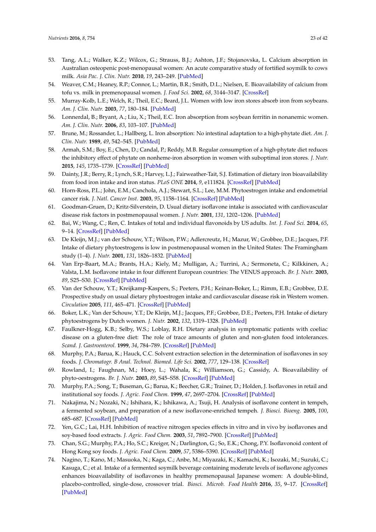- <span id="page-22-0"></span>53. Tang, A.L.; Walker, K.Z.; Wilcox, G.; Strauss, B.J.; Ashton, J.F.; Stojanovska, L. Calcium absorption in Australian osteopenic post-menopausal women: An acute comparative study of fortified soymilk to cows milk. *Asia Pac. J. Clin. Nutr.* **2010**, *19*, 243–249. [\[PubMed\]](http://www.ncbi.nlm.nih.gov/pubmed/20460239)
- <span id="page-22-1"></span>54. Weaver, C.M.; Heaney, R.P.; Connor, L.; Martin, B.R.; Smith, D.L.; Nielsen, E. Bioavailability of calcium from tofu vs. milk in premenopausal women. *J. Food Sci.* **2002**, *68*, 3144–3147. [\[CrossRef\]](http://dx.doi.org/10.1111/j.1365-2621.2002.tb08873.x)
- <span id="page-22-2"></span>55. Murray-Kolb, L.E.; Welch, R.; Theil, E.C.; Beard, J.L. Women with low iron stores absorb iron from soybeans. *Am. J. Clin. Nutr.* **2003**, *77*, 180–184. [\[PubMed\]](http://www.ncbi.nlm.nih.gov/pubmed/12499339)
- <span id="page-22-3"></span>56. Lonnerdal, B.; Bryant, A.; Liu, X.; Theil, E.C. Iron absorption from soybean ferritin in nonanemic women. *Am. J. Clin. Nutr.* **2006**, *83*, 103–107. [\[PubMed\]](http://www.ncbi.nlm.nih.gov/pubmed/16400057)
- <span id="page-22-4"></span>57. Brune, M.; Rossander, L.; Hallberg, L. Iron absorption: No intestinal adaptation to a high-phytate diet. *Am. J. Clin. Nutr.* **1989**, *49*, 542–545. [\[PubMed\]](http://www.ncbi.nlm.nih.gov/pubmed/2538051)
- <span id="page-22-5"></span>58. Armah, S.M.; Boy, E.; Chen, D.; Candal, P.; Reddy, M.B. Regular consumption of a high-phytate diet reduces the inhibitory effect of phytate on nonheme-iron absorption in women with suboptimal iron stores. *J. Nutr.* **2015**, *145*, 1735–1739. [\[CrossRef\]](http://dx.doi.org/10.3945/jn.114.209957) [\[PubMed\]](http://www.ncbi.nlm.nih.gov/pubmed/26041677)
- <span id="page-22-6"></span>59. Dainty, J.R.; Berry, R.; Lynch, S.R.; Harvey, L.J.; Fairweather-Tait, S.J. Estimation of dietary iron bioavailability from food iron intake and iron status. *PLoS ONE* **2014**, *9*, e111824. [\[CrossRef\]](http://dx.doi.org/10.1371/journal.pone.0111824) [\[PubMed\]](http://www.ncbi.nlm.nih.gov/pubmed/25356629)
- <span id="page-22-7"></span>60. Horn-Ross, P.L.; John, E.M.; Canchola, A.J.; Stewart, S.L.; Lee, M.M. Phytoestrogen intake and endometrial cancer risk. *J. Natl. Cancer Inst.* **2003**, *95*, 1158–1164. [\[CrossRef\]](http://dx.doi.org/10.1093/jnci/djg015) [\[PubMed\]](http://www.ncbi.nlm.nih.gov/pubmed/12902445)
- 61. Goodman-Gruen, D.; Kritz-Silverstein, D. Usual dietary isoflavone intake is associated with cardiovascular disease risk factors in postmenopausal women. *J. Nutr.* **2001**, *131*, 1202–1206. [\[PubMed\]](http://www.ncbi.nlm.nih.gov/pubmed/11285326)
- 62. Bai, W.; Wang, C.; Ren, C. Intakes of total and individual flavonoids by US adults. *Int. J. Food Sci.* **2014**, *65*, 9–14. [\[CrossRef\]](http://dx.doi.org/10.3109/09637486.2013.832170) [\[PubMed\]](http://www.ncbi.nlm.nih.gov/pubmed/24020353)
- 63. De Kleijn, M.J.; van der Schouw, Y.T.; Wilson, P.W.; Adlercreutz, H.; Mazur, W.; Grobbee, D.E.; Jacques, P.F. Intake of dietary phytoestrogens is low in postmenopausal women in the United States: The Framingham study (1–4). *J. Nutr.* **2001**, *131*, 1826–1832. [\[PubMed\]](http://www.ncbi.nlm.nih.gov/pubmed/11385074)
- 64. Van Erp-Baart, M.A.; Brants, H.A.; Kiely, M.; Mulligan, A.; Turrini, A.; Sermoneta, C.; Kilkkinen, A.; Valsta, L.M. Isoflavone intake in four different European countries: The VENUS approach. *Br. J. Nutr.* **2003**, *89*, S25–S30. [\[CrossRef\]](http://dx.doi.org/10.1079/BJN2002793) [\[PubMed\]](http://www.ncbi.nlm.nih.gov/pubmed/12725653)
- <span id="page-22-14"></span>65. Van der Schouw, Y.T.; Kreijkamp-Kaspers, S.; Peeters, P.H.; Keinan-Boker, L.; Rimm, E.B.; Grobbee, D.E. Prospective study on usual dietary phytoestrogen intake and cardiovascular disease risk in Western women. *Circulation* **2005**, *111*, 465–471. [\[CrossRef\]](http://dx.doi.org/10.1161/01.CIR.0000153814.87631.B0) [\[PubMed\]](http://www.ncbi.nlm.nih.gov/pubmed/15687135)
- 66. Boker, L.K.; Van der Schouw, Y.T.; De Kleijn, M.J.; Jacques, P.F.; Grobbee, D.E.; Peeters, P.H. Intake of dietary phytoestrogens by Dutch women. *J. Nutr.* **2002**, *132*, 1319–1328. [\[PubMed\]](http://www.ncbi.nlm.nih.gov/pubmed/12042453)
- <span id="page-22-8"></span>67. Faulkner-Hogg, K.B.; Selby, W.S.; Loblay, R.H. Dietary analysis in symptomatic patients with coeliac disease on a gluten-free diet: The role of trace amounts of gluten and non-gluten food intolerances. *Scand. J. Gastroenterol.* **1999**, *34*, 784–789. [\[CrossRef\]](http://dx.doi.org/10.1080/003655299750025714) [\[PubMed\]](http://www.ncbi.nlm.nih.gov/pubmed/10499479)
- <span id="page-22-9"></span>68. Murphy, P.A.; Barua, K.; Hauck, C.C. Solvent extraction selection in the determination of isoflavones in soy foods. *J. Chromatogr. B Anal. Technol. Biomed. Life Sci.* **2002**, *777*, 129–138. [\[CrossRef\]](http://dx.doi.org/10.1016/S1570-0232(02)00342-2)
- <span id="page-22-10"></span>69. Rowland, I.; Faughnan, M.; Hoey, L.; Wahala, K.; Williamson, G.; Cassidy, A. Bioavailability of phyto-oestrogens. *Br. J. Nutr.* **2003**, *89*, S45–S58. [\[CrossRef\]](http://dx.doi.org/10.1079/BJN2002796) [\[PubMed\]](http://www.ncbi.nlm.nih.gov/pubmed/12725656)
- <span id="page-22-11"></span>70. Murphy, P.A.; Song, T.; Buseman, G.; Barua, K.; Beecher, G.R.; Trainer, D.; Holden, J. Isoflavones in retail and institutional soy foods. *J. Agric. Food Chem.* **1999**, *47*, 2697–2704. [\[CrossRef\]](http://dx.doi.org/10.1021/jf981144o) [\[PubMed\]](http://www.ncbi.nlm.nih.gov/pubmed/10552547)
- 71. Nakajima, N.; Nozaki, N.; Ishihara, K.; Ishikawa, A.; Tsuji, H. Analysis of isoflavone content in tempeh, a fermented soybean, and preparation of a new isoflavone-enriched tempeh. *J. Biosci. Bioeng.* **2005**, *100*, 685–687. [\[CrossRef\]](http://dx.doi.org/10.1263/jbb.100.685) [\[PubMed\]](http://www.ncbi.nlm.nih.gov/pubmed/16473782)
- 72. Yen, G.C.; Lai, H.H. Inhibition of reactive nitrogen species effects in vitro and in vivo by isoflavones and soy-based food extracts. *J. Agric. Food Chem.* **2003**, *51*, 7892–7900. [\[CrossRef\]](http://dx.doi.org/10.1021/jf034876b) [\[PubMed\]](http://www.ncbi.nlm.nih.gov/pubmed/14690370)
- <span id="page-22-12"></span>73. Chan, S.G.; Murphy, P.A.; Ho, S.C.; Kreiger, N.; Darlington, G.; So, E.K.; Chong, P.Y. Isoflavonoid content of Hong Kong soy foods. *J. Agric. Food Chem.* **2009**, *57*, 5386–5390. [\[CrossRef\]](http://dx.doi.org/10.1021/jf803870k) [\[PubMed\]](http://www.ncbi.nlm.nih.gov/pubmed/19530716)
- <span id="page-22-13"></span>74. Nagino, T.; Kano, M.; Masuoka, N.; Kaga, C.; Anbe, M.; Miyazaki, K.; Kamachi, K.; Isozaki, M.; Suzuki, C.; Kasuga, C.; et al. Intake of a fermented soymilk beverage containing moderate levels of isoflavone aglycones enhances bioavailability of isoflavones in healthy premenopausal Japanese women: A double-blind, placebo-controlled, single-dose, crossover trial. *Biosci. Microb. Food Health* **2016**, *35*, 9–17. [\[CrossRef\]](http://dx.doi.org/10.12938/bmfh.2015-011) [\[PubMed\]](http://www.ncbi.nlm.nih.gov/pubmed/26858926)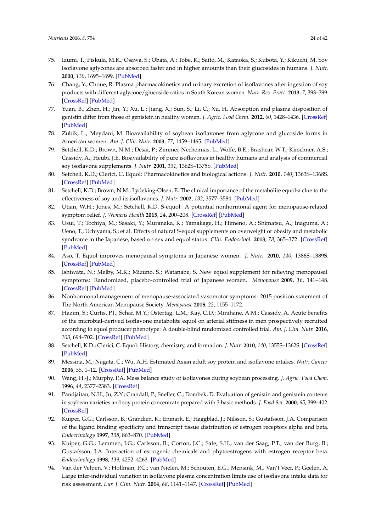- 75. Izumi, T.; Piskula, M.K.; Osawa, S.; Obata, A.; Tobe, K.; Saito, M.; Kataoka, S.; Kubota, Y.; Kikuchi, M. Soy isoflavone aglycones are absorbed faster and in higher amounts than their glucosides in humans. *J. Nutr.* **2000**, *130*, 1695–1699. [\[PubMed\]](http://www.ncbi.nlm.nih.gov/pubmed/10867038)
- <span id="page-23-0"></span>76. Chang, Y.; Choue, R. Plasma pharmacokinetics and urinary excretion of isoflavones after ingestion of soy products with different aglycone/glucoside ratios in South Korean women. *Nutr. Res. Pract.* **2013**, *7*, 393–399. [\[CrossRef\]](http://dx.doi.org/10.4162/nrp.2013.7.5.393) [\[PubMed\]](http://www.ncbi.nlm.nih.gov/pubmed/24133619)
- <span id="page-23-1"></span>77. Yuan, B.; Zhen, H.; Jin, Y.; Xu, L.; Jiang, X.; Sun, S.; Li, C.; Xu, H. Absorption and plasma disposition of genistin differ from those of genistein in healthy women. *J. Agric. Food Chem.* **2012**, *60*, 1428–1436. [\[CrossRef\]](http://dx.doi.org/10.1021/jf204421c) [\[PubMed\]](http://www.ncbi.nlm.nih.gov/pubmed/22256777)
- 78. Zubik, L.; Meydani, M. Bioavailability of soybean isoflavones from aglycone and glucoside forms in American women. *Am. J. Clin. Nutr.* **2003**, *77*, 1459–1465. [\[PubMed\]](http://www.ncbi.nlm.nih.gov/pubmed/12791624)
- <span id="page-23-2"></span>79. Setchell, K.D.; Brown, N.M.; Desai, P.; Zimmer-Nechemias, L.; Wolfe, B.E.; Brashear, W.T.; Kirschner, A.S.; Cassidy, A.; Heubi, J.E. Bioavailability of pure isoflavones in healthy humans and analysis of commercial soy isoflavone supplements. *J. Nutr.* **2001**, *131*, 1362S–1375S. [\[PubMed\]](http://www.ncbi.nlm.nih.gov/pubmed/11285356)
- <span id="page-23-3"></span>80. Setchell, K.D.; Clerici, C. Equol: Pharmacokinetics and biological actions. *J. Nutr.* **2010**, *140*, 1363S–1368S. [\[CrossRef\]](http://dx.doi.org/10.3945/jn.109.119784) [\[PubMed\]](http://www.ncbi.nlm.nih.gov/pubmed/20519411)
- <span id="page-23-4"></span>81. Setchell, K.D.; Brown, N.M.; Lydeking-Olsen, E. The clinical importance of the metabolite equol-a clue to the effectiveness of soy and its isoflavones. *J. Nutr.* **2002**, *132*, 3577–3584. [\[PubMed\]](http://www.ncbi.nlm.nih.gov/pubmed/12468591)
- <span id="page-23-5"></span>82. Utian, W.H.; Jones, M.; Setchell, K.D. S-equol: A potential nonhormonal agent for menopause-related symptom relief. *J. Womens Health* **2015**, *24*, 200–208. [\[CrossRef\]](http://dx.doi.org/10.1089/jwh.2014.5006) [\[PubMed\]](http://www.ncbi.nlm.nih.gov/pubmed/25692726)
- <span id="page-23-6"></span>83. Usui, T.; Tochiya, M.; Sasaki, Y.; Muranaka, K.; Yamakage, H.; Himeno, A.; Shimatsu, A.; Inaguma, A.; Ueno, T.; Uchiyama, S.; et al. Effects of natural S-equol supplements on overweight or obesity and metabolic syndrome in the Japanese, based on sex and equol status. *Clin. Endocrinol.* **2013**, *78*, 365–372. [\[CrossRef\]](http://dx.doi.org/10.1111/j.1365-2265.2012.04400.x) [\[PubMed\]](http://www.ncbi.nlm.nih.gov/pubmed/22469418)
- <span id="page-23-7"></span>84. Aso, T. Equol improves menopausal symptoms in Japanese women. *J. Nutr.* **2010**, *140*, 1386S–1389S. [\[CrossRef\]](http://dx.doi.org/10.3945/jn.109.118307) [\[PubMed\]](http://www.ncbi.nlm.nih.gov/pubmed/20484552)
- 85. Ishiwata, N.; Melby, M.K.; Mizuno, S.; Watanabe, S. New equol supplement for relieving menopausal symptoms: Randomized, placebo-controlled trial of Japanese women. *Menopause* **2009**, *16*, 141–148. [\[CrossRef\]](http://dx.doi.org/10.1097/gme.0b013e31818379fa) [\[PubMed\]](http://www.ncbi.nlm.nih.gov/pubmed/19131846)
- <span id="page-23-8"></span>86. Nonhormonal management of menopause-associated vasomotor symptoms: 2015 position statement of The North American Menopause Society. *Menopause* **2015**, *22*, 1155–1172.
- <span id="page-23-9"></span>87. Hazim, S.; Curtis, P.J.; Schar, M.Y.; Ostertag, L.M.; Kay, C.D.; Minihane, A.M.; Cassidy, A. Acute benefits of the microbial-derived isoflavone metabolite equol on arterial stiffness in men prospectively recruited according to equol producer phenotype: A double-blind randomized controlled trial. *Am. J. Clin. Nutr.* **2016**, *103*, 694–702. [\[CrossRef\]](http://dx.doi.org/10.3945/ajcn.115.125690) [\[PubMed\]](http://www.ncbi.nlm.nih.gov/pubmed/26843154)
- <span id="page-23-10"></span>88. Setchell, K.D.; Clerici, C. Equol: History, chemistry, and formation. *J. Nutr.* **2010**, *140*, 1355S–1362S. [\[CrossRef\]](http://dx.doi.org/10.3945/jn.109.119776) [\[PubMed\]](http://www.ncbi.nlm.nih.gov/pubmed/20519412)
- <span id="page-23-11"></span>89. Messina, M.; Nagata, C.; Wu, A.H. Estimated Asian adult soy protein and isoflavone intakes. *Nutr. Cancer* **2006**, *55*, 1–12. [\[CrossRef\]](http://dx.doi.org/10.1207/s15327914nc5501_1) [\[PubMed\]](http://www.ncbi.nlm.nih.gov/pubmed/16965235)
- <span id="page-23-12"></span>90. Wang, H.-J.; Murphy, P.A. Mass balance study of isoflavones during soybean processing. *J. Agric. Food Chem.* **1996**, *44*, 2377–2383. [\[CrossRef\]](http://dx.doi.org/10.1021/jf950535p)
- <span id="page-23-13"></span>91. Pandjaitan, N.H.; Ju, Z.Y.; Crandall, P.; Sneller, C.; Dombek, D. Evaluation of genistin and genistein contents in soybean varieties and soy protein concentrate prepared with 3 basic methods. *J. Food Sci.* **2000**, *65*, 399–402. [\[CrossRef\]](http://dx.doi.org/10.1111/j.1365-2621.2000.tb16015.x)
- <span id="page-23-14"></span>92. Kuiper, G.G.; Carlsson, B.; Grandien, K.; Enmark, E.; Haggblad, J.; Nilsson, S.; Gustafsson, J.A. Comparison of the ligand binding specificity and transcript tissue distribution of estrogen receptors alpha and beta. *Endocrinology* **1997**, *138*, 863–870. [\[PubMed\]](http://www.ncbi.nlm.nih.gov/pubmed/9048584)
- <span id="page-23-15"></span>93. Kuiper, G.G.; Lemmen, J.G.; Carlsson, B.; Corton, J.C.; Safe, S.H.; van der Saag, P.T.; van der Burg, B.; Gustafsson, J.A. Interaction of estrogenic chemicals and phytoestrogens with estrogen receptor beta. *Endocrinology* **1998**, *139*, 4252–4263. [\[PubMed\]](http://www.ncbi.nlm.nih.gov/pubmed/9751507)
- <span id="page-23-16"></span>94. Van der Velpen, V.; Hollman, P.C.; van Nielen, M.; Schouten, E.G.; Mensink, M.; Van't Veer, P.; Geelen, A. Large inter-individual variation in isoflavone plasma concentration limits use of isoflavone intake data for risk assessment. *Eur. J. Clin. Nutr.* **2014**, *68*, 1141–1147. [\[CrossRef\]](http://dx.doi.org/10.1038/ejcn.2014.108) [\[PubMed\]](http://www.ncbi.nlm.nih.gov/pubmed/24939433)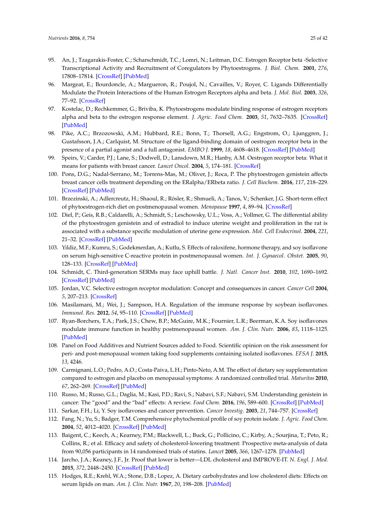- <span id="page-24-0"></span>95. An, J.; Tzagarakis-Foster, C.; Scharschmidt, T.C.; Lomri, N.; Leitman, D.C. Estrogen Receptor beta -Selective Transcriptional Activity and Recruitment of Coregulators by Phytoestrogens. *J. Biol. Chem.* **2001**, *276*, 17808–17814. [\[CrossRef\]](http://dx.doi.org/10.1074/jbc.M100953200) [\[PubMed\]](http://www.ncbi.nlm.nih.gov/pubmed/11279159)
- 96. Margeat, E.; Bourdoncle, A.; Margueron, R.; Poujol, N.; Cavailles, V.; Royer, C. Ligands Differentially Modulate the Protein Interactions of the Human Estrogen Receptors alpha and beta. *J. Mol. Biol.* **2003**, *326*, 77–92. [\[CrossRef\]](http://dx.doi.org/10.1016/S0022-2836(02)01355-4)
- 97. Kostelac, D.; Rechkemmer, G.; Briviba, K. Phytoestrogens modulate binding response of estrogen receptors alpha and beta to the estrogen response element. *J. Agric. Food Chem.* **2003**, *51*, 7632–7635. [\[CrossRef\]](http://dx.doi.org/10.1021/jf034427b) [\[PubMed\]](http://www.ncbi.nlm.nih.gov/pubmed/14664520)
- <span id="page-24-1"></span>98. Pike, A.C.; Brzozowski, A.M.; Hubbard, R.E.; Bonn, T.; Thorsell, A.G.; Engstrom, O.; Ljunggren, J.; Gustafsson, J.A.; Carlquist, M. Structure of the ligand-binding domain of oestrogen receptor beta in the presence of a partial agonist and a full antagonist. *EMBO J.* **1999**, *18*, 4608–4618. [\[CrossRef\]](http://dx.doi.org/10.1093/emboj/18.17.4608) [\[PubMed\]](http://www.ncbi.nlm.nih.gov/pubmed/10469641)
- <span id="page-24-2"></span>99. Speirs, V.; Carder, P.J.; Lane, S.; Dodwell, D.; Lansdown, M.R.; Hanby, A.M. Oestrogen receptor beta: What it means for patients with breast cancer. *Lancet Oncol.* **2004**, *5*, 174–181. [\[CrossRef\]](http://dx.doi.org/10.1016/S1470-2045(04)01413-5)
- <span id="page-24-3"></span>100. Pons, D.G.; Nadal-Serrano, M.; Torrens-Mas, M.; Oliver, J.; Roca, P. The phytoestrogen genistein affects breast cancer cells treatment depending on the ERalpha/ERbeta ratio. *J. Cell Biochem.* **2016**, *117*, 218–229. [\[CrossRef\]](http://dx.doi.org/10.1002/jcb.25268) [\[PubMed\]](http://www.ncbi.nlm.nih.gov/pubmed/26100284)
- <span id="page-24-4"></span>101. Brzezinski, A.; Adlercreutz, H.; Shaoul, R.; Rösler, R.; Shmueli, A.; Tanos, V.; Schenker, J.G. Short-term effect of phytoestrogen-rich diet on postmenopausal women. *Menopause* **1997**, *4*, 89–94. [\[CrossRef\]](http://dx.doi.org/10.1097/00042192-199704020-00005)
- 102. Diel, P.; Geis, R.B.; Caldarelli, A.; Schmidt, S.; Leschowsky, U.L.; Voss, A.; Vollmer, G. The differential ability of the phytoestrogen genistein and of estradiol to induce uterine weight and proliferation in the rat is associated with a substance specific modulation of uterine gene expression. *Mol. Cell Endocrinol.* **2004**, *221*, 21–32. [\[CrossRef\]](http://dx.doi.org/10.1016/j.mce.2004.04.006) [\[PubMed\]](http://www.ncbi.nlm.nih.gov/pubmed/15223129)
- <span id="page-24-5"></span>103. Yildiz, M.F.; Kumru, S.; Godekmerdan, A.; Kutlu, S. Effects of raloxifene, hormone therapy, and soy isoflavone on serum high-sensitive C-reactive protein in postmenopausal women. *Int. J. Gynaecol. Obstet.* **2005**, *90*, 128–133. [\[CrossRef\]](http://dx.doi.org/10.1016/j.ijgo.2005.05.005) [\[PubMed\]](http://www.ncbi.nlm.nih.gov/pubmed/15970291)
- <span id="page-24-6"></span>104. Schmidt, C. Third-generation SERMs may face uphill battle. *J. Natl. Cancer Inst.* **2010**, *102*, 1690–1692. [\[CrossRef\]](http://dx.doi.org/10.1093/jnci/djq477) [\[PubMed\]](http://www.ncbi.nlm.nih.gov/pubmed/21060064)
- <span id="page-24-7"></span>105. Jordan, V.C. Selective estrogen receptor modulation: Concept and consequences in cancer. *Cancer Cell* **2004**, *5*, 207–213. [\[CrossRef\]](http://dx.doi.org/10.1016/S1535-6108(04)00059-5)
- <span id="page-24-8"></span>106. Masilamani, M.; Wei, J.; Sampson, H.A. Regulation of the immune response by soybean isoflavones. *Immunol. Res.* **2012**, *54*, 95–110. [\[CrossRef\]](http://dx.doi.org/10.1007/s12026-012-8331-5) [\[PubMed\]](http://www.ncbi.nlm.nih.gov/pubmed/22484990)
- <span id="page-24-9"></span>107. Ryan-Borchers, T.A.; Park, J.S.; Chew, B.P.; McGuire, M.K.; Fournier, L.R.; Beerman, K.A. Soy isoflavones modulate immune function in healthy postmenopausal women. *Am. J. Clin. Nutr.* **2006**, *83*, 1118–1125. [\[PubMed\]](http://www.ncbi.nlm.nih.gov/pubmed/16685055)
- <span id="page-24-10"></span>108. Panel on Food Additives and Nutrient Sources added to Food. Scientific opinion on the risk assessment for peri- and post-menopausal women taking food supplements containing isolated isoflavones. *EFSA J.* **2015**, *13*, 4246.
- <span id="page-24-11"></span>109. Carmignani, L.O.; Pedro, A.O.; Costa-Paiva, L.H.; Pinto-Neto, A.M. The effect of dietary soy supplementation compared to estrogen and placebo on menopausal symptoms: A randomized controlled trial. *Maturitas* **2010**, *67*, 262–269. [\[CrossRef\]](http://dx.doi.org/10.1016/j.maturitas.2010.07.007) [\[PubMed\]](http://www.ncbi.nlm.nih.gov/pubmed/20833488)
- <span id="page-24-12"></span>110. Russo, M.; Russo, G.L.; Daglia, M.; Kasi, P.D.; Ravi, S.; Nabavi, S.F.; Nabavi, S.M. Understanding genistein in cancer: The "good" and the "bad" effects: A review. *Food Chem.* **2016**, *196*, 589–600. [\[CrossRef\]](http://dx.doi.org/10.1016/j.foodchem.2015.09.085) [\[PubMed\]](http://www.ncbi.nlm.nih.gov/pubmed/26593532)
- <span id="page-24-13"></span>111. Sarkar, F.H.; Li, Y. Soy isoflavones and cancer prevention. *Cancer Investig.* **2003**, *21*, 744–757. [\[CrossRef\]](http://dx.doi.org/10.1081/CNV-120023773)
- <span id="page-24-14"></span>112. Fang, N.; Yu, S.; Badger, T.M. Comprehensive phytochemical profile of soy protein isolate. *J. Agric. Food Chem.* **2004**, *52*, 4012–4020. [\[CrossRef\]](http://dx.doi.org/10.1021/jf049842y) [\[PubMed\]](http://www.ncbi.nlm.nih.gov/pubmed/15186131)
- <span id="page-24-15"></span>113. Baigent, C.; Keech, A.; Kearney, P.M.; Blackwell, L.; Buck, G.; Pollicino, C.; Kirby, A.; Sourjina, T.; Peto, R.; Collins, R.; et al. Efficacy and safety of cholesterol-lowering treatment: Prospective meta-analysis of data from 90,056 participants in 14 randomised trials of statins. *Lancet* **2005**, *366*, 1267–1278. [\[PubMed\]](http://www.ncbi.nlm.nih.gov/pubmed/16214597)
- <span id="page-24-16"></span>114. Jarcho, J.A.; Keaney, J.F., Jr. Proof that lower is better—LDL cholesterol and IMPROVE-IT. *N. Engl. J. Med.* **2015**, *372*, 2448–2450. [\[CrossRef\]](http://dx.doi.org/10.1056/NEJMe1507041) [\[PubMed\]](http://www.ncbi.nlm.nih.gov/pubmed/26039520)
- <span id="page-24-17"></span>115. Hodges, R.E.; Krehl, W.A.; Stone, D.B.; Lopez, A. Dietary carbohydrates and low cholesterol diets: Effects on serum lipids on man. *Am. J. Clin. Nutr.* **1967**, *20*, 198–208. [\[PubMed\]](http://www.ncbi.nlm.nih.gov/pubmed/6020521)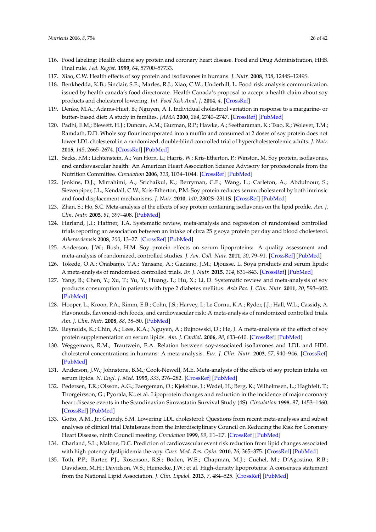- <span id="page-25-0"></span>116. Food labeling: Health claims; soy protein and coronary heart disease. Food and Drug Administration, HHS. Final rule. *Fed. Regist.* **1999**, *64*, 57700–57733.
- <span id="page-25-1"></span>117. Xiao, C.W. Health effects of soy protein and isoflavones in humans. *J. Nutr.* **2008**, *138*, 1244S–1249S.
- <span id="page-25-2"></span>118. Benkhedda, K.B.; Sinclair, S.E.; Marles, R.J.; Xiao, C.W.; Underhill, L. Food risk analysis communication. issued by health canada's food directorate. Health Canada's proposal to accept a health claim about soy products and cholesterol lowering. *Int. Food Risk Anal. J.* **2014**, *4*. [\[CrossRef\]](http://dx.doi.org/10.5772/59411)
- <span id="page-25-3"></span>119. Denke, M.A.; Adams-Huet, B.; Nguyen, A.T. Individual cholesterol variation in response to a margarine- or butter- based diet: A study in families. *JAMA* **2000**, *284*, 2740–2747. [\[CrossRef\]](http://dx.doi.org/10.1001/jama.284.21.2740) [\[PubMed\]](http://www.ncbi.nlm.nih.gov/pubmed/11105179)
- <span id="page-25-4"></span>120. Padhi, E.M.; Blewett, H.J.; Duncan, A.M.; Guzman, R.P.; Hawke, A.; Seetharaman, K.; Tsao, R.; Wolever, T.M.; Ramdath, D.D. Whole soy flour incorporated into a muffin and consumed at 2 doses of soy protein does not lower LDL cholesterol in a randomized, double-blind controlled trial of hypercholesterolemic adults. *J. Nutr.* **2015**, *145*, 2665–2674. [\[CrossRef\]](http://dx.doi.org/10.3945/jn.115.219873) [\[PubMed\]](http://www.ncbi.nlm.nih.gov/pubmed/26446482)
- <span id="page-25-5"></span>121. Sacks, F.M.; Lichtenstein, A.; Van Horn, L.; Harris, W.; Kris-Etherton, P.; Winston, M. Soy protein, isoflavones, and cardiovascular health: An American Heart Association Science Advisory for professionals from the Nutrition Committee. *Circulation* **2006**, *113*, 1034–1044. [\[CrossRef\]](http://dx.doi.org/10.1161/CIRCULATIONAHA.106.171052) [\[PubMed\]](http://www.ncbi.nlm.nih.gov/pubmed/16418439)
- <span id="page-25-6"></span>122. Jenkins, D.J.; Mirrahimi, A.; Srichaikul, K.; Berryman, C.E.; Wang, L.; Carleton, A.; Abdulnour, S.; Sievenpiper, J.L.; Kendall, C.W.; Kris-Etherton, P.M. Soy protein reduces serum cholesterol by both intrinsic and food displacement mechanisms. *J. Nutr.* **2010**, *140*, 2302S–2311S. [\[CrossRef\]](http://dx.doi.org/10.3945/jn.110.124958) [\[PubMed\]](http://www.ncbi.nlm.nih.gov/pubmed/20943954)
- <span id="page-25-8"></span>123. Zhan, S.; Ho, S.C. Meta-analysis of the effects of soy protein containing isoflavones on the lipid profile. *Am. J. Clin. Nutr.* **2005**, *81*, 397–408. [\[PubMed\]](http://www.ncbi.nlm.nih.gov/pubmed/15699227)
- <span id="page-25-12"></span>124. Harland, J.I.; Haffner, T.A. Systematic review, meta-analysis and regression of randomised controlled trials reporting an association between an intake of circa 25 g soya protein per day and blood cholesterol. *Atherosclerosis* **2008**, *200*, 13–27. [\[CrossRef\]](http://dx.doi.org/10.1016/j.atherosclerosis.2008.04.006) [\[PubMed\]](http://www.ncbi.nlm.nih.gov/pubmed/18534601)
- <span id="page-25-9"></span>125. Anderson, J.W.; Bush, H.M. Soy protein effects on serum lipoproteins: A quality assessment and meta-analysis of randomized, controlled studies. *J. Am. Coll. Nutr.* **2011**, *30*, 79–91. [\[CrossRef\]](http://dx.doi.org/10.1080/07315724.2011.10719947) [\[PubMed\]](http://www.ncbi.nlm.nih.gov/pubmed/21730216)
- <span id="page-25-10"></span>126. Tokede, O.A.; Onabanjo, T.A.; Yansane, A.; Gaziano, J.M.; Djousse, L. Soya products and serum lipids: A meta-analysis of randomised controlled trials. *Br. J. Nutr.* **2015**, *114*, 831–843. [\[CrossRef\]](http://dx.doi.org/10.1017/S0007114515002603) [\[PubMed\]](http://www.ncbi.nlm.nih.gov/pubmed/26268987)
- <span id="page-25-11"></span>127. Yang, B.; Chen, Y.; Xu, T.; Yu, Y.; Huang, T.; Hu, X.; Li, D. Systematic review and meta-analysis of soy products consumption in patients with type 2 diabetes mellitus. *Asia Pac. J. Clin. Nutr.* **2011**, *20*, 593–602. [\[PubMed\]](http://www.ncbi.nlm.nih.gov/pubmed/22094845)
- <span id="page-25-13"></span>128. Hooper, L.; Kroon, P.A.; Rimm, E.B.; Cohn, J.S.; Harvey, I.; Le Cornu, K.A.; Ryder, J.J.; Hall, W.L.; Cassidy, A. Flavonoids, flavonoid-rich foods, and cardiovascular risk: A meta-analysis of randomized controlled trials. *Am. J. Clin. Nutr.* **2008**, *88*, 38–50. [\[PubMed\]](http://www.ncbi.nlm.nih.gov/pubmed/18614722)
- <span id="page-25-14"></span>129. Reynolds, K.; Chin, A.; Lees, K.A.; Nguyen, A.; Bujnowski, D.; He, J. A meta-analysis of the effect of soy protein supplementation on serum lipids. *Am. J. Cardiol.* **2006**, *98*, 633–640. [\[CrossRef\]](http://dx.doi.org/10.1016/j.amjcard.2006.03.042) [\[PubMed\]](http://www.ncbi.nlm.nih.gov/pubmed/16923451)
- <span id="page-25-7"></span>130. Weggemans, R.M.; Trautwein, E.A. Relation between soy-associated isoflavones and LDL and HDL cholesterol concentrations in humans: A meta-analysis. *Eur. J. Clin. Nutr.* **2003**, *57*, 940–946. [\[CrossRef\]](http://dx.doi.org/10.1038/sj.ejcn.1601628) [\[PubMed\]](http://www.ncbi.nlm.nih.gov/pubmed/12879088)
- <span id="page-25-15"></span>131. Anderson, J.W.; Johnstone, B.M.; Cook-Newell, M.E. Meta-analysis of the effects of soy protein intake on serum lipids. *N. Engl. J. Med.* **1995**, *333*, 276–282. [\[CrossRef\]](http://dx.doi.org/10.1056/NEJM199508033330502) [\[PubMed\]](http://www.ncbi.nlm.nih.gov/pubmed/7596371)
- <span id="page-25-16"></span>132. Pedersen, T.R.; Olsson, A.G.; Faergeman, O.; Kjekshus, J.; Wedel, H.; Berg, K.; Wilhelmsen, L.; Haghfelt, T.; Thorgeirsson, G.; Pyorala, K.; et al. Lipoprotein changes and reduction in the incidence of major coronary heart disease events in the Scandinavian Simvastatin Survival Study (4S). *Circulation* **1998**, *97*, 1453–1460. [\[CrossRef\]](http://dx.doi.org/10.1161/01.CIR.97.15.1453) [\[PubMed\]](http://www.ncbi.nlm.nih.gov/pubmed/9576425)
- 133. Gotto, A.M., Jr.; Grundy, S.M. Lowering LDL cholesterol: Questions from recent meta-analyses and subset analyses of clinical trial DataIssues from the Interdisciplinary Council on Reducing the Risk for Coronary Heart Disease, ninth Council meeting. *Circulation* **1999**, *99*, E1–E7. [\[CrossRef\]](http://dx.doi.org/10.1161/01.CIR.99.8.e1) [\[PubMed\]](http://www.ncbi.nlm.nih.gov/pubmed/10051310)
- <span id="page-25-17"></span>134. Charland, S.L.; Malone, D.C. Prediction of cardiovascular event risk reduction from lipid changes associated with high potency dyslipidemia therapy. *Curr. Med. Res. Opin.* **2010**, *26*, 365–375. [\[CrossRef\]](http://dx.doi.org/10.1185/03007990903484802) [\[PubMed\]](http://www.ncbi.nlm.nih.gov/pubmed/19995326)
- <span id="page-25-18"></span>135. Toth, P.P.; Barter, P.J.; Rosenson, R.S.; Boden, W.E.; Chapman, M.J.; Cuchel, M.; D'Agostino, R.B.; Davidson, M.H.; Davidson, W.S.; Heinecke, J.W.; et al. High-density lipoproteins: A consensus statement from the National Lipid Association. *J. Clin. Lipidol.* **2013**, *7*, 484–525. [\[CrossRef\]](http://dx.doi.org/10.1016/j.jacl.2013.08.001) [\[PubMed\]](http://www.ncbi.nlm.nih.gov/pubmed/24079290)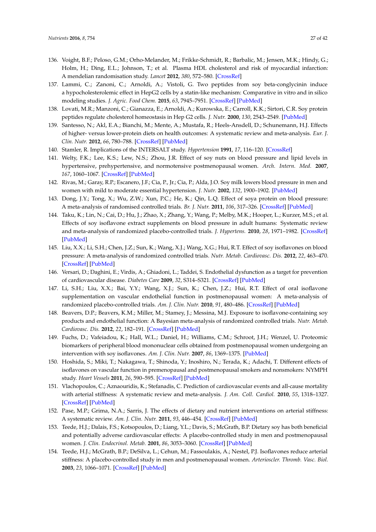- <span id="page-26-0"></span>136. Voight, B.F.; Peloso, G.M.; Orho-Melander, M.; Frikke-Schmidt, R.; Barbalic, M.; Jensen, M.K.; Hindy, G.; Holm, H.; Ding, E.L.; Johnson, T.; et al. Plasma HDL cholesterol and risk of myocardial infarction: A mendelian randomisation study. *Lancet* **2012**, *380*, 572–580. [\[CrossRef\]](http://dx.doi.org/10.1016/S0140-6736(12)60312-2)
- <span id="page-26-1"></span>137. Lammi, C.; Zanoni, C.; Arnoldi, A.; Vistoli, G. Two peptides from soy beta-conglycinin induce a hypocholesterolemic effect in HepG2 cells by a statin-like mechanism: Comparative in vitro and in silico modeling studies. *J. Agric. Food Chem.* **2015**, *63*, 7945–7951. [\[CrossRef\]](http://dx.doi.org/10.1021/acs.jafc.5b03497) [\[PubMed\]](http://www.ncbi.nlm.nih.gov/pubmed/26310992)
- <span id="page-26-2"></span>138. Lovati, M.R.; Manzoni, C.; Gianazza, E.; Arnoldi, A.; Kurowska, E.; Carroll, K.K.; Sirtori, C.R. Soy protein peptides regulate cholesterol homeostasis in Hep G2 cells. *J. Nutr.* **2000**, *130*, 2543–2549. [\[PubMed\]](http://www.ncbi.nlm.nih.gov/pubmed/11015487)
- <span id="page-26-3"></span>139. Santesso, N.; Akl, E.A.; Bianchi, M.; Mente, A.; Mustafa, R.; Heels-Ansdell, D.; Schunemann, H.J. Effects of higher- versus lower-protein diets on health outcomes: A systematic review and meta-analysis. *Eur. J. Clin. Nutr.* **2012**, *66*, 780–788. [\[CrossRef\]](http://dx.doi.org/10.1038/ejcn.2012.37) [\[PubMed\]](http://www.ncbi.nlm.nih.gov/pubmed/22510792)
- <span id="page-26-4"></span>140. Stamler, R. Implications of the INTERSALT study. *Hypertension* **1991**, *17*, 116–120. [\[CrossRef\]](http://dx.doi.org/10.1161/01.HYP.17.1_Suppl.I16)
- <span id="page-26-5"></span>141. Welty, F.K.; Lee, K.S.; Lew, N.S.; Zhou, J.R. Effect of soy nuts on blood pressure and lipid levels in hypertensive, prehypertensive, and normotensive postmenopausal women. *Arch. Intern. Med.* **2007**, *167*, 1060–1067. [\[CrossRef\]](http://dx.doi.org/10.1001/archinte.167.10.1060) [\[PubMed\]](http://www.ncbi.nlm.nih.gov/pubmed/17533209)
- <span id="page-26-6"></span>142. Rivas, M.; Garay, R.P.; Escanero, J.F.; Cia, P., Jr.; Cia, P.; Alda, J.O. Soy milk lowers blood pressure in men and women with mild to moderate essential hypertension. *J. Nutr.* **2002**, *132*, 1900–1902. [\[PubMed\]](http://www.ncbi.nlm.nih.gov/pubmed/12097666)
- <span id="page-26-7"></span>143. Dong, J.Y.; Tong, X.; Wu, Z.W.; Xun, P.C.; He, K.; Qin, L.Q. Effect of soya protein on blood pressure: A meta-analysis of randomised controlled trials. *Br. J. Nutr.* **2011**, *106*, 317–326. [\[CrossRef\]](http://dx.doi.org/10.1017/S0007114511000262) [\[PubMed\]](http://www.ncbi.nlm.nih.gov/pubmed/21342608)
- 144. Taku, K.; Lin, N.; Cai, D.; Hu, J.; Zhao, X.; Zhang, Y.; Wang, P.; Melby, M.K.; Hooper, L.; Kurzer, M.S.; et al. Effects of soy isoflavone extract supplements on blood pressure in adult humans: Systematic review and meta-analysis of randomized placebo-controlled trials. *J. Hypertens.* **2010**, *28*, 1971–1982. [\[CrossRef\]](http://dx.doi.org/10.1097/HJH.0b013e32833c6edb) [\[PubMed\]](http://www.ncbi.nlm.nih.gov/pubmed/20577121)
- <span id="page-26-8"></span>145. Liu, X.X.; Li, S.H.; Chen, J.Z.; Sun, K.; Wang, X.J.; Wang, X.G.; Hui, R.T. Effect of soy isoflavones on blood pressure: A meta-analysis of randomized controlled trials. *Nutr. Metab. Cardiovasc. Dis.* **2012**, *22*, 463–470. [\[CrossRef\]](http://dx.doi.org/10.1016/j.numecd.2010.09.006) [\[PubMed\]](http://www.ncbi.nlm.nih.gov/pubmed/21310599)
- <span id="page-26-9"></span>146. Versari, D.; Daghini, E.; Virdis, A.; Ghiadoni, L.; Taddei, S. Endothelial dysfunction as a target for prevention of cardiovascular disease. *Diabetes Care* **2009**, *32*, S314–S321. [\[CrossRef\]](http://dx.doi.org/10.2337/dc09-S330) [\[PubMed\]](http://www.ncbi.nlm.nih.gov/pubmed/19875572)
- <span id="page-26-10"></span>147. Li, S.H.; Liu, X.X.; Bai, Y.Y.; Wang, X.J.; Sun, K.; Chen, J.Z.; Hui, R.T. Effect of oral isoflavone supplementation on vascular endothelial function in postmenopausal women: A meta-analysis of randomized placebo-controlled trials. *Am. J. Clin. Nutr.* **2010**, *91*, 480–486. [\[CrossRef\]](http://dx.doi.org/10.3945/ajcn.2009.28203) [\[PubMed\]](http://www.ncbi.nlm.nih.gov/pubmed/19923372)
- <span id="page-26-11"></span>148. Beavers, D.P.; Beavers, K.M.; Miller, M.; Stamey, J.; Messina, M.J. Exposure to isoflavone-containing soy products and endothelial function: A Bayesian meta-analysis of randomized controlled trials. *Nutr. Metab. Cardiovasc. Dis.* **2012**, *22*, 182–191. [\[CrossRef\]](http://dx.doi.org/10.1016/j.numecd.2010.05.007) [\[PubMed\]](http://www.ncbi.nlm.nih.gov/pubmed/20709515)
- <span id="page-26-12"></span>149. Fuchs, D.; Vafeiadou, K.; Hall, W.L.; Daniel, H.; Williams, C.M.; Schroot, J.H.; Wenzel, U. Proteomic biomarkers of peripheral blood mononuclear cells obtained from postmenopausal women undergoing an intervention with soy isoflavones. *Am. J. Clin. Nutr.* **2007**, *86*, 1369–1375. [\[PubMed\]](http://www.ncbi.nlm.nih.gov/pubmed/17991648)
- <span id="page-26-13"></span>150. Hoshida, S.; Miki, T.; Nakagawa, T.; Shinoda, Y.; Inoshiro, N.; Terada, K.; Adachi, T. Different effects of isoflavones on vascular function in premenopausal and postmenopausal smokers and nonsmokers: NYMPH study. *Heart Vessels* **2011**, *26*, 590–595. [\[CrossRef\]](http://dx.doi.org/10.1007/s00380-010-0103-3) [\[PubMed\]](http://www.ncbi.nlm.nih.gov/pubmed/21221602)
- <span id="page-26-14"></span>151. Vlachopoulos, C.; Aznaouridis, K.; Stefanadis, C. Prediction of cardiovascular events and all-cause mortality with arterial stiffness: A systematic review and meta-analysis. *J. Am. Coll. Cardiol.* **2010**, *55*, 1318–1327. [\[CrossRef\]](http://dx.doi.org/10.1016/j.jacc.2009.10.061) [\[PubMed\]](http://www.ncbi.nlm.nih.gov/pubmed/20338492)
- <span id="page-26-15"></span>152. Pase, M.P.; Grima, N.A.; Sarris, J. The effects of dietary and nutrient interventions on arterial stiffness: A systematic review. *Am. J. Clin. Nutr.* **2011**, *93*, 446–454. [\[CrossRef\]](http://dx.doi.org/10.3945/ajcn.110.002725) [\[PubMed\]](http://www.ncbi.nlm.nih.gov/pubmed/21147858)
- <span id="page-26-16"></span>153. Teede, H.J.; Dalais, F.S.; Kotsopoulos, D.; Liang, Y.L.; Davis, S.; McGrath, B.P. Dietary soy has both beneficial and potentially adverse cardiovascular effects: A placebo-controlled study in men and postmenopausal women. *J. Clin. Endocrinol. Metab.* **2001**, *86*, 3053–3060. [\[CrossRef\]](http://dx.doi.org/10.1210/jc.86.7.3053) [\[PubMed\]](http://www.ncbi.nlm.nih.gov/pubmed/11443167)
- 154. Teede, H.J.; McGrath, B.P.; DeSilva, L.; Cehun, M.; Fassoulakis, A.; Nestel, P.J. Isoflavones reduce arterial stiffness: A placebo-controlled study in men and postmenopausal women. *Arterioscler. Thromb. Vasc. Biol.* **2003**, *23*, 1066–1071. [\[CrossRef\]](http://dx.doi.org/10.1161/01.ATV.0000072967.97296.4A) [\[PubMed\]](http://www.ncbi.nlm.nih.gov/pubmed/12714433)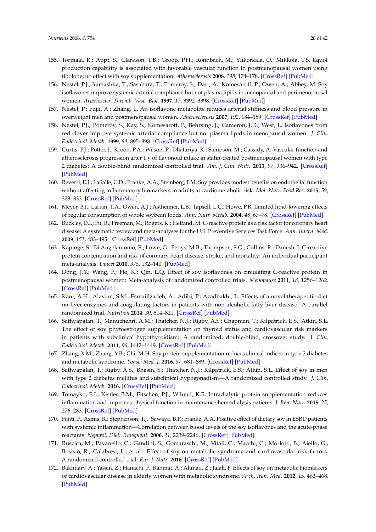- 155. Tormala, R.; Appt, S.; Clarkson, T.B.; Groop, P.H.; Ronnback, M.; Ylikorkala, O.; Mikkola, T.S. Equol production capability is associated with favorable vascular function in postmenopausal women using tibolone; no effect with soy supplementation. *Atherosclerosis* **2008**, *198*, 174–178. [\[CrossRef\]](http://dx.doi.org/10.1016/j.atherosclerosis.2007.09.010) [\[PubMed\]](http://www.ncbi.nlm.nih.gov/pubmed/17961576)
- 156. Nestel, P.J.; Yamashita, T.; Sasahara, T.; Pomeroy, S.; Dart, A.; Komesaroff, P.; Owen, A.; Abbey, M. Soy isoflavones improve systemic arterial compliance but not plasma lipids in menopausal and perimenopausal women. *Arterioscler. Thromb. Vasc. Biol.* **1997**, *17*, 3392–3398. [\[CrossRef\]](http://dx.doi.org/10.1161/01.ATV.17.12.3392) [\[PubMed\]](http://www.ncbi.nlm.nih.gov/pubmed/9437184)
- <span id="page-27-0"></span>157. Nestel, P.; Fujii, A.; Zhang, L. An isoflavone metabolite reduces arterial stiffness and blood pressure in overweight men and postmenopausal women. *Atherosclerosis* **2007**, *192*, 184–189. [\[CrossRef\]](http://dx.doi.org/10.1016/j.atherosclerosis.2006.04.033) [\[PubMed\]](http://www.ncbi.nlm.nih.gov/pubmed/16730732)
- <span id="page-27-1"></span>158. Nestel, P.J.; Pomeroy, S.; Kay, S.; Komesaroff, P.; Behrsing, J.; Cameron, J.D.; West, L. Isoflavones from red clover improve systemic arterial compliance but not plasma lipids in menopausal women. *J. Clin. Endocrinol. Metab.* **1999**, *84*, 895–898. [\[CrossRef\]](http://dx.doi.org/10.1210/jc.84.3.895) [\[PubMed\]](http://www.ncbi.nlm.nih.gov/pubmed/10084567)
- 159. Curtis, P.J.; Potter, J.; Kroon, P.A.; Wilson, P.; Dhatariya, K.; Sampson, M.; Cassidy, A. Vascular function and atherosclerosis progression after 1 y of flavonoid intake in statin-treated postmenopausal women with type 2 diabetes: A double-blind randomized controlled trial. *Am. J. Clin. Nutr.* **2013**, *97*, 936–942. [\[CrossRef\]](http://dx.doi.org/10.3945/ajcn.112.043745) [\[PubMed\]](http://www.ncbi.nlm.nih.gov/pubmed/23553151)
- <span id="page-27-2"></span>160. Reverri, E.J.; LaSalle, C.D.; Franke, A.A.; Steinberg, F.M. Soy provides modest benefits on endothelial function without affecting inflammatory biomarkers in adults at cardiometabolic risk. *Mol. Nutr. Food Res.* **2015**, *59*, 323–333. [\[CrossRef\]](http://dx.doi.org/10.1002/mnfr.201400270) [\[PubMed\]](http://www.ncbi.nlm.nih.gov/pubmed/25351805)
- <span id="page-27-3"></span>161. Meyer, B.J.; Larkin, T.A.; Owen, A.J.; Astheimer, L.B.; Tapsell, L.C.; Howe, P.R. Limited lipid-lowering effects of regular consumption of whole soybean foods. *Ann. Nutr. Metab.* **2004**, *48*, 67–78. [\[CrossRef\]](http://dx.doi.org/10.1159/000075592) [\[PubMed\]](http://www.ncbi.nlm.nih.gov/pubmed/14679315)
- <span id="page-27-4"></span>162. Buckley, D.I.; Fu, R.; Freeman, M.; Rogers, K.; Helfand, M. C-reactive protein as a risk factor for coronary heart disease: A systematic review and meta-analyses for the U.S. Preventive Services Task Force. *Ann. Intern. Med.* **2009**, *151*, 483–495. [\[CrossRef\]](http://dx.doi.org/10.7326/0003-4819-151-7-200910060-00009) [\[PubMed\]](http://www.ncbi.nlm.nih.gov/pubmed/19805771)
- <span id="page-27-5"></span>163. Kaptoge, S.; Di Angelantonio, E.; Lowe, G.; Pepys, M.B.; Thompson, S.G.; Collins, R.; Danesh, J. C-reactive protein concentration and risk of coronary heart disease, stroke, and mortality: An individual participant meta-analysis. *Lancet* **2010**, *375*, 132–140. [\[PubMed\]](http://www.ncbi.nlm.nih.gov/pubmed/20031199)
- <span id="page-27-6"></span>164. Dong, J.Y.; Wang, P.; He, K.; Qin, L.Q. Effect of soy isoflavones on circulating C-reactive protein in postmenopausal women: Meta-analysis of randomized controlled trials. *Menopause* **2011**, *18*, 1256–1262. [\[CrossRef\]](http://dx.doi.org/10.1097/gme.0b013e31821bfa24) [\[PubMed\]](http://www.ncbi.nlm.nih.gov/pubmed/21712733)
- <span id="page-27-7"></span>165. Kani, A.H.; Alavian, S.M.; Esmaillzadeh, A.; Adibi, P.; Azadbakht, L. Effects of a novel therapeutic diet on liver enzymes and coagulating factors in patients with non-alcoholic fatty liver disease: A parallel randomized trial. *Nutrition* **2014**, *30*, 814–821. [\[CrossRef\]](http://dx.doi.org/10.1016/j.nut.2013.11.008) [\[PubMed\]](http://www.ncbi.nlm.nih.gov/pubmed/24984998)
- <span id="page-27-8"></span>166. Sathyapalan, T.; Manuchehri, A.M.; Thatcher, N.J.; Rigby, A.S.; Chapman, T.; Kilpatrick, E.S.; Atkin, S.L. The effect of soy phytoestrogen supplementation on thyroid status and cardiovascular risk markers in patients with subclinical hypothyroidism: A randomized, double-blind, crossover study. *J. Clin. Endocrinol. Metab.* **2011**, *96*, 1442–1449. [\[CrossRef\]](http://dx.doi.org/10.1210/jc.2010-2255) [\[PubMed\]](http://www.ncbi.nlm.nih.gov/pubmed/21325465)
- <span id="page-27-9"></span>167. Zhang, X.M.; Zhang, Y.B.; Chi, M.H. Soy protein supplementation reduces clinical indices in type 2 diabetes and metabolic syndrome. *Yonsei Med. J.* **2016**, *57*, 681–689. [\[CrossRef\]](http://dx.doi.org/10.3349/ymj.2016.57.3.681) [\[PubMed\]](http://www.ncbi.nlm.nih.gov/pubmed/26996569)
- <span id="page-27-10"></span>168. Sathyapalan, T.; Rigby, A.S.; Bhasin, S.; Thatcher, N.J.; Kilpatrick, E.S.; Atkin, S.L. Effect of soy in men with type 2 diabetes mellitus and subclinical hypogonadism—A randomized controlled study. *J. Clin. Endocrinol. Metab.* **2016**. [\[CrossRef\]](http://dx.doi.org/10.1210/jc.2016-2875) [\[PubMed\]](http://www.ncbi.nlm.nih.gov/pubmed/27797674)
- <span id="page-27-11"></span>169. Tomayko, E.J.; Kistler, B.M.; Fitschen, P.J.; Wilund, K.R. Intradialytic protein supplementation reduces inflammation and improves physical function in maintenance hemodialysis patients. *J. Ren. Nutr.* **2015**, *25*, 276–283. [\[CrossRef\]](http://dx.doi.org/10.1053/j.jrn.2014.10.005) [\[PubMed\]](http://www.ncbi.nlm.nih.gov/pubmed/25455421)
- <span id="page-27-12"></span>170. Fanti, P.; Asmis, R.; Stephenson, T.J.; Sawaya, B.P.; Franke, A.A. Positive effect of dietary soy in ESRD patients with systemic inflammation—Correlation between blood levels of the soy isoflavones and the acute-phase reactants. *Nephrol. Dial. Transplant.* **2006**, *21*, 2239–2246. [\[CrossRef\]](http://dx.doi.org/10.1093/ndt/gfl169) [\[PubMed\]](http://www.ncbi.nlm.nih.gov/pubmed/16766544)
- <span id="page-27-13"></span>171. Ruscica, M.; Pavanello, C.; Gandini, S.; Gomaraschi, M.; Vitali, C.; Macchi, C.; Morlotti, B.; Aiello, G.; Bosisio, R.; Calabresi, L.; et al. Effect of soy on metabolic syndrome and cardiovascular risk factors: A randomized controlled trial. *Eur. J. Nutr.* **2016**. [\[CrossRef\]](http://dx.doi.org/10.1007/s00394-016-1333-7) [\[PubMed\]](http://www.ncbi.nlm.nih.gov/pubmed/27757595)
- 172. Bakhtiary, A.; Yassin, Z.; Hanachi, P.; Rahmat, A.; Ahmad, Z.; Jalali, F. Effects of soy on metabolic biomarkers of cardiovascular disease in elderly women with metabolic syndrome. *Arch. Iran. Med.* **2012**, *15*, 462–468. [\[PubMed\]](http://www.ncbi.nlm.nih.gov/pubmed/22827780)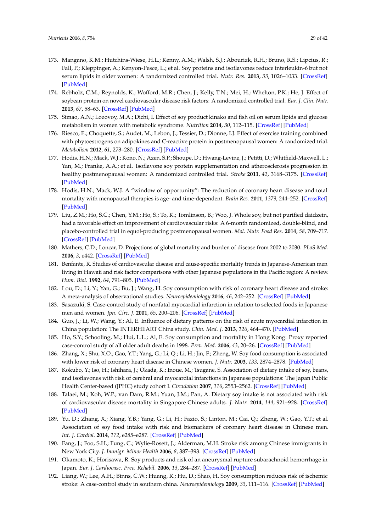- 173. Mangano, K.M.; Hutchins-Wiese, H.L.; Kenny, A.M.; Walsh, S.J.; Abourizk, R.H.; Bruno, R.S.; Lipcius, R.; Fall, P.; Kleppinger, A.; Kenyon-Pesce, L.; et al. Soy proteins and isoflavones reduce interleukin-6 but not serum lipids in older women: A randomized controlled trial. *Nutr. Res.* **2013**, *33*, 1026–1033. [\[CrossRef\]](http://dx.doi.org/10.1016/j.nutres.2013.08.009) [\[PubMed\]](http://www.ncbi.nlm.nih.gov/pubmed/24267042)
- 174. Rebholz, C.M.; Reynolds, K.; Wofford, M.R.; Chen, J.; Kelly, T.N.; Mei, H.; Whelton, P.K.; He, J. Effect of soybean protein on novel cardiovascular disease risk factors: A randomized controlled trial. *Eur. J. Clin. Nutr.* **2013**, *67*, 58–63. [\[CrossRef\]](http://dx.doi.org/10.1038/ejcn.2012.186) [\[PubMed\]](http://www.ncbi.nlm.nih.gov/pubmed/23187956)
- 175. Simao, A.N.; Lozovoy, M.A.; Dichi, I. Effect of soy product kinako and fish oil on serum lipids and glucose metabolism in women with metabolic syndrome. *Nutrition* **2014**, *30*, 112–115. [\[CrossRef\]](http://dx.doi.org/10.1016/j.nut.2013.05.024) [\[PubMed\]](http://www.ncbi.nlm.nih.gov/pubmed/24290606)
- <span id="page-28-0"></span>176. Riesco, E.; Choquette, S.; Audet, M.; Lebon, J.; Tessier, D.; Dionne, I.J. Effect of exercise training combined with phytoestrogens on adipokines and C-reactive protein in postmenopausal women: A randomized trial. *Metabolism* **2012**, *61*, 273–280. [\[CrossRef\]](http://dx.doi.org/10.1016/j.metabol.2011.06.025) [\[PubMed\]](http://www.ncbi.nlm.nih.gov/pubmed/21864865)
- <span id="page-28-1"></span>177. Hodis, H.N.; Mack, W.J.; Kono, N.; Azen, S.P.; Shoupe, D.; Hwang-Levine, J.; Petitti, D.; Whitfield-Maxwell, L.; Yan, M.; Franke, A.A.; et al. Isoflavone soy protein supplementation and atherosclerosis progression in healthy postmenopausal women: A randomized controlled trial. *Stroke* **2011**, *42*, 3168–3175. [\[CrossRef\]](http://dx.doi.org/10.1161/STROKEAHA.111.620831) [\[PubMed\]](http://www.ncbi.nlm.nih.gov/pubmed/21903957)
- <span id="page-28-2"></span>178. Hodis, H.N.; Mack, W.J. A "window of opportunity": The reduction of coronary heart disease and total mortality with menopausal therapies is age- and time-dependent. *Brain Res.* **2011**, *1379*, 244–252. [\[CrossRef\]](http://dx.doi.org/10.1016/j.brainres.2010.10.076) [\[PubMed\]](http://www.ncbi.nlm.nih.gov/pubmed/20977895)
- <span id="page-28-3"></span>179. Liu, Z.M.; Ho, S.C.; Chen, Y.M.; Ho, S.; To, K.; Tomlinson, B.; Woo, J. Whole soy, but not purified daidzein, had a favorable effect on improvement of cardiovascular risks: A 6-month randomized, double-blind, and placebo-controlled trial in equol-producing postmenopausal women. *Mol. Nutr. Food Res.* **2014**, *58*, 709–717. [\[CrossRef\]](http://dx.doi.org/10.1002/mnfr.201300499) [\[PubMed\]](http://www.ncbi.nlm.nih.gov/pubmed/24273218)
- <span id="page-28-4"></span>180. Mathers, C.D.; Loncar, D. Projections of global mortality and burden of disease from 2002 to 2030. *PLoS Med.* **2006**, *3*, e442. [\[CrossRef\]](http://dx.doi.org/10.1371/journal.pmed.0030442) [\[PubMed\]](http://www.ncbi.nlm.nih.gov/pubmed/17132052)
- <span id="page-28-5"></span>181. Benfante, R. Studies of cardiovascular disease and cause-specific mortality trends in Japanese-American men living in Hawaii and risk factor comparisons with other Japanese populations in the Pacific region: A review. *Hum. Biol.* **1992**, *64*, 791–805. [\[PubMed\]](http://www.ncbi.nlm.nih.gov/pubmed/1427739)
- <span id="page-28-6"></span>182. Lou, D.; Li, Y.; Yan, G.; Bu, J.; Wang, H. Soy consumption with risk of coronary heart disease and stroke: A meta-analysis of observational studies. *Neuroepidemiology* **2016**, *46*, 242–252. [\[CrossRef\]](http://dx.doi.org/10.1159/000444324) [\[PubMed\]](http://www.ncbi.nlm.nih.gov/pubmed/26974464)
- <span id="page-28-7"></span>183. Sasazuki, S. Case-control study of nonfatal myocardial infarction in relation to selected foods in Japanese men and women. *Jpn. Circ. J.* **2001**, *65*, 200–206. [\[CrossRef\]](http://dx.doi.org/10.1253/jcj.65.200) [\[PubMed\]](http://www.ncbi.nlm.nih.gov/pubmed/11266195)
- 184. Guo, J.; Li, W.; Wang, Y.; Al, E. Influence of dietary patterns on the risk of acute myocardial infarction in China population: The INTERHEART China study. *Chin. Med. J.* **2013**, *126*, 464–470. [\[PubMed\]](http://www.ncbi.nlm.nih.gov/pubmed/23422108)
- <span id="page-28-8"></span>185. Ho, S.Y.; Schooling, M.; Hui, L.L.; Al, E. Soy consumption and mortality in Hong Kong: Proxy reported case-control study of all older adult deaths in 1998. *Prev. Med.* **2006**, *43*, 20–26. [\[CrossRef\]](http://dx.doi.org/10.1016/j.ypmed.2006.03.007) [\[PubMed\]](http://www.ncbi.nlm.nih.gov/pubmed/16631248)
- <span id="page-28-9"></span>186. Zhang, X.; Shu, X.O.; Gao, Y.T.; Yang, G.; Li, Q.; Li, H.; Jin, F.; Zheng, W. Soy food consumption is associated with lower risk of coronary heart disease in Chinese women. *J. Nutr.* **2003**, *133*, 2874–2878. [\[PubMed\]](http://www.ncbi.nlm.nih.gov/pubmed/12949380)
- <span id="page-28-10"></span>187. Kokubo, Y.; Iso, H.; Ishihara, J.; Okada, K.; Inoue, M.; Tsugane, S. Association of dietary intake of soy, beans, and isoflavones with risk of cerebral and myocardial infarctions in Japanese populations: The Japan Public Health Center-based (JPHC) study cohort I. *Circulation* **2007**, *116*, 2553–2562. [\[CrossRef\]](http://dx.doi.org/10.1161/CIRCULATIONAHA.106.683755) [\[PubMed\]](http://www.ncbi.nlm.nih.gov/pubmed/18025534)
- <span id="page-28-11"></span>188. Talaei, M.; Koh, W.P.; van Dam, R.M.; Yuan, J.M.; Pan, A. Dietary soy intake is not associated with risk of cardiovascular disease mortality in Singapore Chinese adults. *J. Nutr.* **2014**, *144*, 921–928. [\[CrossRef\]](http://dx.doi.org/10.3945/jn.114.190454) [\[PubMed\]](http://www.ncbi.nlm.nih.gov/pubmed/24699802)
- <span id="page-28-12"></span>189. Yu, D.; Zhang, X.; Xiang, Y.B.; Yang, G.; Li, H.; Fazio, S.; Linton, M.; Cai, Q.; Zheng, W.; Gao, Y.T.; et al. Association of soy food intake with risk and biomarkers of coronary heart disease in Chinese men. *Int. J. Cardiol.* **2014**, *172*, e285–e287. [\[CrossRef\]](http://dx.doi.org/10.1016/j.ijcard.2013.12.200) [\[PubMed\]](http://www.ncbi.nlm.nih.gov/pubmed/24438928)
- <span id="page-28-13"></span>190. Fang, J.; Foo, S.H.; Fung, C.; Wylie-Rosett, J.; Alderman, M.H. Stroke risk among Chinese immigrants in New York City. *J. Immigr. Minor Health* **2006**, *8*, 387–393. [\[CrossRef\]](http://dx.doi.org/10.1007/s10903-006-9009-7) [\[PubMed\]](http://www.ncbi.nlm.nih.gov/pubmed/16732434)
- 191. Okamoto, K.; Horisawa, R. Soy products and risk of an aneurysmal rupture subarachnoid hemorrhage in Japan. *Eur. J. Cardiovasc. Prev. Rehabil.* **2006**, *13*, 284–287. [\[CrossRef\]](http://dx.doi.org/10.1097/01.hjr.0000194419.24261.5c) [\[PubMed\]](http://www.ncbi.nlm.nih.gov/pubmed/16575286)
- <span id="page-28-14"></span>192. Liang, W.; Lee, A.H.; Binns, C.W.; Huang, R.; Hu, D.; Shao, H. Soy consumption reduces risk of ischemic stroke: A case-control study in southern china. *Neuroepidemiology* **2009**, *33*, 111–116. [\[CrossRef\]](http://dx.doi.org/10.1159/000222093) [\[PubMed\]](http://www.ncbi.nlm.nih.gov/pubmed/19494552)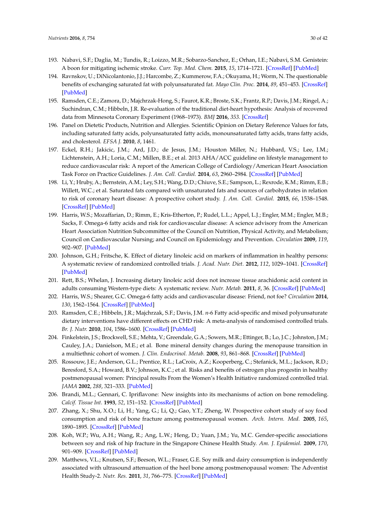- <span id="page-29-0"></span>193. Nabavi, S.F.; Daglia, M.; Tundis, R.; Loizzo, M.R.; Sobarzo-Sanchez, E.; Orhan, I.E.; Nabavi, S.M. Genistein: A boon for mitigating ischemic stroke. *Curr. Top. Med. Chem.* **2015**, *15*, 1714–1721. [\[CrossRef\]](http://dx.doi.org/10.2174/1568026615666150427122709) [\[PubMed\]](http://www.ncbi.nlm.nih.gov/pubmed/25915610)
- <span id="page-29-1"></span>194. Ravnskov, U.; DiNicolantonio, J.J.; Harcombe, Z.; Kummerow, F.A.; Okuyama, H.; Worm, N. The questionable benefits of exchanging saturated fat with polyunsaturated fat. *Mayo Clin. Proc.* **2014**, *89*, 451–453. [\[CrossRef\]](http://dx.doi.org/10.1016/j.mayocp.2013.11.006) [\[PubMed\]](http://www.ncbi.nlm.nih.gov/pubmed/24581756)
- <span id="page-29-2"></span>195. Ramsden, C.E.; Zamora, D.; Majchrzak-Hong, S.; Faurot, K.R.; Broste, S.K.; Frantz, R.P.; Davis, J.M.; Ringel, A.; Suchindran, C.M.; Hibbeln, J.R. Re-evaluation of the traditional diet-heart hypothesis: Analysis of recovered data from Minnesota Coronary Experiment (1968–1973). *BMJ* **2016**, *353*. [\[CrossRef\]](http://dx.doi.org/10.1136/bmj.i1246)
- <span id="page-29-3"></span>196. Panel on Dietetic Products, Nutrition and Allergies. Scientific Opinion on Dietary Reference Values for fats, including saturated fatty acids, polyunsaturated fatty acids, monounsaturated fatty acids, trans fatty acids, and cholesterol. *EFSA J.* **2010**, *8*, 1461.
- <span id="page-29-4"></span>197. Eckel, R.H.; Jakicic, J.M.; Ard, J.D.; de Jesus, J.M.; Houston Miller, N.; Hubbard, V.S.; Lee, I.M.; Lichtenstein, A.H.; Loria, C.M.; Millen, B.E.; et al. 2013 AHA/ACC guideline on lifestyle management to reduce cardiovascular risk: A report of the American College of Cardiology/American Heart Association Task Force on Practice Guidelines. *J. Am. Coll. Cardiol.* **2014**, *63*, 2960–2984. [\[CrossRef\]](http://dx.doi.org/10.1016/j.jacc.2013.11.003) [\[PubMed\]](http://www.ncbi.nlm.nih.gov/pubmed/24239922)
- <span id="page-29-5"></span>198. Li, Y.; Hruby, A.; Bernstein, A.M.; Ley, S.H.; Wang, D.D.; Chiuve, S.E.; Sampson, L.; Rexrode, K.M.; Rimm, E.B.; Willett, W.C.; et al. Saturated fats compared with unsaturated fats and sources of carbohydrates in relation to risk of coronary heart disease: A prospective cohort study. *J. Am. Coll. Cardiol.* **2015**, *66*, 1538–1548. [\[CrossRef\]](http://dx.doi.org/10.1016/j.jacc.2015.07.055) [\[PubMed\]](http://www.ncbi.nlm.nih.gov/pubmed/26429077)
- <span id="page-29-6"></span>199. Harris, W.S.; Mozaffarian, D.; Rimm, E.; Kris-Etherton, P.; Rudel, L.L.; Appel, L.J.; Engler, M.M.; Engler, M.B.; Sacks, F. Omega-6 fatty acids and risk for cardiovascular disease: A science advisory from the American Heart Association Nutrition Subcommittee of the Council on Nutrition, Physical Activity, and Metabolism; Council on Cardiovascular Nursing; and Council on Epidemiology and Prevention. *Circulation* **2009**, *119*, 902–907. [\[PubMed\]](http://www.ncbi.nlm.nih.gov/pubmed/19171857)
- 200. Johnson, G.H.; Fritsche, K. Effect of dietary linoleic acid on markers of inflammation in healthy persons: A systematic review of randomized controlled trials. *J. Acad. Nutr. Diet.* **2012**, *112*, 1029–1041. [\[CrossRef\]](http://dx.doi.org/10.1016/j.jand.2012.03.029) [\[PubMed\]](http://www.ncbi.nlm.nih.gov/pubmed/22889633)
- 201. Rett, B.S.; Whelan, J. Increasing dietary linoleic acid does not increase tissue arachidonic acid content in adults consuming Western-type diets: A systematic review. *Nutr. Metab.* **2011**, *8*, 36. [\[CrossRef\]](http://dx.doi.org/10.1186/1743-7075-8-36) [\[PubMed\]](http://www.ncbi.nlm.nih.gov/pubmed/21663641)
- <span id="page-29-7"></span>202. Harris, W.S.; Shearer, G.C. Omega-6 fatty acids and cardiovascular disease: Friend, not foe? *Circulation* **2014**, *130*, 1562–1564. [\[CrossRef\]](http://dx.doi.org/10.1161/CIRCULATIONAHA.114.012534) [\[PubMed\]](http://www.ncbi.nlm.nih.gov/pubmed/25161044)
- <span id="page-29-8"></span>203. Ramsden, C.E.; Hibbeln, J.R.; Majchrzak, S.F.; Davis, J.M. *n*-6 Fatty acid-specific and mixed polyunsaturate dietary interventions have different effects on CHD risk: A meta-analysis of randomised controlled trials. *Br. J. Nutr.* **2010**, *104*, 1586–1600. [\[CrossRef\]](http://dx.doi.org/10.1017/S0007114510004010) [\[PubMed\]](http://www.ncbi.nlm.nih.gov/pubmed/21118617)
- <span id="page-29-9"></span>204. Finkelstein, J.S.; Brockwell, S.E.; Mehta, V.; Greendale, G.A.; Sowers, M.R.; Ettinger, B.; Lo, J.C.; Johnston, J.M.; Cauley, J.A.; Danielson, M.E.; et al. Bone mineral density changes during the menopause transition in a multiethnic cohort of women. *J. Clin. Endocrinol. Metab.* **2008**, *93*, 861–868. [\[CrossRef\]](http://dx.doi.org/10.1210/jc.2007-1876) [\[PubMed\]](http://www.ncbi.nlm.nih.gov/pubmed/18160467)
- <span id="page-29-10"></span>205. Rossouw, J.E.; Anderson, G.L.; Prentice, R.L.; LaCroix, A.Z.; Kooperberg, C.; Stefanick, M.L.; Jackson, R.D.; Beresford, S.A.; Howard, B.V.; Johnson, K.C.; et al. Risks and benefits of estrogen plus progestin in healthy postmenopausal women: Principal results From the Women's Health Initiative randomized controlled trial. *JAMA* **2002**, *288*, 321–333. [\[PubMed\]](http://www.ncbi.nlm.nih.gov/pubmed/12117397)
- <span id="page-29-11"></span>206. Brandi, M.L.; Gennari, C. Ipriflavone: New insights into its mechanisms of action on bone remodeling. *Calcif. Tissue Int.* **1993**, *52*, 151–152. [\[CrossRef\]](http://dx.doi.org/10.1007/BF00308326) [\[PubMed\]](http://www.ncbi.nlm.nih.gov/pubmed/8443693)
- <span id="page-29-12"></span>207. Zhang, X.; Shu, X.O.; Li, H.; Yang, G.; Li, Q.; Gao, Y.T.; Zheng, W. Prospective cohort study of soy food consumption and risk of bone fracture among postmenopausal women. *Arch. Intern. Med.* **2005**, *165*, 1890–1895. [\[CrossRef\]](http://dx.doi.org/10.1001/archinte.165.16.1890) [\[PubMed\]](http://www.ncbi.nlm.nih.gov/pubmed/16157834)
- <span id="page-29-13"></span>208. Koh, W.P.; Wu, A.H.; Wang, R.; Ang, L.W.; Heng, D.; Yuan, J.M.; Yu, M.C. Gender-specific associations between soy and risk of hip fracture in the Singapore Chinese Health Study. *Am. J. Epidemiol.* **2009**, *170*, 901–909. [\[CrossRef\]](http://dx.doi.org/10.1093/aje/kwp220) [\[PubMed\]](http://www.ncbi.nlm.nih.gov/pubmed/19720865)
- <span id="page-29-14"></span>209. Matthews, V.L.; Knutsen, S.F.; Beeson, W.L.; Fraser, G.E. Soy milk and dairy consumption is independently associated with ultrasound attenuation of the heel bone among postmenopausal women: The Adventist Health Study-2. *Nutr. Res.* **2011**, *31*, 766–775. [\[CrossRef\]](http://dx.doi.org/10.1016/j.nutres.2011.09.016) [\[PubMed\]](http://www.ncbi.nlm.nih.gov/pubmed/22074801)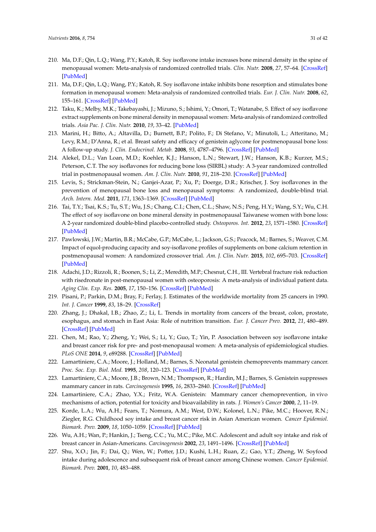- <span id="page-30-0"></span>210. Ma, D.F.; Qin, L.Q.; Wang, P.Y.; Katoh, R. Soy isoflavone intake increases bone mineral density in the spine of menopausal women: Meta-analysis of randomized controlled trials. *Clin. Nutr.* **2008**, *27*, 57–64. [\[CrossRef\]](http://dx.doi.org/10.1016/j.clnu.2007.10.012) [\[PubMed\]](http://www.ncbi.nlm.nih.gov/pubmed/18063230)
- 211. Ma, D.F.; Qin, L.Q.; Wang, P.Y.; Katoh, R. Soy isoflavone intake inhibits bone resorption and stimulates bone formation in menopausal women: Meta-analysis of randomized controlled trials. *Eur. J. Clin. Nutr.* **2008**, *62*, 155–161. [\[CrossRef\]](http://dx.doi.org/10.1038/sj.ejcn.1602748) [\[PubMed\]](http://www.ncbi.nlm.nih.gov/pubmed/17392695)
- <span id="page-30-1"></span>212. Taku, K.; Melby, M.K.; Takebayashi, J.; Mizuno, S.; Ishimi, Y.; Omori, T.; Watanabe, S. Effect of soy isoflavone extract supplements on bone mineral density in menopausal women: Meta-analysis of randomized controlled trials. *Asia Pac. J. Clin. Nutr.* **2010**, *19*, 33–42. [\[PubMed\]](http://www.ncbi.nlm.nih.gov/pubmed/20199985)
- <span id="page-30-2"></span>213. Marini, H.; Bitto, A.; Altavilla, D.; Burnett, B.P.; Polito, F.; Di Stefano, V.; Minutoli, L.; Atteritano, M.; Levy, R.M.; D'Anna, R.; et al. Breast safety and efficacy of genistein aglycone for postmenopausal bone loss: A follow-up study. *J. Clin. Endocrinol. Metab.* **2008**, *93*, 4787–4796. [\[CrossRef\]](http://dx.doi.org/10.1210/jc.2008-1087) [\[PubMed\]](http://www.ncbi.nlm.nih.gov/pubmed/18796517)
- 214. Alekel, D.L.; Van Loan, M.D.; Koehler, K.J.; Hanson, L.N.; Stewart, J.W.; Hanson, K.B.; Kurzer, M.S.; Peterson, C.T. The soy isoflavones for reducing bone loss (SIRBL) study: A 3-year randomized controlled trial in postmenopausal women. *Am. J. Clin. Nutr.* **2010**, *91*, 218–230. [\[CrossRef\]](http://dx.doi.org/10.3945/ajcn.2009.28306) [\[PubMed\]](http://www.ncbi.nlm.nih.gov/pubmed/19906801)
- <span id="page-30-6"></span>215. Levis, S.; Strickman-Stein, N.; Ganjei-Azar, P.; Xu, P.; Doerge, D.R.; Krischer, J. Soy isoflavones in the prevention of menopausal bone loss and menopausal symptoms: A randomized, double-blind trial. *Arch. Intern. Med.* **2011**, *171*, 1363–1369. [\[CrossRef\]](http://dx.doi.org/10.1001/archinternmed.2011.330) [\[PubMed\]](http://www.ncbi.nlm.nih.gov/pubmed/21824950)
- <span id="page-30-3"></span>216. Tai, T.Y.; Tsai, K.S.; Tu, S.T.; Wu, J.S.; Chang, C.I.; Chen, C.L.; Shaw, N.S.; Peng, H.Y.; Wang, S.Y.; Wu, C.H. The effect of soy isoflavone on bone mineral density in postmenopausal Taiwanese women with bone loss: A 2-year randomized double-blind placebo-controlled study. *Osteoporos. Int.* **2012**, *23*, 1571–1580. [\[CrossRef\]](http://dx.doi.org/10.1007/s00198-011-1750-7) [\[PubMed\]](http://www.ncbi.nlm.nih.gov/pubmed/21901480)
- <span id="page-30-4"></span>217. Pawlowski, J.W.; Martin, B.R.; McCabe, G.P.; McCabe, L.; Jackson, G.S.; Peacock, M.; Barnes, S.; Weaver, C.M. Impact of equol-producing capacity and soy-isoflavone profiles of supplements on bone calcium retention in postmenopausal women: A randomized crossover trial. *Am. J. Clin. Nutr.* **2015**, *102*, 695–703. [\[CrossRef\]](http://dx.doi.org/10.3945/ajcn.114.093906) [\[PubMed\]](http://www.ncbi.nlm.nih.gov/pubmed/26245807)
- <span id="page-30-5"></span>218. Adachi, J.D.; Rizzoli, R.; Boonen, S.; Li, Z.; Meredith, M.P.; Chesnut, C.H., III. Vertebral fracture risk reduction with risedronate in post-menopausal women with osteoporosis: A meta-analysis of individual patient data. *Aging Clin. Exp. Res.* **2005**, *17*, 150–156. [\[CrossRef\]](http://dx.doi.org/10.1007/BF03324588) [\[PubMed\]](http://www.ncbi.nlm.nih.gov/pubmed/15977464)
- <span id="page-30-7"></span>219. Pisani, P.; Parkin, D.M.; Bray, F.; Ferlay, J. Estimates of the worldwide mortality from 25 cancers in 1990. *Int. J. Cancer* **1999**, *83*, 18–29. [\[CrossRef\]](http://dx.doi.org/10.1002/(SICI)1097-0215(19990924)83:1<18::AID-IJC5>3.0.CO;2-M)
- <span id="page-30-8"></span>220. Zhang, J.; Dhakal, I.B.; Zhao, Z.; Li, L. Trends in mortality from cancers of the breast, colon, prostate, esophagus, and stomach in East Asia: Role of nutrition transition. *Eur. J. Cancer Prev.* **2012**, *21*, 480–489. [\[CrossRef\]](http://dx.doi.org/10.1097/CEJ.0b013e328351c732) [\[PubMed\]](http://www.ncbi.nlm.nih.gov/pubmed/22357483)
- <span id="page-30-9"></span>221. Chen, M.; Rao, Y.; Zheng, Y.; Wei, S.; Li, Y.; Guo, T.; Yin, P. Association between soy isoflavone intake and breast cancer risk for pre- and post-menopausal women: A meta-analysis of epidemiological studies. *PLoS ONE* **2014**, *9*, e89288. [\[CrossRef\]](http://dx.doi.org/10.1371/journal.pone.0089288) [\[PubMed\]](http://www.ncbi.nlm.nih.gov/pubmed/24586662)
- <span id="page-30-10"></span>222. Lamartiniere, C.A.; Moore, J.; Holland, M.; Barnes, S. Neonatal genistein chemoprevents mammary cancer. *Proc. Soc. Exp. Biol. Med.* **1995**, *208*, 120–123. [\[CrossRef\]](http://dx.doi.org/10.3181/00379727-208-43843) [\[PubMed\]](http://www.ncbi.nlm.nih.gov/pubmed/7892285)
- <span id="page-30-12"></span>223. Lamartiniere, C.A.; Moore, J.B.; Brown, N.M.; Thompson, R.; Hardin, M.J.; Barnes, S. Genistein suppresses mammary cancer in rats. *Carcinogenesis* **1995**, *16*, 2833–2840. [\[CrossRef\]](http://dx.doi.org/10.1093/carcin/16.11.2833) [\[PubMed\]](http://www.ncbi.nlm.nih.gov/pubmed/7586206)
- 224. Lamartiniere, C.A.; Zhao, Y.X.; Fritz, W.A. Genistein: Mammary cancer chemoprevention, in vivo mechanisms of action, potential for toxicity and bioavailability in rats. *J. Women's Cancer* **2000**, *2*, 11–19.
- <span id="page-30-11"></span>225. Korde, L.A.; Wu, A.H.; Fears, T.; Nomura, A.M.; West, D.W.; Kolonel, L.N.; Pike, M.C.; Hoover, R.N.; Ziegler, R.G. Childhood soy intake and breast cancer risk in Asian American women. *Cancer Epidemiol. Biomark. Prev.* **2009**, *18*, 1050–1059. [\[CrossRef\]](http://dx.doi.org/10.1158/1055-9965.EPI-08-0405) [\[PubMed\]](http://www.ncbi.nlm.nih.gov/pubmed/19318430)
- 226. Wu, A.H.; Wan, P.; Hankin, J.; Tseng, C.C.; Yu, M.C.; Pike, M.C. Adolescent and adult soy intake and risk of breast cancer in Asian-Americans. *Carcinogenesis* **2002**, *23*, 1491–1496. [\[CrossRef\]](http://dx.doi.org/10.1093/carcin/23.9.1491) [\[PubMed\]](http://www.ncbi.nlm.nih.gov/pubmed/12189192)
- 227. Shu, X.O.; Jin, F.; Dai, Q.; Wen, W.; Potter, J.D.; Kushi, L.H.; Ruan, Z.; Gao, Y.T.; Zheng, W. Soyfood intake during adolescence and subsequent risk of breast cancer among Chinese women. *Cancer Epidemiol. Biomark. Prev.* **2001**, *10*, 483–488.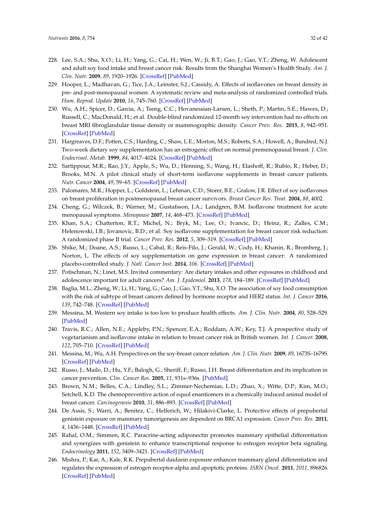- <span id="page-31-0"></span>228. Lee, S.A.; Shu, X.O.; Li, H.; Yang, G.; Cai, H.; Wen, W.; Ji, B.T.; Gao, J.; Gao, Y.T.; Zheng, W. Adolescent and adult soy food intake and breast cancer risk: Results from the Shanghai Women's Health Study. *Am. J. Clin. Nutr.* **2009**, *89*, 1920–1926. [\[CrossRef\]](http://dx.doi.org/10.3945/ajcn.2008.27361) [\[PubMed\]](http://www.ncbi.nlm.nih.gov/pubmed/19403632)
- <span id="page-31-1"></span>229. Hooper, L.; Madhavan, G.; Tice, J.A.; Leinster, S.J.; Cassidy, A. Effects of isoflavones on breast density in pre- and post-menopausal women: A systematic review and meta-analysis of randomized controlled trials. *Hum. Reprod. Update* **2010**, *16*, 745–760. [\[CrossRef\]](http://dx.doi.org/10.1093/humupd/dmq011) [\[PubMed\]](http://www.ncbi.nlm.nih.gov/pubmed/20511398)
- <span id="page-31-2"></span>230. Wu, A.H.; Spicer, D.; Garcia, A.; Tseng, C.C.; Hovanessian-Larsen, L.; Sheth, P.; Martin, S.E.; Hawes, D.; Russell, C.; MacDonald, H.; et al. Double-blind randomized 12-month soy intervention had no effects on breast MRI fibroglandular tissue density or mammographic density. *Cancer Prev. Res.* **2015**, *8*, 942–951. [\[CrossRef\]](http://dx.doi.org/10.1158/1940-6207.CAPR-15-0125) [\[PubMed\]](http://www.ncbi.nlm.nih.gov/pubmed/26276750)
- <span id="page-31-3"></span>231. Hargreaves, D.F.; Potten, C.S.; Harding, C.; Shaw, L.E.; Morton, M.S.; Roberts, S.A.; Howell, A.; Bundred, N.J. Two-week dietary soy supplementation has an estrogenic effect on normal premenopausal breast. *J. Clin. Endocrinol. Metab.* **1999**, *84*, 4017–4024. [\[CrossRef\]](http://dx.doi.org/10.1210/jc.84.11.4017) [\[PubMed\]](http://www.ncbi.nlm.nih.gov/pubmed/10566643)
- 232. Sartippour, M.R.; Rao, J.Y.; Apple, S.; Wu, D.; Henning, S.; Wang, H.; Elashoff, R.; Rubio, R.; Heber, D.; Brooks, M.N. A pilot clinical study of short-term isoflavone supplements in breast cancer patients. *Nutr. Cancer* **2004**, *49*, 59–65. [\[CrossRef\]](http://dx.doi.org/10.1207/s15327914nc4901_8) [\[PubMed\]](http://www.ncbi.nlm.nih.gov/pubmed/15456636)
- 233. Palomares, M.R.; Hopper, L.; Goldstein, L.; Lehman, C.D.; Storer, B.E.; Gralow, J.R. Effect of soy isoflavones on breast proliferation in postmenopausal breast cancer survivors. *Breast Cancer Res. Treat.* **2004**, *88*, 4002.
- 234. Cheng, G.; Wilczek, B.; Warner, M.; Gustafsson, J.A.; Landgren, B.M. Isoflavone treatment for acute menopausal symptoms. *Menopause* **2007**, *14*, 468–473. [\[CrossRef\]](http://dx.doi.org/10.1097/GME.0b013e31802cc7d0) [\[PubMed\]](http://www.ncbi.nlm.nih.gov/pubmed/17290160)
- 235. Khan, S.A.; Chatterton, R.T.; Michel, N.; Bryk, M.; Lee, O.; Ivancic, D.; Heinz, R.; Zalles, C.M.; Helenowski, I.B.; Jovanovic, B.D.; et al. Soy isoflavone supplementation for breast cancer risk reduction: A randomized phase II trial. *Cancer Prev. Res.* **2012**, *5*, 309–319. [\[CrossRef\]](http://dx.doi.org/10.1158/1940-6207.CAPR-11-0251) [\[PubMed\]](http://www.ncbi.nlm.nih.gov/pubmed/22307566)
- <span id="page-31-4"></span>236. Shike, M.; Doane, A.S.; Russo, L.; Cabal, R.; Reis-Filo, J.; Gerald, W.; Cody, H.; Khanin, R.; Bromberg, J.; Norton, L. The effects of soy supplementation on gene expression in breast cancer: A randomized placebo-controlled study. *J. Natl. Cancer Inst.* **2014**, *106*. [\[CrossRef\]](http://dx.doi.org/10.1093/jnci/dju189) [\[PubMed\]](http://www.ncbi.nlm.nih.gov/pubmed/25190728)
- <span id="page-31-5"></span>237. Potischman, N.; Linet, M.S. Invited commentary: Are dietary intakes and other exposures in childhood and adolescence important for adult cancers? *Am. J. Epidemiol.* **2013**, *178*, 184–189. [\[CrossRef\]](http://dx.doi.org/10.1093/aje/kwt101) [\[PubMed\]](http://www.ncbi.nlm.nih.gov/pubmed/23792894)
- <span id="page-31-6"></span>238. Baglia, M.L.; Zheng, W.; Li, H.; Yang, G.; Gao, J.; Gao, Y.T.; Shu, X.O. The association of soy food consumption with the risk of subtype of breast cancers defined by hormone receptor and HER2 status. *Int. J. Cancer* **2016**, *139*, 742–748. [\[CrossRef\]](http://dx.doi.org/10.1002/ijc.30117) [\[PubMed\]](http://www.ncbi.nlm.nih.gov/pubmed/27038352)
- <span id="page-31-7"></span>239. Messina, M. Western soy intake is too low to produce health effects. *Am. J. Clin. Nutr.* **2004**, *80*, 528–529. [\[PubMed\]](http://www.ncbi.nlm.nih.gov/pubmed/15277184)
- <span id="page-31-8"></span>240. Travis, R.C.; Allen, N.E.; Appleby, P.N.; Spencer, E.A.; Roddam, A.W.; Key, T.J. A prospective study of vegetarianism and isoflavone intake in relation to breast cancer risk in British women. *Int. J. Cancer.* **2008**, *122*, 705–710. [\[CrossRef\]](http://dx.doi.org/10.1002/ijc.23141) [\[PubMed\]](http://www.ncbi.nlm.nih.gov/pubmed/17943732)
- <span id="page-31-9"></span>241. Messina, M.; Wu, A.H. Perspectives on the soy-breast cancer relation. *Am. J. Clin. Nutr.* **2009**, *89*, 1673S–1679S. [\[CrossRef\]](http://dx.doi.org/10.3945/ajcn.2009.26736V) [\[PubMed\]](http://www.ncbi.nlm.nih.gov/pubmed/19339397)
- <span id="page-31-10"></span>242. Russo, J.; Mailo, D.; Hu, Y.F.; Balogh, G.; Sheriff, F.; Russo, I.H. Breast differentiation and its implication in cancer prevention. *Clin. Cancer Res.* **2005**, *11*, 931s–936s. [\[PubMed\]](http://www.ncbi.nlm.nih.gov/pubmed/15701889)
- 243. Brown, N.M.; Belles, C.A.; Lindley, S.L.; Zimmer-Nechemias, L.D.; Zhao, X.; Witte, D.P.; Kim, M.O.; Setchell, K.D. The chemopreventive action of equol enantiomers in a chemically induced animal model of breast cancer. *Carcinogenesis* **2010**, *31*, 886–893. [\[CrossRef\]](http://dx.doi.org/10.1093/carcin/bgq025) [\[PubMed\]](http://www.ncbi.nlm.nih.gov/pubmed/20110282)
- 244. De Assis, S.; Warri, A.; Benitez, C.; Helferich, W.; Hilakivi-Clarke, L. Protective effects of prepubertal genistein exposure on mammary tumorigenesis are dependent on BRCA1 expression. *Cancer Prev. Res.* **2011**, *4*, 1436–1448. [\[CrossRef\]](http://dx.doi.org/10.1158/1940-6207.CAPR-10-0346) [\[PubMed\]](http://www.ncbi.nlm.nih.gov/pubmed/21680703)
- 245. Rahal, O.M.; Simmen, R.C. Paracrine-acting adiponectin promotes mammary epithelial differentiation and synergizes with genistein to enhance transcriptional response to estrogen receptor beta signaling. *Endocrinology* **2011**, *152*, 3409–3421. [\[CrossRef\]](http://dx.doi.org/10.1210/en.2011-1085) [\[PubMed\]](http://www.ncbi.nlm.nih.gov/pubmed/21712365)
- <span id="page-31-11"></span>246. Mishra, P.; Kar, A.; Kale, R.K. Prepubertal daidzein exposure enhances mammary gland differentiation and regulates the expression of estrogen receptor-alpha and apoptotic proteins. *ISRN Oncol.* **2011**, *2011*, 896826. [\[CrossRef\]](http://dx.doi.org/10.5402/2011/896826) [\[PubMed\]](http://www.ncbi.nlm.nih.gov/pubmed/22091435)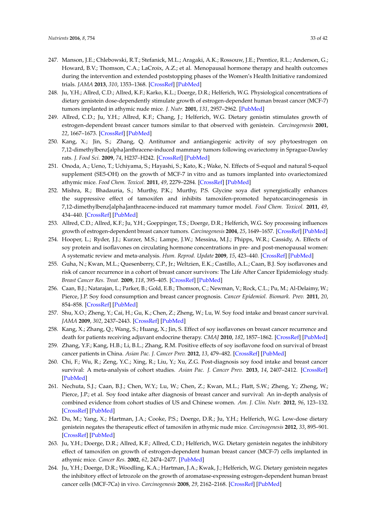- <span id="page-32-0"></span>247. Manson, J.E.; Chlebowski, R.T.; Stefanick, M.L.; Aragaki, A.K.; Rossouw, J.E.; Prentice, R.L.; Anderson, G.; Howard, B.V.; Thomson, C.A.; LaCroix, A.Z.; et al. Menopausal hormone therapy and health outcomes during the intervention and extended poststopping phases of the Women's Health Initiative randomized trials. *JAMA* **2013**, *310*, 1353–1368. [\[CrossRef\]](http://dx.doi.org/10.1001/jama.2013.278040) [\[PubMed\]](http://www.ncbi.nlm.nih.gov/pubmed/24084921)
- <span id="page-32-1"></span>248. Ju, Y.H.; Allred, C.D.; Allred, K.F.; Karko, K.L.; Doerge, D.R.; Helferich, W.G. Physiological concentrations of dietary genistein dose-dependently stimulate growth of estrogen-dependent human breast cancer (MCF-7) tumors implanted in athymic nude mice. *J. Nutr.* **2001**, *131*, 2957–2962. [\[PubMed\]](http://www.ncbi.nlm.nih.gov/pubmed/11694625)
- <span id="page-32-2"></span>249. Allred, C.D.; Ju, Y.H.; Allred, K.F.; Chang, J.; Helferich, W.G. Dietary genistin stimulates growth of estrogen-dependent breast cancer tumors similar to that observed with genistein. *Carcinogenesis* **2001**, *22*, 1667–1673. [\[CrossRef\]](http://dx.doi.org/10.1093/carcin/22.10.1667) [\[PubMed\]](http://www.ncbi.nlm.nih.gov/pubmed/11577007)
- <span id="page-32-3"></span>250. Kang, X.; Jin, S.; Zhang, Q. Antitumor and antiangiogenic activity of soy phytoestrogen on 7,12-dimethylbenz[alpha]anthracene-induced mammary tumors following ovariectomy in Sprague-Dawley rats. *J. Food Sci.* **2009**, *74*, H237–H242. [\[CrossRef\]](http://dx.doi.org/10.1111/j.1750-3841.2009.01278.x) [\[PubMed\]](http://www.ncbi.nlm.nih.gov/pubmed/19895476)
- <span id="page-32-6"></span>251. Onoda, A.; Ueno, T.; Uchiyama, S.; Hayashi, S.; Kato, K.; Wake, N. Effects of S-equol and natural S-equol supplement (SE5-OH) on the growth of MCF-7 in vitro and as tumors implanted into ovariectomized athymic mice. *Food Chem. Toxicol.* **2011**, *49*, 2279–2284. [\[CrossRef\]](http://dx.doi.org/10.1016/j.fct.2011.06.027) [\[PubMed\]](http://www.ncbi.nlm.nih.gov/pubmed/21703324)
- <span id="page-32-4"></span>252. Mishra, R.; Bhadauria, S.; Murthy, P.K.; Murthy, P.S. Glycine soya diet synergistically enhances the suppressive effect of tamoxifen and inhibits tamoxifen-promoted hepatocarcinogenesis in 7,12-dimethylbenz[alpha]anthracene-induced rat mammary tumor model. *Food Chem. Toxicol.* **2011**, *49*, 434–440. [\[CrossRef\]](http://dx.doi.org/10.1016/j.fct.2010.11.020) [\[PubMed\]](http://www.ncbi.nlm.nih.gov/pubmed/21092749)
- <span id="page-32-5"></span>253. Allred, C.D.; Allred, K.F.; Ju, Y.H.; Goeppinger, T.S.; Doerge, D.R.; Helferich, W.G. Soy processing influences growth of estrogen-dependent breast cancer tumors. *Carcinogenesis* **2004**, *25*, 1649–1657. [\[CrossRef\]](http://dx.doi.org/10.1093/carcin/bgh178) [\[PubMed\]](http://www.ncbi.nlm.nih.gov/pubmed/15131010)
- <span id="page-32-7"></span>254. Hooper, L.; Ryder, J.J.; Kurzer, M.S.; Lampe, J.W.; Messina, M.J.; Phipps, W.R.; Cassidy, A. Effects of soy protein and isoflavones on circulating hormone concentrations in pre- and post-menopausal women: A systematic review and meta-analysis. *Hum. Reprod. Update* **2009**, *15*, 423–440. [\[CrossRef\]](http://dx.doi.org/10.1093/humupd/dmp010) [\[PubMed\]](http://www.ncbi.nlm.nih.gov/pubmed/19299447)
- <span id="page-32-8"></span>255. Guha, N.; Kwan, M.L.; Quesenberry, C.P., Jr.; Weltzien, E.K.; Castillo, A.L.; Caan, B.J. Soy isoflavones and risk of cancer recurrence in a cohort of breast cancer survivors: The Life After Cancer Epidemiology study. *Breast Cancer Res. Treat.* **2009**, *118*, 395–405. [\[CrossRef\]](http://dx.doi.org/10.1007/s10549-009-0321-5) [\[PubMed\]](http://www.ncbi.nlm.nih.gov/pubmed/19221874)
- <span id="page-32-9"></span>256. Caan, B.J.; Natarajan, L.; Parker, B.; Gold, E.B.; Thomson, C.; Newman, V.; Rock, C.L.; Pu, M.; Al-Delaimy, W.; Pierce, J.P. Soy food consumption and breast cancer prognosis. *Cancer Epidemiol. Biomark. Prev.* **2011**, *20*, 854–858. [\[CrossRef\]](http://dx.doi.org/10.1158/1055-9965.EPI-10-1041) [\[PubMed\]](http://www.ncbi.nlm.nih.gov/pubmed/21357380)
- <span id="page-32-10"></span>257. Shu, X.O.; Zheng, Y.; Cai, H.; Gu, K.; Chen, Z.; Zheng, W.; Lu, W. Soy food intake and breast cancer survival. *JAMA* **2009**, *302*, 2437–2443. [\[CrossRef\]](http://dx.doi.org/10.1001/jama.2009.1783) [\[PubMed\]](http://www.ncbi.nlm.nih.gov/pubmed/19996398)
- <span id="page-32-17"></span>258. Kang, X.; Zhang, Q.; Wang, S.; Huang, X.; Jin, S. Effect of soy isoflavones on breast cancer recurrence and death for patients receiving adjuvant endocrine therapy. *CMAJ* **2010**, *182*, 1857–1862. [\[CrossRef\]](http://dx.doi.org/10.1503/cmaj.091298) [\[PubMed\]](http://www.ncbi.nlm.nih.gov/pubmed/20956506)
- <span id="page-32-11"></span>259. Zhang, Y.F.; Kang, H.B.; Li, B.L.; Zhang, R.M. Positive effects of soy isoflavone food on survival of breast cancer patients in China. *Asian Pac. J. Cancer Prev.* **2012**, *13*, 479–482. [\[CrossRef\]](http://dx.doi.org/10.7314/APJCP.2012.13.2.479) [\[PubMed\]](http://www.ncbi.nlm.nih.gov/pubmed/22524810)
- <span id="page-32-12"></span>260. Chi, F.; Wu, R.; Zeng, Y.C.; Xing, R.; Liu, Y.; Xu, Z.G. Post-diagnosis soy food intake and breast cancer survival: A meta-analysis of cohort studies. *Asian Pac. J. Cancer Prev.* **2013**, *14*, 2407–2412. [\[CrossRef\]](http://dx.doi.org/10.7314/APJCP.2013.14.4.2407) [\[PubMed\]](http://www.ncbi.nlm.nih.gov/pubmed/23725149)
- <span id="page-32-13"></span>261. Nechuta, S.J.; Caan, B.J.; Chen, W.Y.; Lu, W.; Chen, Z.; Kwan, M.L.; Flatt, S.W.; Zheng, Y.; Zheng, W.; Pierce, J.P.; et al. Soy food intake after diagnosis of breast cancer and survival: An in-depth analysis of combined evidence from cohort studies of US and Chinese women. *Am. J. Clin. Nutr.* **2012**, *96*, 123–132. [\[CrossRef\]](http://dx.doi.org/10.3945/ajcn.112.035972) [\[PubMed\]](http://www.ncbi.nlm.nih.gov/pubmed/22648714)
- <span id="page-32-14"></span>262. Du, M.; Yang, X.; Hartman, J.A.; Cooke, P.S.; Doerge, D.R.; Ju, Y.H.; Helferich, W.G. Low-dose dietary genistein negates the therapeutic effect of tamoxifen in athymic nude mice. *Carcinogenesis* **2012**, *33*, 895–901. [\[CrossRef\]](http://dx.doi.org/10.1093/carcin/bgs017) [\[PubMed\]](http://www.ncbi.nlm.nih.gov/pubmed/22266527)
- <span id="page-32-15"></span>263. Ju, Y.H.; Doerge, D.R.; Allred, K.F.; Allred, C.D.; Helferich, W.G. Dietary genistein negates the inhibitory effect of tamoxifen on growth of estrogen-dependent human breast cancer (MCF-7) cells implanted in athymic mice. *Cancer Res.* **2002**, *62*, 2474–2477. [\[PubMed\]](http://www.ncbi.nlm.nih.gov/pubmed/11980635)
- <span id="page-32-16"></span>264. Ju, Y.H.; Doerge, D.R.; Woodling, K.A.; Hartman, J.A.; Kwak, J.; Helferich, W.G. Dietary genistein negates the inhibitory effect of letrozole on the growth of aromatase-expressing estrogen-dependent human breast cancer cells (MCF-7Ca) in vivo. *Carcinogenesis* **2008**, *29*, 2162–2168. [\[CrossRef\]](http://dx.doi.org/10.1093/carcin/bgn161) [\[PubMed\]](http://www.ncbi.nlm.nih.gov/pubmed/18632754)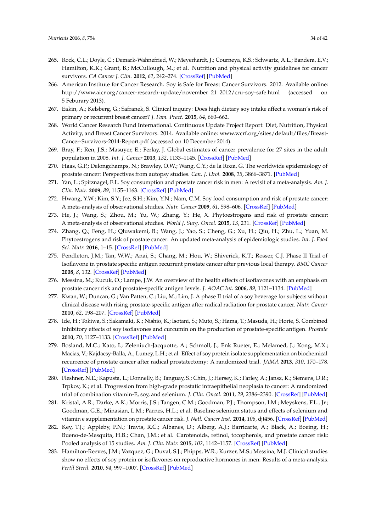- <span id="page-33-0"></span>265. Rock, C.L.; Doyle, C.; Demark-Wahnefried, W.; Meyerhardt, J.; Courneya, K.S.; Schwartz, A.L.; Bandera, E.V.; Hamilton, K.K.; Grant, B.; McCullough, M.; et al. Nutrition and physical activity guidelines for cancer survivors. *CA Cancer J. Clin.* **2012**, *62*, 242–274. [\[CrossRef\]](http://dx.doi.org/10.3322/caac.21142) [\[PubMed\]](http://www.ncbi.nlm.nih.gov/pubmed/22539238)
- <span id="page-33-1"></span>266. American Institute for Cancer Research. Soy is Safe for Breast Cancer Survivors. 2012. Available online: [http://www.aicr.org/cancer-research-update/november\\_21\\_2012/cru-soy-safe.html](http://www.aicr.org/cancer-research-update/november_21_2012/cru-soy-safe.html) (accessed on 5 Feburary 2013).
- <span id="page-33-2"></span>267. Eakin, A.; Kelsberg, G.; Safranek, S. Clinical inquiry: Does high dietary soy intake affect a woman's risk of primary or recurrent breast cancer? *J. Fam. Pract.* **2015**, *64*, 660–662.
- <span id="page-33-3"></span>268. World Cancer Research Fund International. Continuous Update Project Report: Diet, Nutrition, Physical Activity, and Breast Cancer Survivors. 2014. Available online: [www.wcrf.org/sites/default/files/Breast-](www.wcrf.org/sites/default/files/Breast-Cancer-Survivors-2014-Report.pdf)[Cancer-Survivors-2014-Report.pdf](www.wcrf.org/sites/default/files/Breast-Cancer-Survivors-2014-Report.pdf) (accessed on 10 December 2014).
- <span id="page-33-4"></span>269. Bray, F.; Ren, J.S.; Masuyer, E.; Ferlay, J. Global estimates of cancer prevalence for 27 sites in the adult population in 2008. *Int. J. Cancer* **2013**, *132*, 1133–1145. [\[CrossRef\]](http://dx.doi.org/10.1002/ijc.27711) [\[PubMed\]](http://www.ncbi.nlm.nih.gov/pubmed/22752881)
- <span id="page-33-5"></span>270. Haas, G.P.; Delongchamps, N.; Brawley, O.W.; Wang, C.Y.; de la Roza, G. The worldwide epidemiology of prostate cancer: Perspectives from autopsy studies. *Can. J. Urol.* **2008**, *15*, 3866–3871. [\[PubMed\]](http://www.ncbi.nlm.nih.gov/pubmed/18304396)
- <span id="page-33-6"></span>271. Yan, L.; Spitznagel, E.L. Soy consumption and prostate cancer risk in men: A revisit of a meta-analysis. *Am. J. Clin. Nutr.* **2009**, *89*, 1155–1163. [\[CrossRef\]](http://dx.doi.org/10.3945/ajcn.2008.27029) [\[PubMed\]](http://www.ncbi.nlm.nih.gov/pubmed/19211820)
- 272. Hwang, Y.W.; Kim, S.Y.; Jee, S.H.; Kim, Y.N.; Nam, C.M. Soy food consumption and risk of prostate cancer: A meta-analysis of observational studies. *Nutr. Cancer* **2009**, *61*, 598–606. [\[CrossRef\]](http://dx.doi.org/10.1080/01635580902825639) [\[PubMed\]](http://www.ncbi.nlm.nih.gov/pubmed/19838933)
- 273. He, J.; Wang, S.; Zhou, M.; Yu, W.; Zhang, Y.; He, X. Phytoestrogens and risk of prostate cancer: A meta-analysis of observational studies. *World J. Surg. Oncol.* **2015**, *13*, 231. [\[CrossRef\]](http://dx.doi.org/10.1186/s12957-015-0648-9) [\[PubMed\]](http://www.ncbi.nlm.nih.gov/pubmed/26228387)
- <span id="page-33-7"></span>274. Zhang, Q.; Feng, H.; Qluwakemi, B.; Wang, J.; Yao, S.; Cheng, G.; Xu, H.; Qiu, H.; Zhu, L.; Yuan, M. Phytoestrogens and risk of prostate cancer: An updated meta-analysis of epidemiologic studies. *Int. J. Food Sci. Nutr.* **2016**, 1–15. [\[CrossRef\]](http://dx.doi.org/10.1080/09637486.2016.1216525) [\[PubMed\]](http://www.ncbi.nlm.nih.gov/pubmed/27687296)
- <span id="page-33-8"></span>275. Pendleton, J.M.; Tan, W.W.; Anai, S.; Chang, M.; Hou, W.; Shiverick, K.T.; Rosser, C.J. Phase II Trial of Isoflavone in prostate specific antigen recurrent prostate cancer after previous local therapy. *BMC Cancer* **2008**, *8*, 132. [\[CrossRef\]](http://dx.doi.org/10.1186/1471-2407-8-132) [\[PubMed\]](http://www.ncbi.nlm.nih.gov/pubmed/18471323)
- 276. Messina, M.; Kucuk, O.; Lampe, J.W. An overview of the health effects of isoflavones with an emphasis on prostate cancer risk and prostate-specific antigen levels. *J. AOAC Int.* **2006**, *89*, 1121–1134. [\[PubMed\]](http://www.ncbi.nlm.nih.gov/pubmed/16915855)
- 277. Kwan, W.; Duncan, G.; Van Patten, C.; Liu, M.; Lim, J. A phase II trial of a soy beverage for subjects without clinical disease with rising prostate-specific antigen after radical radiation for prostate cancer. *Nutr. Cancer* **2010**, *62*, 198–207. [\[CrossRef\]](http://dx.doi.org/10.1080/01635580903305318) [\[PubMed\]](http://www.ncbi.nlm.nih.gov/pubmed/20099194)
- <span id="page-33-9"></span>278. Ide, H.; Tokiwa, S.; Sakamaki, K.; Nishio, K.; Isotani, S.; Muto, S.; Hama, T.; Masuda, H.; Horie, S. Combined inhibitory effects of soy isoflavones and curcumin on the production of prostate-specific antigen. *Prostate* **2010**, *70*, 1127–1133. [\[CrossRef\]](http://dx.doi.org/10.1002/pros.21147) [\[PubMed\]](http://www.ncbi.nlm.nih.gov/pubmed/20503397)
- <span id="page-33-10"></span>279. Bosland, M.C.; Kato, I.; Zeleniuch-Jacquotte, A.; Schmoll, J.; Enk Rueter, E.; Melamed, J.; Kong, M.X.; Macias, V.; Kajdacsy-Balla, A.; Lumey, L.H.; et al. Effect of soy protein isolate supplementation on biochemical recurrence of prostate cancer after radical prostatectomy: A randomized trial. *JAMA* **2013**, *310*, 170–178. [\[CrossRef\]](http://dx.doi.org/10.1001/jama.2013.7842) [\[PubMed\]](http://www.ncbi.nlm.nih.gov/pubmed/23839751)
- <span id="page-33-11"></span>280. Fleshner, N.E.; Kapusta, L.; Donnelly, B.; Tanguay, S.; Chin, J.; Hersey, K.; Farley, A.; Jansz, K.; Siemens, D.R.; Trpkov, K.; et al. Progression from high-grade prostatic intraepithelial neoplasia to cancer: A randomized trial of combination vitamin-E, soy, and selenium. *J. Clin. Oncol.* **2011**, *29*, 2386–2390. [\[CrossRef\]](http://dx.doi.org/10.1200/JCO.2010.32.0994) [\[PubMed\]](http://www.ncbi.nlm.nih.gov/pubmed/21537051)
- <span id="page-33-12"></span>281. Kristal, A.R.; Darke, A.K.; Morris, J.S.; Tangen, C.M.; Goodman, P.J.; Thompson, I.M.; Meyskens, F.L., Jr.; Goodman, G.E.; Minasian, L.M.; Parnes, H.L.; et al. Baseline selenium status and effects of selenium and vitamin e supplementation on prostate cancer risk. *J. Natl. Cancer Inst.* **2014**, *106*, djt456. [\[CrossRef\]](http://dx.doi.org/10.1093/jnci/djt456) [\[PubMed\]](http://www.ncbi.nlm.nih.gov/pubmed/24563519)
- <span id="page-33-13"></span>282. Key, T.J.; Appleby, P.N.; Travis, R.C.; Albanes, D.; Alberg, A.J.; Barricarte, A.; Black, A.; Boeing, H.; Bueno-de-Mesquita, H.B.; Chan, J.M.; et al. Carotenoids, retinol, tocopherols, and prostate cancer risk: Pooled analysis of 15 studies. *Am. J. Clin. Nutr.* **2015**, *102*, 1142–1157. [\[CrossRef\]](http://dx.doi.org/10.3945/ajcn.115.114306) [\[PubMed\]](http://www.ncbi.nlm.nih.gov/pubmed/26447150)
- <span id="page-33-14"></span>283. Hamilton-Reeves, J.M.; Vazquez, G.; Duval, S.J.; Phipps, W.R.; Kurzer, M.S.; Messina, M.J. Clinical studies show no effects of soy protein or isoflavones on reproductive hormones in men: Results of a meta-analysis. *Fertil Steril.* **2010**, *94*, 997–1007. [\[CrossRef\]](http://dx.doi.org/10.1016/j.fertnstert.2009.04.038) [\[PubMed\]](http://www.ncbi.nlm.nih.gov/pubmed/19524224)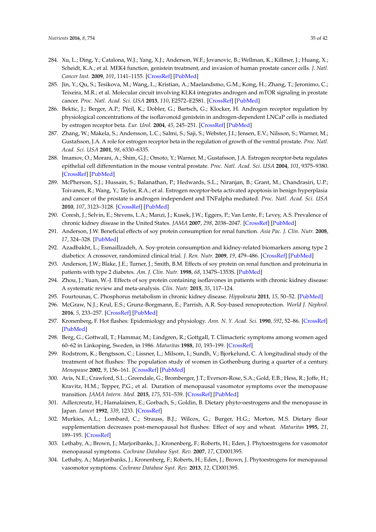- <span id="page-34-0"></span>284. Xu, L.; Ding, Y.; Catalona, W.J.; Yang, X.J.; Anderson, W.F.; Jovanovic, B.; Wellman, K.; Killmer, J.; Huang, X.; Scheidt, K.A.; et al. MEK4 function, genistein treatment, and invasion of human prostate cancer cells. *J. Natl. Cancer Inst.* **2009**, *101*, 1141–1155. [\[CrossRef\]](http://dx.doi.org/10.1093/jnci/djp227) [\[PubMed\]](http://www.ncbi.nlm.nih.gov/pubmed/19638505)
- <span id="page-34-1"></span>285. Jin, Y.; Qu, S.; Tesikova, M.; Wang, L.; Kristian, A.; Maelandsmo, G.M.; Kong, H.; Zhang, T.; Jeronimo, C.; Teixeira, M.R.; et al. Molecular circuit involving KLK4 integrates androgen and mTOR signaling in prostate cancer. *Proc. Natl. Acad. Sci. USA* **2013**, *110*, E2572–E2581. [\[CrossRef\]](http://dx.doi.org/10.1073/pnas.1304318110) [\[PubMed\]](http://www.ncbi.nlm.nih.gov/pubmed/23798432)
- <span id="page-34-2"></span>286. Bektic, J.; Berger, A.P.; Pfeil, K.; Dobler, G.; Bartsch, G.; Klocker, H. Androgen receptor regulation by physiological concentrations of the isoflavonoid genistein in androgen-dependent LNCaP cells is mediated by estrogen receptor beta. *Eur. Urol.* **2004**, *45*, 245–251. [\[CrossRef\]](http://dx.doi.org/10.1016/j.eururo.2003.09.001) [\[PubMed\]](http://www.ncbi.nlm.nih.gov/pubmed/14734014)
- <span id="page-34-3"></span>287. Zhang, W.; Makela, S.; Andersson, L.C.; Salmi, S.; Saji, S.; Webster, J.I.; Jensen, E.V.; Nilsson, S.; Warner, M.; Gustafsson, J.A. A role for estrogen receptor beta in the regulation of growth of the ventral prostate. *Proc. Natl. Acad. Sci. USA* **2001**, *98*, 6330–6335.
- <span id="page-34-4"></span>288. Imamov, O.; Morani, A.; Shim, G.J.; Omoto, Y.; Warner, M.; Gustafsson, J.A. Estrogen receptor-beta regulates epithelial cell differentiation in the mouse ventral prostate. *Proc. Natl. Acad. Sci. USA* **2004**, *101*, 9375–9380. [\[CrossRef\]](http://dx.doi.org/10.1073/pnas.0403041101) [\[PubMed\]](http://www.ncbi.nlm.nih.gov/pubmed/15187231)
- <span id="page-34-5"></span>289. McPherson, S.J.; Hussain, S.; Balanathan, P.; Hedwards, S.L.; Niranjan, B.; Grant, M.; Chandrasiri, U.P.; Toivanen, R.; Wang, Y.; Taylor, R.A.; et al. Estrogen receptor-beta activated apoptosis in benign hyperplasia and cancer of the prostate is androgen independent and TNFalpha mediated. *Proc. Natl. Acad. Sci. USA* **2010**, *107*, 3123–3128. [\[CrossRef\]](http://dx.doi.org/10.1073/pnas.0905524107) [\[PubMed\]](http://www.ncbi.nlm.nih.gov/pubmed/20133657)
- <span id="page-34-6"></span>290. Coresh, J.; Selvin, E.; Stevens, L.A.; Manzi, J.; Kusek, J.W.; Eggers, P.; Van Lente, F.; Levey, A.S. Prevalence of chronic kidney disease in the United States. *JAMA* **2007**, *298*, 2038–2047. [\[CrossRef\]](http://dx.doi.org/10.1001/jama.298.17.2038) [\[PubMed\]](http://www.ncbi.nlm.nih.gov/pubmed/17986697)
- <span id="page-34-7"></span>291. Anderson, J.W. Beneficial effects of soy protein consumption for renal function. *Asia Pac. J. Clin. Nutr.* **2008**, *17*, 324–328. [\[PubMed\]](http://www.ncbi.nlm.nih.gov/pubmed/18296369)
- <span id="page-34-8"></span>292. Azadbakht, L.; Esmaillzadeh, A. Soy-protein consumption and kidney-related biomarkers among type 2 diabetics: A crossover, randomized clinical trial. *J. Ren. Nutr.* **2009**, *19*, 479–486. [\[CrossRef\]](http://dx.doi.org/10.1053/j.jrn.2009.06.002) [\[PubMed\]](http://www.ncbi.nlm.nih.gov/pubmed/19758824)
- <span id="page-34-9"></span>293. Anderson, J.W.; Blake, J.E.; Turner, J.; Smith, B.M. Effects of soy protein on renal function and proteinuria in patients with type 2 diabetes. *Am. J. Clin. Nutr.* **1998**, *68*, 1347S–1353S. [\[PubMed\]](http://www.ncbi.nlm.nih.gov/pubmed/9848497)
- <span id="page-34-10"></span>294. Zhou, J.; Yuan, W.-J. Effects of soy protein containing isoflavones in patients with chronic kidney disease: A systematic review and meta-analysis. *Clin. Nutr.* **2015**, *35*, 117–124.
- <span id="page-34-11"></span>295. Fourtounas, C. Phosphorus metabolism in chronic kidney disease. *Hippokratia* **2011**, *15*, 50–52. [\[PubMed\]](http://www.ncbi.nlm.nih.gov/pubmed/21897759)
- <span id="page-34-12"></span>296. McGraw, N.J.; Krul, E.S.; Grunz-Borgmann, E.; Parrish, A.R. Soy-based renoprotection. *World J. Nephrol.* **2016**, *5*, 233–257. [\[CrossRef\]](http://dx.doi.org/10.5527/wjn.v5.i3.233) [\[PubMed\]](http://www.ncbi.nlm.nih.gov/pubmed/27152261)
- <span id="page-34-13"></span>297. Kronenberg, F. Hot flashes: Epidemiology and physiology. *Ann. N. Y. Acad. Sci.* **1990**, *592*, 52–86. [\[CrossRef\]](http://dx.doi.org/10.1111/j.1749-6632.1990.tb30316.x) [\[PubMed\]](http://www.ncbi.nlm.nih.gov/pubmed/2197954)
- <span id="page-34-14"></span>298. Berg, G.; Gottwall, T.; Hammar, M.; Lindgren, R.; Gottgall, T. Climacteric symptoms among women aged 60–62 in Linkoping, Sweden, in 1986. *Maturitas* **1988**, *10*, 193–199. [\[CrossRef\]](http://dx.doi.org/10.1016/0378-5122(88)90022-9)
- <span id="page-34-15"></span>299. Rodstrom, K.; Bengtsson, C.; Lissner, L.; Milsom, I.; Sundh, V.; Bjorkelund, C. A longitudinal study of the treatment of hot flushes: The population study of women in Gothenburg during a quarter of a century. *Menopause* **2002**, *9*, 156–161. [\[CrossRef\]](http://dx.doi.org/10.1097/00042192-200205000-00003) [\[PubMed\]](http://www.ncbi.nlm.nih.gov/pubmed/11973438)
- <span id="page-34-16"></span>300. Avis, N.E.; Crawford, S.L.; Greendale, G.; Bromberger, J.T.; Everson-Rose, S.A.; Gold, E.B.; Hess, R.; Joffe, H.; Kravitz, H.M.; Tepper, P.G.; et al. Duration of menopausal vasomotor symptoms over the menopause transition. *JAMA Intern. Med.* **2015**, *175*, 531–539. [\[CrossRef\]](http://dx.doi.org/10.1001/jamainternmed.2014.8063) [\[PubMed\]](http://www.ncbi.nlm.nih.gov/pubmed/25686030)
- <span id="page-34-17"></span>301. Adlercreutz, H.; Hamalainen, E.; Gorbach, S.; Goldin, B. Dietary phyto-oestrogens and the menopause in Japan. *Lancet* **1992**, *339*, 1233. [\[CrossRef\]](http://dx.doi.org/10.1016/0140-6736(92)91174-7)
- <span id="page-34-18"></span>302. Murkies, A.L.; Lombard, C.; Strauss, B.J.; Wilcox, G.; Burger, H.G.; Morton, M.S. Dietary flour supplementation decreases post-menopausal hot flushes: Effect of soy and wheat. *Maturitas* **1995**, *21*, 189–195. [\[CrossRef\]](http://dx.doi.org/10.1016/0378-5122(95)00899-V)
- <span id="page-34-19"></span>303. Lethaby, A.; Brown, J.; Marjoribanks, J.; Kronenberg, F.; Roberts, H.; Eden, J. Phytoestrogens for vasomotor menopausal symptoms. *Cochrane Database Syst. Rev.* **2007**, *17*, CD001395.
- <span id="page-34-20"></span>304. Lethaby, A.; Marjoribanks, J.; Kronenberg, F.; Roberts, H.; Eden, J.; Brown, J. Phytoestrogens for menopausal vasomotor symptoms. *Cochrane Database Syst. Rev.* **2013**, *12*, CD001395.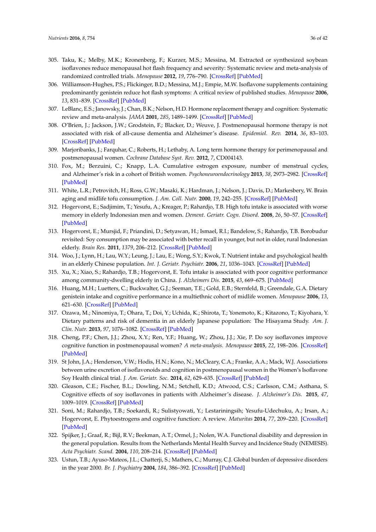- <span id="page-35-0"></span>305. Taku, K.; Melby, M.K.; Kronenberg, F.; Kurzer, M.S.; Messina, M. Extracted or synthesized soybean isoflavones reduce menopausal hot flash frequency and severity: Systematic review and meta-analysis of randomized controlled trials. *Menopause* **2012**, *19*, 776–790. [\[CrossRef\]](http://dx.doi.org/10.1097/gme.0b013e3182410159) [\[PubMed\]](http://www.ncbi.nlm.nih.gov/pubmed/22433977)
- <span id="page-35-1"></span>306. Williamson-Hughes, P.S.; Flickinger, B.D.; Messina, M.J.; Empie, M.W. Isoflavone supplements containing predominantly genistein reduce hot flash symptoms: A critical review of published studies. *Menopause* **2006**, *13*, 831–839. [\[CrossRef\]](http://dx.doi.org/10.1097/01.gme.0000227330.49081.9e) [\[PubMed\]](http://www.ncbi.nlm.nih.gov/pubmed/16932241)
- <span id="page-35-2"></span>307. LeBlanc, E.S.; Janowsky, J.; Chan, B.K.; Nelson, H.D. Hormone replacement therapy and cognition: Systematic review and meta-analysis. *JAMA* **2001**, *285*, 1489–1499. [\[CrossRef\]](http://dx.doi.org/10.1001/jama.285.11.1489) [\[PubMed\]](http://www.ncbi.nlm.nih.gov/pubmed/11255426)
- 308. O'Brien, J.; Jackson, J.W.; Grodstein, F.; Blacker, D.; Weuve, J. Postmenopausal hormone therapy is not associated with risk of all-cause dementia and Alzheimer's disease. *Epidemiol. Rev.* **2014**, *36*, 83–103. [\[CrossRef\]](http://dx.doi.org/10.1093/epirev/mxt008) [\[PubMed\]](http://www.ncbi.nlm.nih.gov/pubmed/24042430)
- 309. Marjoribanks, J.; Farquhar, C.; Roberts, H.; Lethaby, A. Long term hormone therapy for perimenopausal and postmenopausal women. *Cochrane Database Syst. Rev.* **2012**, *7*, CD004143.
- <span id="page-35-3"></span>310. Fox, M.; Berzuini, C.; Knapp, L.A. Cumulative estrogen exposure, number of menstrual cycles, and Alzheimer's risk in a cohort of British women. *Psychoneuroendocrinology* **2013**, *38*, 2973–2982. [\[CrossRef\]](http://dx.doi.org/10.1016/j.psyneuen.2013.08.005) [\[PubMed\]](http://www.ncbi.nlm.nih.gov/pubmed/24064221)
- <span id="page-35-4"></span>311. White, L.R.; Petrovitch, H.; Ross, G.W.; Masaki, K.; Hardman, J.; Nelson, J.; Davis, D.; Markesbery, W. Brain aging and midlife tofu consumption. *J. Am. Coll. Nutr.* **2000**, *19*, 242–255. [\[CrossRef\]](http://dx.doi.org/10.1080/07315724.2000.10718923) [\[PubMed\]](http://www.ncbi.nlm.nih.gov/pubmed/10763906)
- <span id="page-35-5"></span>312. Hogervorst, E.; Sadjimim, T.; Yesufu, A.; Kreager, P.; Rahardjo, T.B. High tofu intake is associated with worse memory in elderly Indonesian men and women. *Dement. Geriatr. Cogn. Disord.* **2008**, *26*, 50–57. [\[CrossRef\]](http://dx.doi.org/10.1159/000141484) [\[PubMed\]](http://www.ncbi.nlm.nih.gov/pubmed/18583909)
- <span id="page-35-6"></span>313. Hogervorst, E.; Mursjid, F.; Priandini, D.; Setyawan, H.; Ismael, R.I.; Bandelow, S.; Rahardjo, T.B. Borobudur revisited: Soy consumption may be associated with better recall in younger, but not in older, rural Indonesian elderly. *Brain Res.* **2011**, *1379*, 206–212. [\[CrossRef\]](http://dx.doi.org/10.1016/j.brainres.2010.10.083) [\[PubMed\]](http://www.ncbi.nlm.nih.gov/pubmed/21035431)
- <span id="page-35-7"></span>314. Woo, J.; Lynn, H.; Lau, W.Y.; Leung, J.; Lau, E.; Wong, S.Y.; Kwok, T. Nutrient intake and psychological health in an elderly Chinese population. *Int. J. Geriatr. Psychiatr.* **2006**, *21*, 1036–1043. [\[CrossRef\]](http://dx.doi.org/10.1002/gps.1603) [\[PubMed\]](http://www.ncbi.nlm.nih.gov/pubmed/16955432)
- 315. Xu, X.; Xiao, S.; Rahardjo, T.B.; Hogervorst, E. Tofu intake is associated with poor cognitive performance among community-dwelling elderly in China. *J. Alzheimers Dis.* **2015**, *43*, 669–675. [\[PubMed\]](http://www.ncbi.nlm.nih.gov/pubmed/25114086)
- 316. Huang, M.H.; Luetters, C.; Buckwalter, G.J.; Seeman, T.E.; Gold, E.B.; Sternfeld, B.; Greendale, G.A. Dietary genistein intake and cognitive performance in a multiethnic cohort of midlife women. *Menopause* **2006**, *13*, 621–630. [\[CrossRef\]](http://dx.doi.org/10.1097/01.gme.0000227336.35620.8f) [\[PubMed\]](http://www.ncbi.nlm.nih.gov/pubmed/16837884)
- <span id="page-35-8"></span>317. Ozawa, M.; Ninomiya, T.; Ohara, T.; Doi, Y.; Uchida, K.; Shirota, T.; Yonemoto, K.; Kitazono, T.; Kiyohara, Y. Dietary patterns and risk of dementia in an elderly Japanese population: The Hisayama Study. *Am. J. Clin. Nutr.* **2013**, *97*, 1076–1082. [\[CrossRef\]](http://dx.doi.org/10.3945/ajcn.112.045575) [\[PubMed\]](http://www.ncbi.nlm.nih.gov/pubmed/23553168)
- <span id="page-35-9"></span>318. Cheng, P.F.; Chen, J.J.; Zhou, X.Y.; Ren, Y.F.; Huang, W.; Zhou, J.J.; Xie, P. Do soy isoflavones improve cognitive function in postmenopausal women? *A meta-analysis. Menopause* **2015**, *22*, 198–206. [\[CrossRef\]](http://dx.doi.org/10.1097/GME.0000000000000290) [\[PubMed\]](http://www.ncbi.nlm.nih.gov/pubmed/25003621)
- <span id="page-35-10"></span>319. St John, J.A.; Henderson, V.W.; Hodis, H.N.; Kono, N.; McCleary, C.A.; Franke, A.A.; Mack, W.J. Associations between urine excretion of isoflavonoids and cognition in postmenopausal women in the Women's Isoflavone Soy Health clinical trial. *J. Am. Geriatr. Soc.* **2014**, *62*, 629–635. [\[CrossRef\]](http://dx.doi.org/10.1111/jgs.12752) [\[PubMed\]](http://www.ncbi.nlm.nih.gov/pubmed/24617349)
- <span id="page-35-11"></span>320. Gleason, C.E.; Fischer, B.L.; Dowling, N.M.; Setchell, K.D.; Atwood, C.S.; Carlsson, C.M.; Asthana, S. Cognitive effects of soy isoflavones in patients with Alzheimer's disease. *J. Alzheimer's Dis.* **2015**, *47*, 1009–1019. [\[CrossRef\]](http://dx.doi.org/10.3233/JAD-142958) [\[PubMed\]](http://www.ncbi.nlm.nih.gov/pubmed/26401779)
- <span id="page-35-12"></span>321. Soni, M.; Rahardjo, T.B.; Soekardi, R.; Sulistyowati, Y.; Lestariningsih; Yesufu-Udechuku, A.; Irsan, A.; Hogervorst, E. Phytoestrogens and cognitive function: A review. *Maturitas* **2014**, *77*, 209–220. [\[CrossRef\]](http://dx.doi.org/10.1016/j.maturitas.2013.12.010) [\[PubMed\]](http://www.ncbi.nlm.nih.gov/pubmed/24486046)
- <span id="page-35-13"></span>322. Spijker, J.; Graaf, R.; Bijl, R.V.; Beekman, A.T.; Ormel, J.; Nolen, W.A. Functional disability and depression in the general population. Results from the Netherlands Mental Health Survey and Incidence Study (NEMESIS). *Acta Psychiatr. Scand.* **2004**, *110*, 208–214. [\[CrossRef\]](http://dx.doi.org/10.1111/j.1600-0447.2004.00335.x) [\[PubMed\]](http://www.ncbi.nlm.nih.gov/pubmed/15283741)
- <span id="page-35-14"></span>323. Ustun, T.B.; Ayuso-Mateos, J.L.; Chatterji, S.; Mathers, C.; Murray, C.J. Global burden of depressive disorders in the year 2000. *Br. J. Psychiatry* **2004**, *184*, 386–392. [\[CrossRef\]](http://dx.doi.org/10.1192/bjp.184.5.386) [\[PubMed\]](http://www.ncbi.nlm.nih.gov/pubmed/15123501)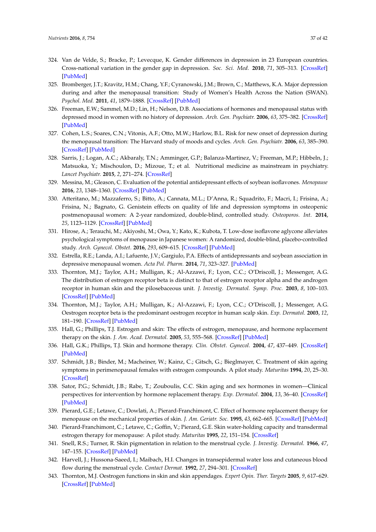- <span id="page-36-0"></span>324. Van de Velde, S.; Bracke, P.; Levecque, K. Gender differences in depression in 23 European countries. Cross-national variation in the gender gap in depression. *Soc. Sci. Med.* **2010**, *71*, 305–313. [\[CrossRef\]](http://dx.doi.org/10.1016/j.socscimed.2010.03.035) [\[PubMed\]](http://www.ncbi.nlm.nih.gov/pubmed/20483518)
- <span id="page-36-1"></span>325. Bromberger, J.T.; Kravitz, H.M.; Chang, Y.F.; Cyranowski, J.M.; Brown, C.; Matthews, K.A. Major depression during and after the menopausal transition: Study of Women's Health Across the Nation (SWAN). *Psychol. Med.* **2011**, *41*, 1879–1888. [\[CrossRef\]](http://dx.doi.org/10.1017/S003329171100016X) [\[PubMed\]](http://www.ncbi.nlm.nih.gov/pubmed/21306662)
- 326. Freeman, E.W.; Sammel, M.D.; Lin, H.; Nelson, D.B. Associations of hormones and menopausal status with depressed mood in women with no history of depression. *Arch. Gen. Psychiatr.* **2006**, *63*, 375–382. [\[CrossRef\]](http://dx.doi.org/10.1001/archpsyc.63.4.375) [\[PubMed\]](http://www.ncbi.nlm.nih.gov/pubmed/16585466)
- <span id="page-36-2"></span>327. Cohen, L.S.; Soares, C.N.; Vitonis, A.F.; Otto, M.W.; Harlow, B.L. Risk for new onset of depression during the menopausal transition: The Harvard study of moods and cycles. *Arch. Gen. Psychiatr.* **2006**, *63*, 385–390. [\[CrossRef\]](http://dx.doi.org/10.1001/archpsyc.63.4.385) [\[PubMed\]](http://www.ncbi.nlm.nih.gov/pubmed/16585467)
- <span id="page-36-3"></span>328. Sarris, J.; Logan, A.C.; Akbaraly, T.N.; Amminger, G.P.; Balanza-Martinez, V.; Freeman, M.P.; Hibbeln, J.; Matsuoka, Y.; Mischoulon, D.; Mizoue, T.; et al. Nutritional medicine as mainstream in psychiatry. *Lancet Psychiatr.* **2015**, *2*, 271–274. [\[CrossRef\]](http://dx.doi.org/10.1016/S2215-0366(14)00051-0)
- <span id="page-36-4"></span>329. Messina, M.; Gleason, C. Evaluation of the potential antidepressant effects of soybean isoflavones. *Menopause* **2016**, *23*, 1348–1360. [\[CrossRef\]](http://dx.doi.org/10.1097/GME.0000000000000709) [\[PubMed\]](http://www.ncbi.nlm.nih.gov/pubmed/27552470)
- <span id="page-36-5"></span>330. Atteritano, M.; Mazzaferro, S.; Bitto, A.; Cannata, M.L.; D'Anna, R.; Squadrito, F.; Macri, I.; Frisina, A.; Frisina, N.; Bagnato, G. Genistein effects on quality of life and depression symptoms in osteopenic postmenopausal women: A 2-year randomized, double-blind, controlled study. *Osteoporos. Int.* **2014**, *25*, 1123–1129. [\[CrossRef\]](http://dx.doi.org/10.1007/s00198-013-2512-5) [\[PubMed\]](http://www.ncbi.nlm.nih.gov/pubmed/24114397)
- <span id="page-36-6"></span>331. Hirose, A.; Terauchi, M.; Akiyoshi, M.; Owa, Y.; Kato, K.; Kubota, T. Low-dose isoflavone aglycone alleviates psychological symptoms of menopause in Japanese women: A randomized, double-blind, placebo-controlled study. *Arch. Gynecol. Obstet.* **2016**, *293*, 609–615. [\[CrossRef\]](http://dx.doi.org/10.1007/s00404-015-3849-0) [\[PubMed\]](http://www.ncbi.nlm.nih.gov/pubmed/26294070)
- <span id="page-36-7"></span>332. Estrella, R.E.; Landa, A.I.; Lafuente, J.V.; Gargiulo, P.A. Effects of antidepressants and soybean association in depressive menopausal women. *Acta Pol. Pharm.* **2014**, *71*, 323–327. [\[PubMed\]](http://www.ncbi.nlm.nih.gov/pubmed/25272653)
- <span id="page-36-8"></span>333. Thornton, M.J.; Taylor, A.H.; Mulligan, K.; Al-Azzawi, F.; Lyon, C.C.; O'Driscoll, J.; Messenger, A.G. The distribution of estrogen receptor beta is distinct to that of estrogen receptor alpha and the androgen receptor in human skin and the pilosebaceous unit. *J. Investig. Dermatol. Symp. Proc.* **2003**, *8*, 100–103. [\[CrossRef\]](http://dx.doi.org/10.1046/j.1523-1747.2003.12181.x) [\[PubMed\]](http://www.ncbi.nlm.nih.gov/pubmed/12895004)
- <span id="page-36-9"></span>334. Thornton, M.J.; Taylor, A.H.; Mulligan, K.; Al-Azzawi, F.; Lyon, C.C.; O'Driscoll, J.; Messenger, A.G. Oestrogen receptor beta is the predominant oestrogen receptor in human scalp skin. *Exp. Dermatol.* **2003**, *12*, 181–190. [\[CrossRef\]](http://dx.doi.org/10.1034/j.1600-0625.2003.120209.x) [\[PubMed\]](http://www.ncbi.nlm.nih.gov/pubmed/12702147)
- <span id="page-36-10"></span>335. Hall, G.; Phillips, T.J. Estrogen and skin: The effects of estrogen, menopause, and hormone replacement therapy on the skin. *J. Am. Acad. Dermatol.* **2005**, *53*, 555–568. [\[CrossRef\]](http://dx.doi.org/10.1016/j.jaad.2004.08.039) [\[PubMed\]](http://www.ncbi.nlm.nih.gov/pubmed/16198774)
- 336. Hall, G.K.; Phillips, T.J. Skin and hormone therapy. *Clin. Obstet. Gynecol.* **2004**, *47*, 437–449. [\[CrossRef\]](http://dx.doi.org/10.1097/00003081-200406000-00020) [\[PubMed\]](http://www.ncbi.nlm.nih.gov/pubmed/15166870)
- 337. Schmidt, J.B.; Binder, M.; Macheiner, W.; Kainz, C.; Gitsch, G.; Bieglmayer, C. Treatment of skin ageing symptoms in perimenopausal females with estrogen compounds. A pilot study. *Maturitas* **1994**, *20*, 25–30. [\[CrossRef\]](http://dx.doi.org/10.1016/0378-5122(94)90097-3)
- <span id="page-36-11"></span>338. Sator, P.G.; Schmidt, J.B.; Rabe, T.; Zouboulis, C.C. Skin aging and sex hormones in women—Clinical perspectives for intervention by hormone replacement therapy. *Exp. Dermatol.* **2004**, *13*, 36–40. [\[CrossRef\]](http://dx.doi.org/10.1111/j.1600-0625.2004.00259.x) [\[PubMed\]](http://www.ncbi.nlm.nih.gov/pubmed/15507111)
- <span id="page-36-12"></span>339. Pierard, G.E.; Letawe, C.; Dowlati, A.; Pierard-Franchimont, C. Effect of hormone replacement therapy for menopause on the mechanical properties of skin. *J. Am. Geriatr. Soc.* **1995**, *43*, 662–665. [\[CrossRef\]](http://dx.doi.org/10.1111/j.1532-5415.1995.tb07202.x) [\[PubMed\]](http://www.ncbi.nlm.nih.gov/pubmed/7775726)
- <span id="page-36-13"></span>340. Pierard-Franchimont, C.; Letawe, C.; Goffin, V.; Pierard, G.E. Skin water-holding capacity and transdermal estrogen therapy for menopause: A pilot study. *Maturitas* **1995**, *22*, 151–154. [\[CrossRef\]](http://dx.doi.org/10.1016/0378-5122(95)00924-A)
- <span id="page-36-14"></span>341. Snell, R.S.; Turner, R. Skin pigmentation in relation to the menstrual cycle. *J. Investig. Dermatol.* **1966**, *47*, 147–155. [\[CrossRef\]](http://dx.doi.org/10.1038/jid.1966.119) [\[PubMed\]](http://www.ncbi.nlm.nih.gov/pubmed/5916127)
- <span id="page-36-15"></span>342. Harvell, J.; Hussona-Saeed, I.; Maibach, H.I. Changes in transepidermal water loss and cutaneous blood flow during the menstrual cycle. *Contact Dermat.* **1992**, *27*, 294–301. [\[CrossRef\]](http://dx.doi.org/10.1111/j.1600-0536.1992.tb03283.x)
- <span id="page-36-16"></span>343. Thornton, M.J. Oestrogen functions in skin and skin appendages. *Expert Opin. Ther. Targets* **2005**, *9*, 617–629. [\[CrossRef\]](http://dx.doi.org/10.1517/14728222.9.3.617) [\[PubMed\]](http://www.ncbi.nlm.nih.gov/pubmed/15948678)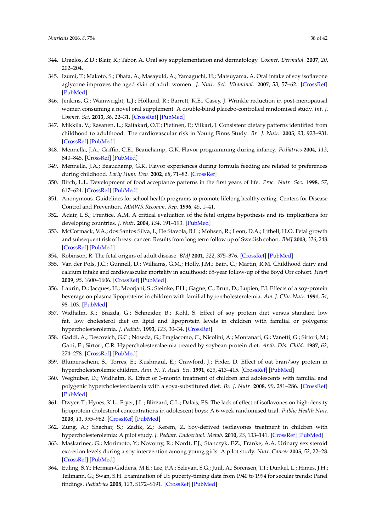- <span id="page-37-0"></span>344. Draelos, Z.D.; Blair, R.; Tabor, A. Oral soy supplementation and dermatology. *Cosmet. Dermatol.* **2007**, *20*, 202–204.
- <span id="page-37-1"></span>345. Izumi, T.; Makoto, S.; Obata, A.; Masayuki, A.; Yamaguchi, H.; Matsuyama, A. Oral intake of soy isoflavone aglycone improves the aged skin of adult women. *J. Nutr. Sci. Vitaminol.* **2007**, *53*, 57–62. [\[CrossRef\]](http://dx.doi.org/10.3177/jnsv.53.57) [\[PubMed\]](http://www.ncbi.nlm.nih.gov/pubmed/17484381)
- <span id="page-37-2"></span>346. Jenkins, G.; Wainwright, L.J.; Holland, R.; Barrett, K.E.; Casey, J. Wrinkle reduction in post-menopausal women consuming a novel oral supplement: A double-blind placebo-controlled randomised study. *Int. J. Cosmet. Sci.* **2013**, *36*, 22–31. [\[CrossRef\]](http://dx.doi.org/10.1111/ics.12087) [\[PubMed\]](http://www.ncbi.nlm.nih.gov/pubmed/23927381)
- <span id="page-37-3"></span>347. Mikkila, V.; Rasanen, L.; Raitakari, O.T.; Pietinen, P.; Viikari, J. Consistent dietary patterns identified from childhood to adulthood: The cardiovascular risk in Young Finns Study. *Br. J. Nutr.* **2005**, *93*, 923–931. [\[CrossRef\]](http://dx.doi.org/10.1079/BJN20051418) [\[PubMed\]](http://www.ncbi.nlm.nih.gov/pubmed/16022763)
- 348. Mennella, J.A.; Griffin, C.E.; Beauchamp, G.K. Flavor programming during infancy. *Pediatrics* **2004**, *113*, 840–845. [\[CrossRef\]](http://dx.doi.org/10.1542/peds.113.4.840) [\[PubMed\]](http://www.ncbi.nlm.nih.gov/pubmed/15060236)
- 349. Mennella, J.A.; Beauchamp, G.K. Flavor experiences during formula feeding are related to preferences during childhood. *Early Hum. Dev.* **2002**, *68*, 71–82. [\[CrossRef\]](http://dx.doi.org/10.1016/S0378-3782(02)00008-7)
- 350. Birch, L.L. Development of food acceptance patterns in the first years of life. *Proc. Nutr. Soc.* **1998**, *57*, 617–624. [\[CrossRef\]](http://dx.doi.org/10.1079/PNS19980090) [\[PubMed\]](http://www.ncbi.nlm.nih.gov/pubmed/10096125)
- <span id="page-37-4"></span>351. Anonymous. Guidelines for school health programs to promote lifelong healthy eating. Centers for Disease Control and Prevention. *MMWR Recomm. Rep.* **1996**, *45*, 1–41.
- <span id="page-37-5"></span>352. Adair, L.S.; Prentice, A.M. A critical evaluation of the fetal origins hypothesis and its implications for developing countries. *J. Nutr.* **2004**, *134*, 191–193. [\[PubMed\]](http://www.ncbi.nlm.nih.gov/pubmed/14704317)
- 353. McCormack, V.A.; dos Santos Silva, I.; De Stavola, B.L.; Mohsen, R.; Leon, D.A.; Lithell, H.O. Fetal growth and subsequent risk of breast cancer: Results from long term follow up of Swedish cohort. *BMJ* **2003**, *326*, 248. [\[CrossRef\]](http://dx.doi.org/10.1136/bmj.326.7383.248) [\[PubMed\]](http://www.ncbi.nlm.nih.gov/pubmed/12560272)
- 354. Robinson, R. The fetal origins of adult disease. *BMJ* **2001**, *322*, 375–376. [\[CrossRef\]](http://dx.doi.org/10.1136/bmj.322.7283.375) [\[PubMed\]](http://www.ncbi.nlm.nih.gov/pubmed/11179140)
- <span id="page-37-6"></span>355. Van der Pols, J.C.; Gunnell, D.; Williams, G.M.; Holly, J.M.; Bain, C.; Martin, R.M. Childhood dairy and calcium intake and cardiovascular mortality in adulthood: 65-year follow-up of the Boyd Orr cohort. *Heart* **2009**, *95*, 1600–1606. [\[CrossRef\]](http://dx.doi.org/10.1136/hrt.2009.168716) [\[PubMed\]](http://www.ncbi.nlm.nih.gov/pubmed/19643770)
- <span id="page-37-7"></span>356. Laurin, D.; Jacques, H.; Moorjani, S.; Steinke, F.H.; Gagne, C.; Brun, D.; Lupien, P.J. Effects of a soy-protein beverage on plasma lipoproteins in children with familial hypercholesterolemia. *Am. J. Clin. Nutr.* **1991**, *54*, 98–103. [\[PubMed\]](http://www.ncbi.nlm.nih.gov/pubmed/2058593)
- 357. Widhalm, K.; Brazda, G.; Schneider, B.; Kohl, S. Effect of soy protein diet versus standard low fat, low cholesterol diet on lipid and lipoprotein levels in children with familial or polygenic hypercholesterolemia. *J. Pediatr.* **1993**, *123*, 30–34. [\[CrossRef\]](http://dx.doi.org/10.1016/S0022-3476(05)81533-1)
- 358. Gaddi, A.; Descovich, G.C.; Noseda, G.; Fragiacomo, C.; Nicolini, A.; Montanari, G.; Vanetti, G.; Sirtori, M.; Gatti, E.; Sirtori, C.R. Hypercholesterolaemia treated by soybean protein diet. *Arch. Dis. Child.* **1987**, *62*, 274–278. [\[CrossRef\]](http://dx.doi.org/10.1136/adc.62.3.274) [\[PubMed\]](http://www.ncbi.nlm.nih.gov/pubmed/3566319)
- 359. Blumenschein, S.; Torres, E.; Kushmaul, E.; Crawford, J.; Fixler, D. Effect of oat bran/soy protein in hypercholesterolemic children. *Ann. N. Y. Acad. Sci.* **1991**, *623*, 413–415. [\[CrossRef\]](http://dx.doi.org/10.1111/j.1749-6632.1991.tb43752.x) [\[PubMed\]](http://www.ncbi.nlm.nih.gov/pubmed/2042851)
- <span id="page-37-8"></span>360. Weghuber, D.; Widhalm, K. Effect of 3-month treatment of children and adolescents with familial and polygenic hypercholesterolaemia with a soya-substituted diet. *Br. J. Nutr.* **2008**, *99*, 281–286. [\[CrossRef\]](http://dx.doi.org/10.1017/S0007114507807999) [\[PubMed\]](http://www.ncbi.nlm.nih.gov/pubmed/17697400)
- <span id="page-37-9"></span>361. Dwyer, T.; Hynes, K.L.; Fryer, J.L.; Blizzard, C.L.; Dalais, F.S. The lack of effect of isoflavones on high-density lipoprotein cholesterol concentrations in adolescent boys: A 6-week randomised trial. *Public Health Nutr.* **2008**, *11*, 955–962. [\[CrossRef\]](http://dx.doi.org/10.1017/S1368980007000869) [\[PubMed\]](http://www.ncbi.nlm.nih.gov/pubmed/17767800)
- 362. Zung, A.; Shachar, S.; Zadik, Z.; Kerem, Z. Soy-derived isoflavones treatment in children with hypercholesterolemia: A pilot study. *J. Pediatr. Endocrinol. Metab.* **2010**, *23*, 133–141. [\[CrossRef\]](http://dx.doi.org/10.1515/JPEM.2010.23.1-2.133) [\[PubMed\]](http://www.ncbi.nlm.nih.gov/pubmed/20432816)
- <span id="page-37-10"></span>363. Maskarinec, G.; Morimoto, Y.; Novotny, R.; Nordt, F.J.; Stanczyk, F.Z.; Franke, A.A. Urinary sex steroid excretion levels during a soy intervention among young girls: A pilot study. *Nutr. Cancer* **2005**, *52*, 22–28. [\[CrossRef\]](http://dx.doi.org/10.1207/s15327914nc5201_3) [\[PubMed\]](http://www.ncbi.nlm.nih.gov/pubmed/16091000)
- <span id="page-37-11"></span>364. Euling, S.Y.; Herman-Giddens, M.E.; Lee, P.A.; Selevan, S.G.; Juul, A.; Sorensen, T.I.; Dunkel, L.; Himes, J.H.; Teilmann, G.; Swan, S.H. Examination of US puberty-timing data from 1940 to 1994 for secular trends: Panel findings. *Pediatrics* **2008**, *121*, S172–S191. [\[CrossRef\]](http://dx.doi.org/10.1542/peds.2007-1813D) [\[PubMed\]](http://www.ncbi.nlm.nih.gov/pubmed/18245511)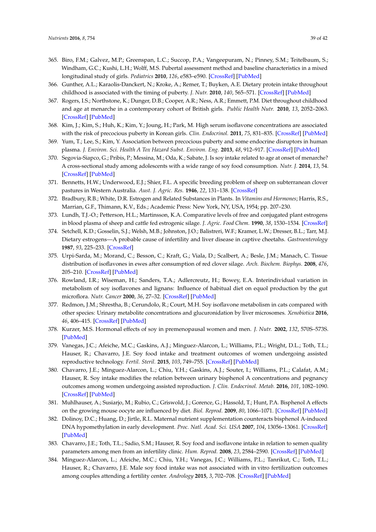- <span id="page-38-0"></span>365. Biro, F.M.; Galvez, M.P.; Greenspan, L.C.; Succop, P.A.; Vangeepuram, N.; Pinney, S.M.; Teitelbaum, S.; Windham, G.C.; Kushi, L.H.; Wolff, M.S. Pubertal assessment method and baseline characteristics in a mixed longitudinal study of girls. *Pediatrics* **2010**, *126*, e583–e590. [\[CrossRef\]](http://dx.doi.org/10.1542/peds.2009-3079) [\[PubMed\]](http://www.ncbi.nlm.nih.gov/pubmed/20696727)
- <span id="page-38-1"></span>366. Gunther, A.L.; Karaolis-Danckert, N.; Kroke, A.; Remer, T.; Buyken, A.E. Dietary protein intake throughout childhood is associated with the timing of puberty. *J. Nutr.* **2010**, *140*, 565–571. [\[CrossRef\]](http://dx.doi.org/10.3945/jn.109.114934) [\[PubMed\]](http://www.ncbi.nlm.nih.gov/pubmed/20042466)
- <span id="page-38-2"></span>367. Rogers, I.S.; Northstone, K.; Dunger, D.B.; Cooper, A.R.; Ness, A.R.; Emmett, P.M. Diet throughout childhood and age at menarche in a contemporary cohort of British girls. *Public Health Nutr.* **2010**, *13*, 2052–2063. [\[CrossRef\]](http://dx.doi.org/10.1017/S1368980010001461) [\[PubMed\]](http://www.ncbi.nlm.nih.gov/pubmed/20529402)
- <span id="page-38-3"></span>368. Kim, J.; Kim, S.; Huh, K.; Kim, Y.; Joung, H.; Park, M. High serum isoflavone concentrations are associated with the risk of precocious puberty in Korean girls. *Clin. Endocrinol.* **2011**, *75*, 831–835. [\[CrossRef\]](http://dx.doi.org/10.1111/j.1365-2265.2011.04127.x) [\[PubMed\]](http://www.ncbi.nlm.nih.gov/pubmed/21623856)
- <span id="page-38-4"></span>369. Yum, T.; Lee, S.; Kim, Y. Association between precocious puberty and some endocrine disruptors in human plasma. *J. Environ. Sci. Health A Tox Hazard Subst. Environ. Eng.* **2013**, *48*, 912–917. [\[CrossRef\]](http://dx.doi.org/10.1080/10934529.2013.762734) [\[PubMed\]](http://www.ncbi.nlm.nih.gov/pubmed/23485241)
- <span id="page-38-5"></span>370. Segovia-Siapco, G.; Pribis, P.; Messina, M.; Oda, K.; Sabate, J. Is soy intake related to age at onset of menarche? A cross-sectional study among adolescents with a wide range of soy food consumption. *Nutr. J.* **2014**, *13*, 54. [\[CrossRef\]](http://dx.doi.org/10.1186/1475-2891-13-54) [\[PubMed\]](http://www.ncbi.nlm.nih.gov/pubmed/24889551)
- <span id="page-38-6"></span>371. Bennetts, H.W.; Underwood, E.J.; Shier, F.L. A specific breeding problem of sheep on subterranean clover pastures in Western Australia. *Aust. J. Agric. Res.* **1946**, *22*, 131–138. [\[CrossRef\]](http://dx.doi.org/10.1111/j.1751-0813.1946.tb15473.x)
- 372. Bradbury, R.B.; White, D.R. Estrogen and Related Substances in Plants. In *Vitamins and Hormones*; Harris, R.S., Marrian, G.F., Thimann, K.V., Eds.; Academic Press: New York, NY, USA, 1954; pp. 207–230.
- 373. Lundh, T.J.-O.; Petterson, H.L.; Martinsson, K.A. Comparative levels of free and conjugated plant estrogens in blood plasma of sheep and cattle fed estrogenic silage. *J. Agric. Food Chem.* **1990**, *38*, 1530–1534. [\[CrossRef\]](http://dx.doi.org/10.1021/jf00097a022)
- <span id="page-38-7"></span>374. Setchell, K.D.; Gosselin, S.J.; Welsh, M.B.; Johnston, J.O.; Balistreri, W.F.; Kramer, L.W.; Dresser, B.L.; Tarr, M.J. Dietary estrogens—A probable cause of infertility and liver disease in captive cheetahs. *Gastroenterology* **1987**, *93*, 225–233. [\[CrossRef\]](http://dx.doi.org/10.1016/0016-5085(87)91006-7)
- <span id="page-38-8"></span>375. Urpi-Sarda, M.; Morand, C.; Besson, C.; Kraft, G.; Viala, D.; Scalbert, A.; Besle, J.M.; Manach, C. Tissue distribution of isoflavones in ewes after consumption of red clover silage. *Arch. Biochem. Biophys.* **2008**, *476*, 205–210. [\[CrossRef\]](http://dx.doi.org/10.1016/j.abb.2008.05.002) [\[PubMed\]](http://www.ncbi.nlm.nih.gov/pubmed/18513488)
- <span id="page-38-9"></span>376. Rowland, I.R.; Wiseman, H.; Sanders, T.A.; Adlercreutz, H.; Bowey, E.A. Interindividual variation in metabolism of soy isoflavones and lignans: Influence of habitual diet on equol production by the gut microflora. *Nutr. Cancer* **2000**, *36*, 27–32. [\[CrossRef\]](http://dx.doi.org/10.1207/S15327914NC3601_5) [\[PubMed\]](http://www.ncbi.nlm.nih.gov/pubmed/10798213)
- <span id="page-38-10"></span>377. Redmon, J.M.; Shrestha, B.; Cerundolo, R.; Court, M.H. Soy isoflavone metabolism in cats compared with other species: Urinary metabolite concentrations and glucuronidation by liver microsomes. *Xenobiotica* **2016**, *46*, 406–415. [\[CrossRef\]](http://dx.doi.org/10.3109/00498254.2015.1086038) [\[PubMed\]](http://www.ncbi.nlm.nih.gov/pubmed/26366946)
- <span id="page-38-11"></span>378. Kurzer, M.S. Hormonal effects of soy in premenopausal women and men. *J. Nutr.* **2002**, *132*, 570S–573S. [\[PubMed\]](http://www.ncbi.nlm.nih.gov/pubmed/11880595)
- <span id="page-38-12"></span>379. Vanegas, J.C.; Afeiche, M.C.; Gaskins, A.J.; Minguez-Alarcon, L.; Williams, P.L.; Wright, D.L.; Toth, T.L.; Hauser, R.; Chavarro, J.E. Soy food intake and treatment outcomes of women undergoing assisted reproductive technology. *Fertil. Steril.* **2015**, *103*, 749–755. [\[CrossRef\]](http://dx.doi.org/10.1016/j.fertnstert.2014.12.104) [\[PubMed\]](http://www.ncbi.nlm.nih.gov/pubmed/25577465)
- <span id="page-38-13"></span>380. Chavarro, J.E.; Minguez-Alarcon, L.; Chiu, Y.H.; Gaskins, A.J.; Souter, I.; Williams, P.L.; Calafat, A.M.; Hauser, R. Soy intake modifies the relation between urinary bisphenol A concentrations and pegnancy outcomes among women undergoing assisted reproduction. *J. Clin. Endocrinol. Metab.* **2016**, *101*, 1082–1090. [\[CrossRef\]](http://dx.doi.org/10.1210/jc.2015-3473) [\[PubMed\]](http://www.ncbi.nlm.nih.gov/pubmed/26815879)
- <span id="page-38-14"></span>381. Muhlhauser, A.; Susiarjo, M.; Rubio, C.; Griswold, J.; Gorence, G.; Hassold, T.; Hunt, P.A. Bisphenol A effects on the growing mouse oocyte are influenced by diet. *Biol. Reprod.* **2009**, *80*, 1066–1071. [\[CrossRef\]](http://dx.doi.org/10.1095/biolreprod.108.074815) [\[PubMed\]](http://www.ncbi.nlm.nih.gov/pubmed/19164168)
- <span id="page-38-15"></span>382. Dolinoy, D.C.; Huang, D.; Jirtle, R.L. Maternal nutrient supplementation counteracts bisphenol A-induced DNA hypomethylation in early development. *Proc. Natl. Acad. Sci. USA* **2007**, *104*, 13056–13061. [\[CrossRef\]](http://dx.doi.org/10.1073/pnas.0703739104) [\[PubMed\]](http://www.ncbi.nlm.nih.gov/pubmed/17670942)
- <span id="page-38-16"></span>383. Chavarro, J.E.; Toth, T.L.; Sadio, S.M.; Hauser, R. Soy food and isoflavone intake in relation to semen quality parameters among men from an infertility clinic. *Hum. Reprod.* **2008**, *23*, 2584–2590. [\[CrossRef\]](http://dx.doi.org/10.1093/humrep/den243) [\[PubMed\]](http://www.ncbi.nlm.nih.gov/pubmed/18650557)
- <span id="page-38-17"></span>384. Minguez-Alarcon, L.; Afeiche, M.C.; Chiu, Y.H.; Vanegas, J.C.; Williams, P.L.; Tanrikut, C.; Toth, T.L.; Hauser, R.; Chavarro, J.E. Male soy food intake was not associated with in vitro fertilization outcomes among couples attending a fertility center. *Andrology* **2015**, *3*, 702–708. [\[CrossRef\]](http://dx.doi.org/10.1111/andr.12046) [\[PubMed\]](http://www.ncbi.nlm.nih.gov/pubmed/26097060)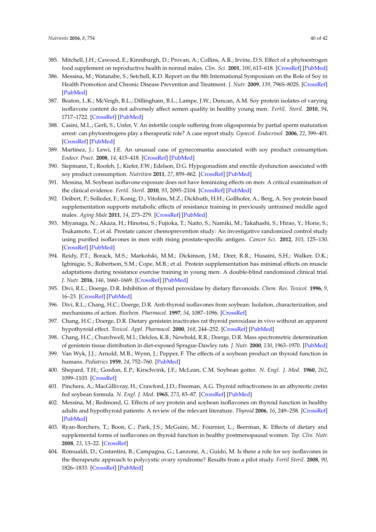- <span id="page-39-0"></span>385. Mitchell, J.H.; Cawood, E.; Kinniburgh, D.; Provan, A.; Collins, A.R.; Irvine, D.S. Effect of a phytoestrogen food supplement on reproductive health in normal males. *Clin. Sci.* **2001**, *100*, 613–618. [\[CrossRef\]](http://dx.doi.org/10.1042/cs1000613) [\[PubMed\]](http://www.ncbi.nlm.nih.gov/pubmed/11352776)
- 386. Messina, M.; Watanabe, S.; Setchell, K.D. Report on the 8th International Symposium on the Role of Soy in Health Promotion and Chronic Disease Prevention and Treatment. *J. Nutr.* **2009**, *139*, 796S–802S. [\[CrossRef\]](http://dx.doi.org/10.3945/jn.108.104182) [\[PubMed\]](http://www.ncbi.nlm.nih.gov/pubmed/19225130)
- <span id="page-39-1"></span>387. Beaton, L.K.; McVeigh, B.L.; Dillingham, B.L.; Lampe, J.W.; Duncan, A.M. Soy protein isolates of varying isoflavone content do not adversely affect semen quality in healthy young men. *Fertil. Steril.* **2010**, *94*, 1717–1722. [\[CrossRef\]](http://dx.doi.org/10.1016/j.fertnstert.2009.08.055) [\[PubMed\]](http://www.ncbi.nlm.nih.gov/pubmed/19819436)
- <span id="page-39-2"></span>388. Casini, M.L.; Gerli, S.; Unfer, V. An infertile couple suffering from oligospermia by partial sperm maturation arrest: can phytoestrogens play a therapeutic role? A case report study. *Gynecol. Endocrinol.* **2006**, *22*, 399–401. [\[CrossRef\]](http://dx.doi.org/10.1080/09513590600858691) [\[PubMed\]](http://www.ncbi.nlm.nih.gov/pubmed/16864151)
- <span id="page-39-3"></span>389. Martinez, J.; Lewi, J.E. An unusual case of gynecomastia associated with soy product consumption. *Endocr. Pract.* **2008**, *14*, 415–418. [\[CrossRef\]](http://dx.doi.org/10.4158/EP.14.4.415) [\[PubMed\]](http://www.ncbi.nlm.nih.gov/pubmed/18558591)
- <span id="page-39-4"></span>390. Siepmann, T.; Roofeh, J.; Kiefer, F.W.; Edelson, D.G. Hypogonadism and erectile dysfunction associated with soy product consumption. *Nutrition* **2011**, *27*, 859–862. [\[CrossRef\]](http://dx.doi.org/10.1016/j.nut.2010.10.018) [\[PubMed\]](http://www.ncbi.nlm.nih.gov/pubmed/21353476)
- <span id="page-39-5"></span>391. Messina, M. Soybean isoflavone exposure does not have feminizing effects on men: A critical examination of the clinical evidence. *Fertil. Steril.* **2010**, *93*, 2095–2104. [\[CrossRef\]](http://dx.doi.org/10.1016/j.fertnstert.2010.03.002) [\[PubMed\]](http://www.ncbi.nlm.nih.gov/pubmed/20378106)
- <span id="page-39-6"></span>392. Deibert, P.; Solleder, F.; Konig, D.; Vitolins, M.Z.; Dickhuth, H.H.; Gollhofer, A.; Berg, A. Soy protein based supplementation supports metabolic effects of resistance training in previously untrained middle aged males. *Aging Male* **2011**, *14*, 273–279. [\[CrossRef\]](http://dx.doi.org/10.3109/13685538.2011.565091) [\[PubMed\]](http://www.ncbi.nlm.nih.gov/pubmed/22066824)
- 393. Miyanaga, N.; Akaza, H.; Hinotsu, S.; Fujioka, T.; Naito, S.; Namiki, M.; Takahashi, S.; Hirao, Y.; Horie, S.; Tsukamoto, T.; et al. Prostate cancer chemoprevention study: An investigative randomized control study using purified isoflavones in men with rising prostate-specific antigen. *Cancer Sci.* **2012**, *103*, 125–130. [\[CrossRef\]](http://dx.doi.org/10.1111/j.1349-7006.2011.02120.x) [\[PubMed\]](http://www.ncbi.nlm.nih.gov/pubmed/21988617)
- <span id="page-39-7"></span>394. Reidy, P.T.; Borack, M.S.; Markofski, M.M.; Dickinson, J.M.; Deer, R.R.; Husaini, S.H.; Walker, D.K.; Igbinigie, S.; Robertson, S.M.; Cope, M.B.; et al. Protein supplementation has minimal effects on muscle adaptations during resistance exercise training in young men: A double-blind randomized clinical trial. *J. Nutr.* **2016**, *146*, 1660–1669. [\[CrossRef\]](http://dx.doi.org/10.3945/jn.116.231803) [\[PubMed\]](http://www.ncbi.nlm.nih.gov/pubmed/27466602)
- <span id="page-39-8"></span>395. Divi, R.L.; Doerge, D.R. Inhibition of thyroid peroxidase by dietary flavonoids. *Chem. Res. Toxicol.* **1996**, *9*, 16–23. [\[CrossRef\]](http://dx.doi.org/10.1021/tx950076m) [\[PubMed\]](http://www.ncbi.nlm.nih.gov/pubmed/8924586)
- <span id="page-39-9"></span>396. Divi, R.L.; Chang, H.C.; Doerge, D.R. Anti-thyroid isoflavones from soybean: Isolation, characterization, and mechanisms of action. *Biochem. Pharmacol.* **1997**, *54*, 1087–1096. [\[CrossRef\]](http://dx.doi.org/10.1016/S0006-2952(97)00301-8)
- <span id="page-39-10"></span>397. Chang, H.C.; Doerge, D.R. Dietary genistein inactivates rat thyroid peroxidase in vivo without an apparent hypothyroid effect. *Toxicol. Appl. Pharmacol.* **2000**, *168*, 244–252. [\[CrossRef\]](http://dx.doi.org/10.1006/taap.2000.9019) [\[PubMed\]](http://www.ncbi.nlm.nih.gov/pubmed/11042097)
- <span id="page-39-11"></span>398. Chang, H.C.; Churchwell, M.I.; Delclos, K.B.; Newbold, R.R.; Doerge, D.R. Mass spectrometric determination of genistein tissue distribution in diet-exposed Sprague-Dawley rats. *J. Nutr.* **2000**, *130*, 1963–1970. [\[PubMed\]](http://www.ncbi.nlm.nih.gov/pubmed/10917909)
- <span id="page-39-12"></span>399. Van Wyk, J.J.; Arnold, M.B.; Wynn, J.; Pepper, F. The effects of a soybean product on thyroid function in humans. *Pediatrics* **1959**, *24*, 752–760. [\[PubMed\]](http://www.ncbi.nlm.nih.gov/pubmed/13841160)
- 400. Shepard, T.H.; Gordon, E.P.; Kirschvink, J.F.; McLean, C.M. Soybean goiter. *N. Engl. J. Med.* **1960**, *262*, 1099–1103. [\[CrossRef\]](http://dx.doi.org/10.1056/NEJM196006022622201)
- <span id="page-39-13"></span>401. Pinchera, A.; MacGillivray, H.; Crawford, J.D.; Freeman, A.G. Thyroid refractiveness in an athyreotic cretin fed soybean formula. *N. Engl. J. Med.* **1965**, *273*, 83–87. [\[CrossRef\]](http://dx.doi.org/10.1056/NEJM196507082730205) [\[PubMed\]](http://www.ncbi.nlm.nih.gov/pubmed/14301203)
- <span id="page-39-14"></span>402. Messina, M.; Redmond, G. Effects of soy protein and soybean isoflavones on thyroid function in healthy adults and hypothyroid patients: A review of the relevant literature. *Thyroid* **2006**, *16*, 249–258. [\[CrossRef\]](http://dx.doi.org/10.1089/thy.2006.16.249) [\[PubMed\]](http://www.ncbi.nlm.nih.gov/pubmed/16571087)
- <span id="page-39-15"></span>403. Ryan-Borchers, T.; Boon, C.; Park, J.S.; McGuire, M.; Fournier, L.; Beerman, K. Effects of dietary and supplemental forms of isoflavones on thyroid function in healthy postmenopausal women. *Top. Clin. Nutr.* **2008**, *23*, 13–22. [\[CrossRef\]](http://dx.doi.org/10.1097/01.TIN.0000312076.38329.55)
- 404. Romualdi, D.; Costantini, B.; Campagna, G.; Lanzone, A.; Guido, M. Is there a role for soy isoflavones in the therapeutic approach to polycystic ovary syndrome? Results from a pilot study. *Fertil Steril.* **2008**, *90*, 1826–1833. [\[CrossRef\]](http://dx.doi.org/10.1016/j.fertnstert.2007.09.020) [\[PubMed\]](http://www.ncbi.nlm.nih.gov/pubmed/18166189)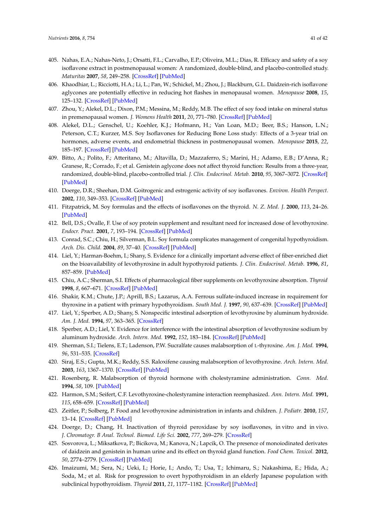- 405. Nahas, E.A.; Nahas-Neto, J.; Orsatti, F.L.; Carvalho, E.P.; Oliveira, M.L.; Dias, R. Efficacy and safety of a soy isoflavone extract in postmenopausal women: A randomized, double-blind, and placebo-controlled study. *Maturitas* **2007**, *58*, 249–258. [\[CrossRef\]](http://dx.doi.org/10.1016/j.maturitas.2007.08.012) [\[PubMed\]](http://www.ncbi.nlm.nih.gov/pubmed/17913408)
- 406. Khaodhiar, L.; Ricciotti, H.A.; Li, L.; Pan, W.; Schickel, M.; Zhou, J.; Blackburn, G.L. Daidzein-rich isoflavone aglycones are potentially effective in reducing hot flashes in menopausal women. *Menopause* **2008**, *15*, 125–132. [\[CrossRef\]](http://dx.doi.org/10.1097/gme.0b013e31805c035b) [\[PubMed\]](http://www.ncbi.nlm.nih.gov/pubmed/18257146)
- <span id="page-40-0"></span>407. Zhou, Y.; Alekel, D.L.; Dixon, P.M.; Messina, M.; Reddy, M.B. The effect of soy food intake on mineral status in premenopausal women. *J. Womens Health* **2011**, *20*, 771–780. [\[CrossRef\]](http://dx.doi.org/10.1089/jwh.2010.2491) [\[PubMed\]](http://www.ncbi.nlm.nih.gov/pubmed/21486162)
- <span id="page-40-1"></span>408. Alekel, D.L.; Genschel, U.; Koehler, K.J.; Hofmann, H.; Van Loan, M.D.; Beer, B.S.; Hanson, L.N.; Peterson, C.T.; Kurzer, M.S. Soy Isoflavones for Reducing Bone Loss study: Effects of a 3-year trial on hormones, adverse events, and endometrial thickness in postmenopausal women. *Menopause* **2015**, *22*, 185–197. [\[CrossRef\]](http://dx.doi.org/10.1097/GME.0000000000000280) [\[PubMed\]](http://www.ncbi.nlm.nih.gov/pubmed/25003624)
- <span id="page-40-2"></span>409. Bitto, A.; Polito, F.; Atteritano, M.; Altavilla, D.; Mazzaferro, S.; Marini, H.; Adamo, E.B.; D'Anna, R.; Granese, R.; Corrado, F.; et al. Genistein aglycone does not affect thyroid function: Results from a three-year, randomized, double-blind, placebo-controlled trial. *J. Clin. Endocrinol. Metab.* **2010**, *95*, 3067–3072. [\[CrossRef\]](http://dx.doi.org/10.1210/jc.2009-2779) [\[PubMed\]](http://www.ncbi.nlm.nih.gov/pubmed/20357174)
- <span id="page-40-3"></span>410. Doerge, D.R.; Sheehan, D.M. Goitrogenic and estrogenic activity of soy isoflavones. *Environ. Health Perspect.* **2002**, *110*, 349–353. [\[CrossRef\]](http://dx.doi.org/10.1289/ehp.02110s3349) [\[PubMed\]](http://www.ncbi.nlm.nih.gov/pubmed/12060828)
- 411. Fitzpatrick, M. Soy formulas and the effects of isoflavones on the thyroid. *N. Z. Med. J.* **2000**, *113*, 24–26. [\[PubMed\]](http://www.ncbi.nlm.nih.gov/pubmed/11482324)
- 412. Bell, D.S.; Ovalle, F. Use of soy protein supplement and resultant need for increased dose of levothyroxine. *Endocr. Pract.* **2001**, *7*, 193–194. [\[CrossRef\]](http://dx.doi.org/10.4158/EP.7.3.193) [\[PubMed\]](http://www.ncbi.nlm.nih.gov/pubmed/11421567)
- <span id="page-40-4"></span>413. Conrad, S.C.; Chiu, H.; Silverman, B.L. Soy formula complicates management of congenital hypothyroidism. *Arch. Dis. Child.* **2004**, *89*, 37–40. [\[CrossRef\]](http://dx.doi.org/10.1136/adc.2002.009365) [\[PubMed\]](http://www.ncbi.nlm.nih.gov/pubmed/14709499)
- <span id="page-40-5"></span>414. Liel, Y.; Harman-Boehm, I.; Shany, S. Evidence for a clinically important adverse effect of fiber-enriched diet on the bioavailability of levothyroxine in adult hypothyroid patients. *J. Clin. Endocrinol. Metab.* **1996**, *81*, 857–859. [\[PubMed\]](http://www.ncbi.nlm.nih.gov/pubmed/8636317)
- 415. Chiu, A.C.; Sherman, S.I. Effects of pharmacological fiber supplements on levothyroxine absorption. *Thyroid* **1998**, *8*, 667–671. [\[CrossRef\]](http://dx.doi.org/10.1089/thy.1998.8.667) [\[PubMed\]](http://www.ncbi.nlm.nih.gov/pubmed/9737361)
- 416. Shakir, K.M.; Chute, J.P.; Aprill, B.S.; Lazarus, A.A. Ferrous sulfate-induced increase in requirement for thyroxine in a patient with primary hypothyroidism. *South Med. J.* **1997**, *90*, 637–639. [\[CrossRef\]](http://dx.doi.org/10.1097/00007611-199706000-00011) [\[PubMed\]](http://www.ncbi.nlm.nih.gov/pubmed/9191742)
- 417. Liel, Y.; Sperber, A.D.; Shany, S. Nonspecific intestinal adsorption of levothyroxine by aluminum hydroxide. *Am. J. Med.* **1994**, *97*, 363–365. [\[CrossRef\]](http://dx.doi.org/10.1016/0002-9343(94)90303-4)
- 418. Sperber, A.D.; Liel, Y. Evidence for interference with the intestinal absorption of levothyroxine sodium by aluminum hydroxide. *Arch. Intern. Med.* **1992**, *152*, 183–184. [\[CrossRef\]](http://dx.doi.org/10.1001/archinte.1992.00400130181024) [\[PubMed\]](http://www.ncbi.nlm.nih.gov/pubmed/1728914)
- 419. Sherman, S.I.; Tielens, E.T.; Ladenson, P.W. Sucralfate causes malabsorption of L-thyroxine. *Am. J. Med.* **1994**, *96*, 531–535. [\[CrossRef\]](http://dx.doi.org/10.1016/0002-9343(94)90093-0)
- 420. Siraj, E.S.; Gupta, M.K.; Reddy, S.S. Raloxifene causing malabsorption of levothyroxine. *Arch. Intern. Med.* **2003**, *163*, 1367–1370. [\[CrossRef\]](http://dx.doi.org/10.1001/archinte.163.11.1367) [\[PubMed\]](http://www.ncbi.nlm.nih.gov/pubmed/12796075)
- 421. Rosenberg, R. Malabsorption of thyroid hormone with cholestyramine administration. *Conn. Med.* **1994**, *58*, 109. [\[PubMed\]](http://www.ncbi.nlm.nih.gov/pubmed/8004946)
- <span id="page-40-6"></span>422. Harmon, S.M.; Seifert, C.F. Levothyroxine-cholestyramine interaction reemphasized. *Ann. Intern. Med.* **1991**, *115*, 658–659. [\[CrossRef\]](http://dx.doi.org/10.7326/0003-4819-115-8-658_2) [\[PubMed\]](http://www.ncbi.nlm.nih.gov/pubmed/1892339)
- <span id="page-40-7"></span>423. Zeitler, P.; Solberg, P. Food and levothyroxine administration in infants and children. *J. Pediatr.* **2010**, *157*, 13–14. [\[CrossRef\]](http://dx.doi.org/10.1016/j.jpeds.2010.05.025) [\[PubMed\]](http://www.ncbi.nlm.nih.gov/pubmed/20547262)
- <span id="page-40-8"></span>424. Doerge, D.; Chang, H. Inactivation of thyroid peroxidase by soy isoflavones, in vitro and in vivo. *J. Chromatogr. B Anal. Technol. Biomed. Life Sci.* **2002**, *777*, 269–279. [\[CrossRef\]](http://dx.doi.org/10.1016/S1570-0232(02)00214-3)
- <span id="page-40-9"></span>425. Sosvorova, L.; Miksatkova, P.; Bicikova, M.; Kanova, N.; Lapcik, O. The presence of monoiodinated derivates of daidzein and genistein in human urine and its effect on thyroid gland function. *Food Chem. Toxicol.* **2012**, *50*, 2774–2779. [\[CrossRef\]](http://dx.doi.org/10.1016/j.fct.2012.05.037) [\[PubMed\]](http://www.ncbi.nlm.nih.gov/pubmed/22659465)
- <span id="page-40-10"></span>426. Imaizumi, M.; Sera, N.; Ueki, I.; Horie, I.; Ando, T.; Usa, T.; Ichimaru, S.; Nakashima, E.; Hida, A.; Soda, M.; et al. Risk for progression to overt hypothyroidism in an elderly Japanese population with subclinical hypothyroidism. *Thyroid* **2011**, *21*, 1177–1182. [\[CrossRef\]](http://dx.doi.org/10.1089/thy.2010.0411) [\[PubMed\]](http://www.ncbi.nlm.nih.gov/pubmed/21877935)